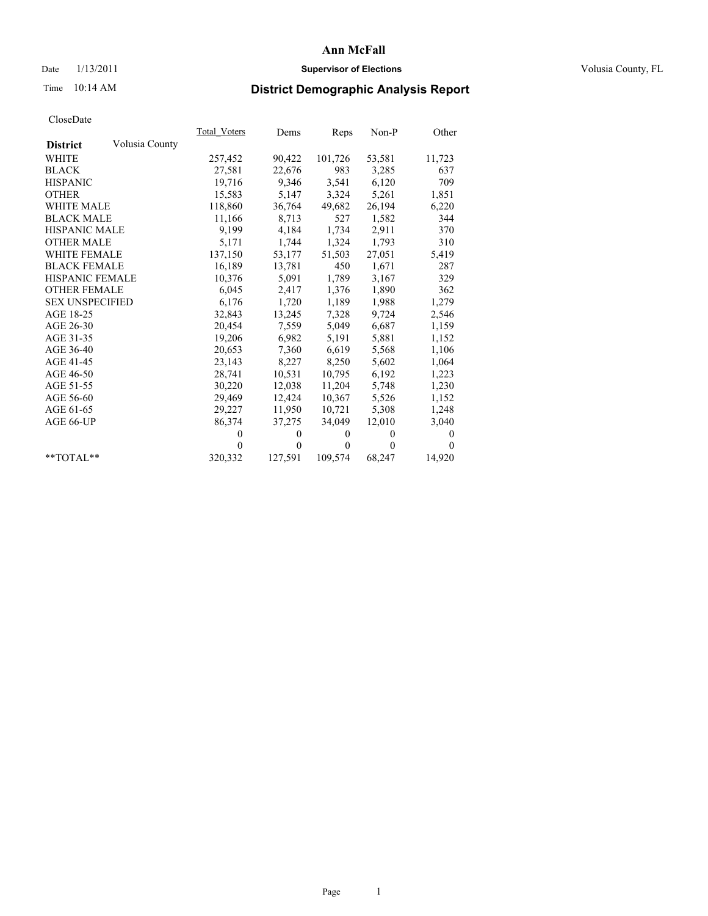# Date  $1/13/2011$  **Supervisor of Elections** Volusia County, FL

# Time 10:14 AM **District Demographic Analysis Report**

|                                   | Total Voters | Dems         | Reps     | $Non-P$  | Other        |
|-----------------------------------|--------------|--------------|----------|----------|--------------|
| Volusia County<br><b>District</b> |              |              |          |          |              |
| WHITE                             | 257,452      | 90,422       | 101,726  | 53,581   | 11,723       |
| <b>BLACK</b>                      | 27,581       | 22,676       | 983      | 3,285    | 637          |
| <b>HISPANIC</b>                   | 19.716       | 9,346        | 3,541    | 6,120    | 709          |
| <b>OTHER</b>                      | 15,583       | 5,147        | 3,324    | 5,261    | 1,851        |
| <b>WHITE MALE</b>                 | 118,860      | 36,764       | 49,682   | 26,194   | 6,220        |
| <b>BLACK MALE</b>                 | 11,166       | 8,713        | 527      | 1,582    | 344          |
| HISPANIC MALE                     | 9,199        | 4,184        | 1,734    | 2,911    | 370          |
| <b>OTHER MALE</b>                 | 5,171        | 1,744        | 1,324    | 1,793    | 310          |
| <b>WHITE FEMALE</b>               | 137,150      | 53,177       | 51,503   | 27,051   | 5,419        |
| <b>BLACK FEMALE</b>               | 16,189       | 13,781       | 450      | 1,671    | 287          |
| HISPANIC FEMALE                   | 10,376       | 5,091        | 1,789    | 3,167    | 329          |
| <b>OTHER FEMALE</b>               | 6,045        | 2,417        | 1,376    | 1,890    | 362          |
| <b>SEX UNSPECIFIED</b>            | 6,176        | 1,720        | 1,189    | 1,988    | 1,279        |
| AGE 18-25                         | 32,843       | 13,245       | 7,328    | 9,724    | 2,546        |
| AGE 26-30                         | 20,454       | 7,559        | 5,049    | 6,687    | 1,159        |
| AGE 31-35                         | 19,206       | 6,982        | 5,191    | 5,881    | 1,152        |
| AGE 36-40                         | 20,653       | 7,360        | 6,619    | 5,568    | 1,106        |
| AGE 41-45                         | 23,143       | 8,227        | 8,250    | 5,602    | 1,064        |
| AGE 46-50                         | 28,741       | 10,531       | 10,795   | 6,192    | 1,223        |
| AGE 51-55                         | 30,220       | 12,038       | 11,204   | 5,748    | 1,230        |
| AGE 56-60                         | 29,469       | 12,424       | 10,367   | 5,526    | 1,152        |
| AGE 61-65                         | 29,227       | 11,950       | 10,721   | 5,308    | 1,248        |
| AGE 66-UP                         | 86,374       | 37,275       | 34,049   | 12,010   | 3,040        |
|                                   | $\Omega$     | $\mathbf{0}$ | $\Omega$ | $\theta$ | $\mathbf{0}$ |
|                                   | $\theta$     | $\theta$     | $\theta$ | $\theta$ | $\Omega$     |
| $*$ $TOTAI.**$                    | 320,332      | 127,591      | 109,574  | 68,247   | 14,920       |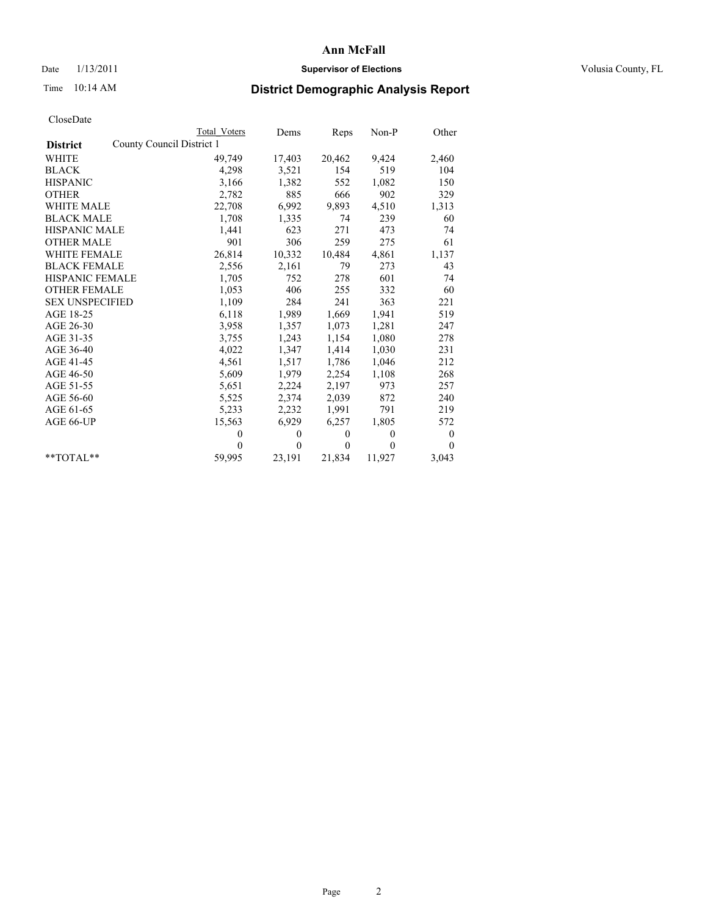## Date  $1/13/2011$  **Supervisor of Elections Supervisor of Elections** Volusia County, FL

# Time 10:14 AM **District Demographic Analysis Report**

|                                              | <b>Total Voters</b> | Dems         | Reps         | $Non-P$      | Other    |
|----------------------------------------------|---------------------|--------------|--------------|--------------|----------|
| County Council District 1<br><b>District</b> |                     |              |              |              |          |
| WHITE                                        | 49,749              | 17,403       | 20,462       | 9,424        | 2,460    |
| <b>BLACK</b>                                 | 4,298               | 3,521        | 154          | 519          | 104      |
| <b>HISPANIC</b>                              | 3,166               | 1,382        | 552          | 1,082        | 150      |
| <b>OTHER</b>                                 | 2,782               | 885          | 666          | 902          | 329      |
| <b>WHITE MALE</b>                            | 22,708              | 6,992        | 9,893        | 4,510        | 1,313    |
| <b>BLACK MALE</b>                            | 1,708               | 1,335        | 74           | 239          | 60       |
| <b>HISPANIC MALE</b>                         | 1,441               | 623          | 271          | 473          | 74       |
| <b>OTHER MALE</b>                            | 901                 | 306          | 259          | 275          | 61       |
| <b>WHITE FEMALE</b>                          | 26,814              | 10,332       | 10,484       | 4,861        | 1,137    |
| <b>BLACK FEMALE</b>                          | 2,556               | 2,161        | 79           | 273          | 43       |
| HISPANIC FEMALE                              | 1,705               | 752          | 278          | 601          | 74       |
| <b>OTHER FEMALE</b>                          | 1,053               | 406          | 255          | 332          | 60       |
| <b>SEX UNSPECIFIED</b>                       | 1,109               | 284          | 241          | 363          | 221      |
| AGE 18-25                                    | 6,118               | 1,989        | 1,669        | 1,941        | 519      |
| AGE 26-30                                    | 3,958               | 1,357        | 1,073        | 1,281        | 247      |
| AGE 31-35                                    | 3,755               | 1,243        | 1,154        | 1,080        | 278      |
| AGE 36-40                                    | 4,022               | 1,347        | 1,414        | 1,030        | 231      |
| AGE 41-45                                    | 4,561               | 1,517        | 1,786        | 1,046        | 212      |
| AGE 46-50                                    | 5,609               | 1,979        | 2,254        | 1,108        | 268      |
| AGE 51-55                                    | 5,651               | 2,224        | 2,197        | 973          | 257      |
| AGE 56-60                                    | 5,525               | 2,374        | 2,039        | 872          | 240      |
| AGE 61-65                                    | 5,233               | 2,232        | 1,991        | 791          | 219      |
| AGE 66-UP                                    | 15,563              | 6,929        | 6,257        | 1,805        | 572      |
|                                              | $\theta$            | $\mathbf{0}$ | $\mathbf{0}$ | $\mathbf{0}$ | 0        |
|                                              | $\theta$            | $\theta$     | $\mathbf{0}$ | $\theta$     | $\theta$ |
| $*$ $TOTAI.**$                               | 59,995              | 23,191       | 21,834       | 11,927       | 3,043    |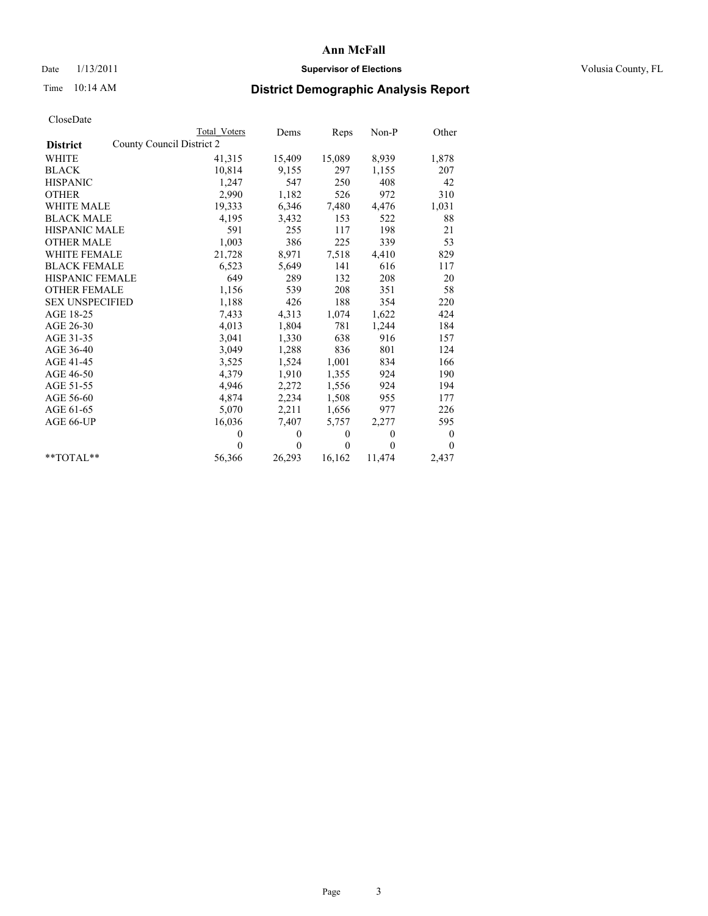## Date  $1/13/2011$  **Supervisor of Elections Supervisor of Elections** Volusia County, FL

# Time 10:14 AM **District Demographic Analysis Report**

|                                              | <b>Total Voters</b> | Dems         | Reps     | $Non-P$      | Other            |
|----------------------------------------------|---------------------|--------------|----------|--------------|------------------|
| County Council District 2<br><b>District</b> |                     |              |          |              |                  |
| <b>WHITE</b>                                 | 41,315              | 15,409       | 15,089   | 8,939        | 1,878            |
| <b>BLACK</b>                                 | 10,814              | 9,155        | 297      | 1,155        | 207              |
| <b>HISPANIC</b>                              | 1,247               | 547          | 250      | 408          | 42               |
| <b>OTHER</b>                                 | 2,990               | 1,182        | 526      | 972          | 310              |
| <b>WHITE MALE</b>                            | 19,333              | 6,346        | 7,480    | 4,476        | 1,031            |
| <b>BLACK MALE</b>                            | 4,195               | 3,432        | 153      | 522          | 88               |
| <b>HISPANIC MALE</b>                         | 591                 | 255          | 117      | 198          | 21               |
| <b>OTHER MALE</b>                            | 1,003               | 386          | 225      | 339          | 53               |
| WHITE FEMALE                                 | 21,728              | 8,971        | 7,518    | 4,410        | 829              |
| <b>BLACK FEMALE</b>                          | 6,523               | 5,649        | 141      | 616          | 117              |
| <b>HISPANIC FEMALE</b>                       | 649                 | 289          | 132      | 208          | 20               |
| <b>OTHER FEMALE</b>                          | 1,156               | 539          | 208      | 351          | 58               |
| <b>SEX UNSPECIFIED</b>                       | 1,188               | 426          | 188      | 354          | 220              |
| AGE 18-25                                    | 7,433               | 4,313        | 1,074    | 1,622        | 424              |
| AGE 26-30                                    | 4,013               | 1,804        | 781      | 1,244        | 184              |
| AGE 31-35                                    | 3,041               | 1,330        | 638      | 916          | 157              |
| AGE 36-40                                    | 3,049               | 1,288        | 836      | 801          | 124              |
| AGE 41-45                                    | 3,525               | 1,524        | 1,001    | 834          | 166              |
| AGE 46-50                                    | 4,379               | 1,910        | 1,355    | 924          | 190              |
| AGE 51-55                                    | 4,946               | 2,272        | 1,556    | 924          | 194              |
| AGE 56-60                                    | 4,874               | 2,234        | 1,508    | 955          | 177              |
| AGE 61-65                                    | 5,070               | 2,211        | 1,656    | 977          | 226              |
| AGE 66-UP                                    | 16,036              | 7,407        | 5,757    | 2,277        | 595              |
|                                              | $\theta$            | $\mathbf{0}$ | $\theta$ | $\mathbf{0}$ | $\boldsymbol{0}$ |
|                                              | $\Omega$            | $\theta$     | $\theta$ | $\theta$     | $\theta$         |
| $*$ TOTAL $*$                                | 56,366              | 26,293       | 16,162   | 11,474       | 2,437            |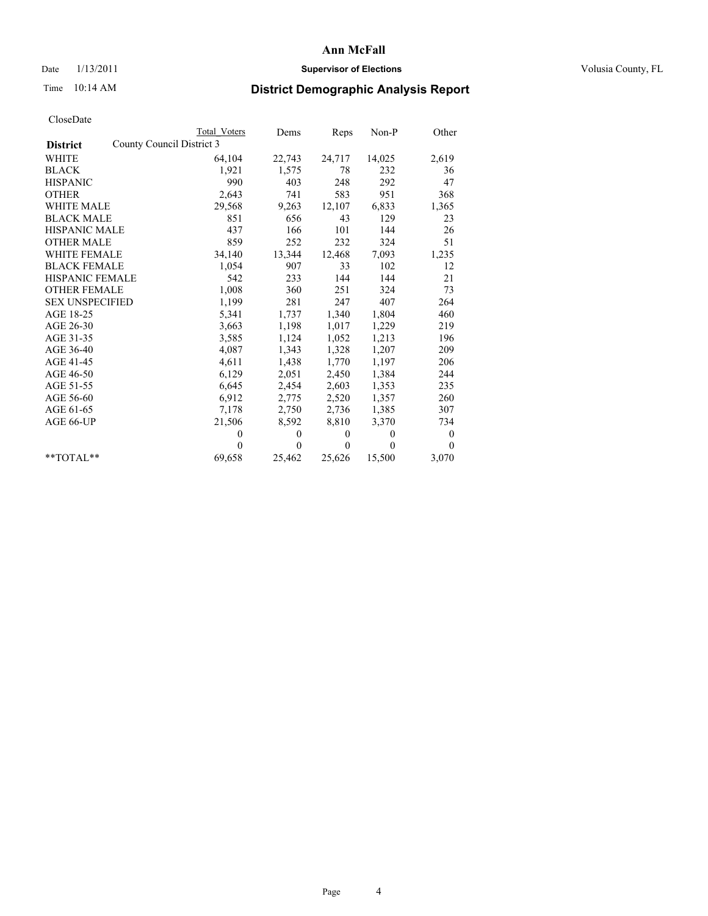## Date  $1/13/2011$  **Supervisor of Elections Supervisor of Elections** Volusia County, FL

# Time 10:14 AM **District Demographic Analysis Report**

|                        | <b>Total Voters</b>       | Dems     | Reps         | $Non-P$  | Other            |
|------------------------|---------------------------|----------|--------------|----------|------------------|
| <b>District</b>        | County Council District 3 |          |              |          |                  |
| WHITE                  | 64,104                    | 22,743   | 24,717       | 14,025   | 2,619            |
| <b>BLACK</b>           | 1,921                     | 1,575    | 78           | 232      | 36               |
| <b>HISPANIC</b>        | 990                       | 403      | 248          | 292      | 47               |
| <b>OTHER</b>           | 2,643                     | 741      | 583          | 951      | 368              |
| <b>WHITE MALE</b>      | 29,568                    | 9,263    | 12,107       | 6,833    | 1,365            |
| <b>BLACK MALE</b>      | 851                       | 656      | 43           | 129      | 23               |
| <b>HISPANIC MALE</b>   | 437                       | 166      | 101          | 144      | 26               |
| <b>OTHER MALE</b>      | 859                       | 252      | 232          | 324      | 51               |
| WHITE FEMALE           | 34,140                    | 13,344   | 12,468       | 7,093    | 1,235            |
| <b>BLACK FEMALE</b>    | 1,054                     | 907      | 33           | 102      | 12               |
| HISPANIC FEMALE        | 542                       | 233      | 144          | 144      | 21               |
| <b>OTHER FEMALE</b>    | 1,008                     | 360      | 251          | 324      | 73               |
| <b>SEX UNSPECIFIED</b> | 1,199                     | 281      | 247          | 407      | 264              |
| AGE 18-25              | 5,341                     | 1,737    | 1,340        | 1,804    | 460              |
| AGE 26-30              | 3,663                     | 1,198    | 1,017        | 1,229    | 219              |
| AGE 31-35              | 3,585                     | 1,124    | 1,052        | 1,213    | 196              |
| AGE 36-40              | 4,087                     | 1,343    | 1,328        | 1,207    | 209              |
| AGE 41-45              | 4,611                     | 1,438    | 1,770        | 1,197    | 206              |
| AGE 46-50              | 6,129                     | 2,051    | 2,450        | 1,384    | 244              |
| AGE 51-55              | 6,645                     | 2,454    | 2,603        | 1,353    | 235              |
| AGE 56-60              | 6,912                     | 2,775    | 2,520        | 1,357    | 260              |
| AGE 61-65              | 7,178                     | 2,750    | 2,736        | 1,385    | 307              |
| AGE 66-UP              | 21,506                    | 8,592    | 8,810        | 3,370    | 734              |
|                        | $\theta$                  | $\theta$ | $\mathbf{0}$ | $\Omega$ | $\boldsymbol{0}$ |
|                        | $\theta$                  | $\theta$ | $\theta$     | $\theta$ | $\theta$         |
| $*$ $TOTAI.**$         | 69,658                    | 25,462   | 25,626       | 15,500   | 3,070            |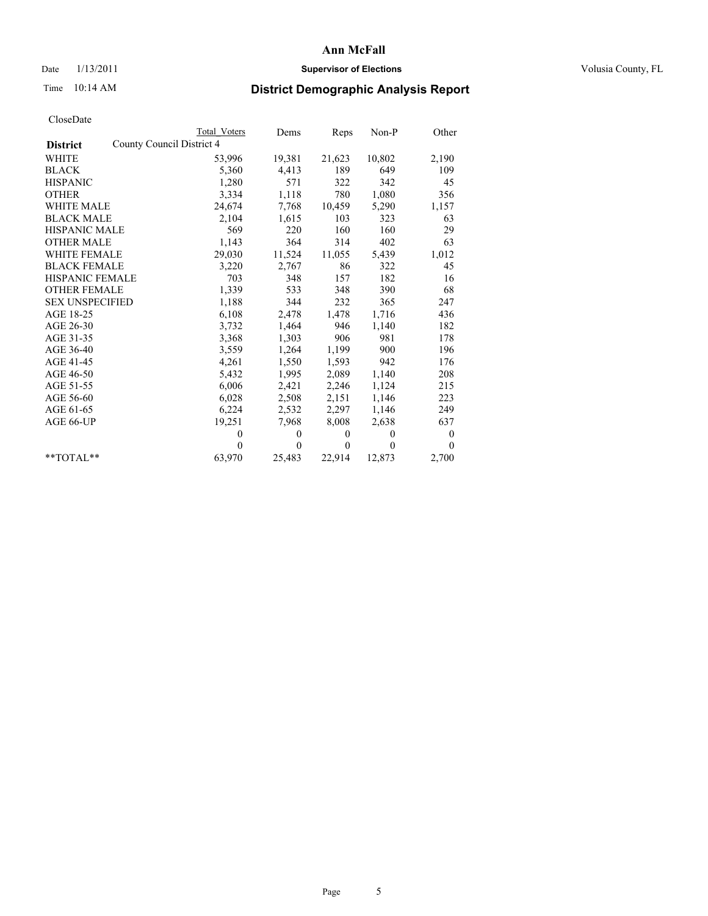## Date  $1/13/2011$  **Supervisor of Elections Supervisor of Elections** Volusia County, FL

# Time 10:14 AM **District Demographic Analysis Report**

|                                              | <b>Total Voters</b> | Dems         | Reps         | $Non-P$  | Other            |
|----------------------------------------------|---------------------|--------------|--------------|----------|------------------|
| County Council District 4<br><b>District</b> |                     |              |              |          |                  |
| <b>WHITE</b>                                 | 53,996              | 19,381       | 21,623       | 10,802   | 2,190            |
| <b>BLACK</b>                                 | 5,360               | 4,413        | 189          | 649      | 109              |
| <b>HISPANIC</b>                              | 1,280               | 571          | 322          | 342      | 45               |
| <b>OTHER</b>                                 | 3,334               | 1,118        | 780          | 1,080    | 356              |
| <b>WHITE MALE</b>                            | 24,674              | 7,768        | 10,459       | 5,290    | 1,157            |
| <b>BLACK MALE</b>                            | 2,104               | 1,615        | 103          | 323      | 63               |
| <b>HISPANIC MALE</b>                         | 569                 | 220          | 160          | 160      | 29               |
| <b>OTHER MALE</b>                            | 1,143               | 364          | 314          | 402      | 63               |
| <b>WHITE FEMALE</b>                          | 29,030              | 11,524       | 11,055       | 5,439    | 1,012            |
| <b>BLACK FEMALE</b>                          | 3,220               | 2,767        | 86           | 322      | 45               |
| HISPANIC FEMALE                              | 703                 | 348          | 157          | 182      | 16               |
| <b>OTHER FEMALE</b>                          | 1,339               | 533          | 348          | 390      | 68               |
| <b>SEX UNSPECIFIED</b>                       | 1,188               | 344          | 232          | 365      | 247              |
| AGE 18-25                                    | 6,108               | 2,478        | 1,478        | 1,716    | 436              |
| AGE 26-30                                    | 3,732               | 1,464        | 946          | 1,140    | 182              |
| AGE 31-35                                    | 3,368               | 1,303        | 906          | 981      | 178              |
| AGE 36-40                                    | 3,559               | 1,264        | 1,199        | 900      | 196              |
| AGE 41-45                                    | 4,261               | 1,550        | 1,593        | 942      | 176              |
| AGE 46-50                                    | 5,432               | 1,995        | 2,089        | 1,140    | 208              |
| AGE 51-55                                    | 6,006               | 2,421        | 2,246        | 1,124    | 215              |
| AGE 56-60                                    | 6,028               | 2,508        | 2,151        | 1,146    | 223              |
| AGE 61-65                                    | 6,224               | 2,532        | 2,297        | 1,146    | 249              |
| AGE 66-UP                                    | 19,251              | 7,968        | 8,008        | 2,638    | 637              |
|                                              | $\theta$            | $\mathbf{0}$ | $\mathbf{0}$ | $\Omega$ | $\boldsymbol{0}$ |
|                                              | $\theta$            | $\theta$     | $\mathbf{0}$ | $\theta$ | $\theta$         |
| $*$ $TOTAI.**$                               | 63,970              | 25,483       | 22,914       | 12,873   | 2,700            |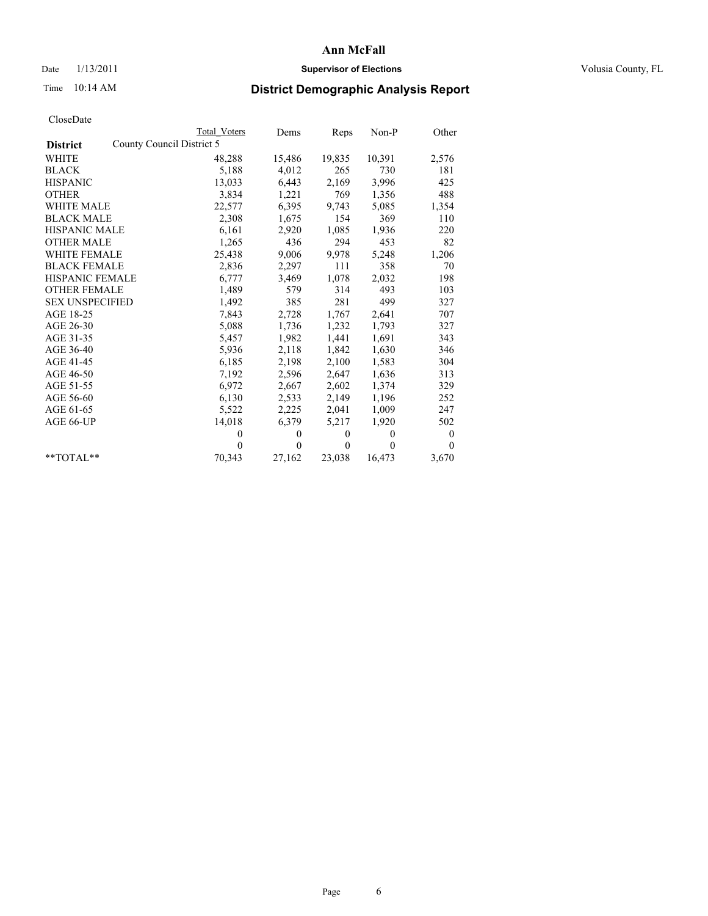# Date  $1/13/2011$  **Supervisor of Elections** Volusia County, FL

# Time 10:14 AM **District Demographic Analysis Report**

|                                              | <b>Total Voters</b> | Dems         | Reps         | $Non-P$  | Other    |
|----------------------------------------------|---------------------|--------------|--------------|----------|----------|
| County Council District 5<br><b>District</b> |                     |              |              |          |          |
| WHITE                                        | 48,288              | 15,486       | 19,835       | 10,391   | 2,576    |
| <b>BLACK</b>                                 | 5,188               | 4,012        | 265          | 730      | 181      |
| <b>HISPANIC</b>                              | 13,033              | 6,443        | 2,169        | 3,996    | 425      |
| <b>OTHER</b>                                 | 3,834               | 1,221        | 769          | 1,356    | 488      |
| <b>WHITE MALE</b>                            | 22,577              | 6,395        | 9,743        | 5,085    | 1,354    |
| <b>BLACK MALE</b>                            | 2,308               | 1,675        | 154          | 369      | 110      |
| <b>HISPANIC MALE</b>                         | 6,161               | 2,920        | 1,085        | 1,936    | 220      |
| <b>OTHER MALE</b>                            | 1,265               | 436          | 294          | 453      | 82       |
| <b>WHITE FEMALE</b>                          | 25,438              | 9,006        | 9,978        | 5,248    | 1,206    |
| <b>BLACK FEMALE</b>                          | 2,836               | 2,297        | 111          | 358      | 70       |
| HISPANIC FEMALE                              | 6,777               | 3,469        | 1,078        | 2,032    | 198      |
| <b>OTHER FEMALE</b>                          | 1,489               | 579          | 314          | 493      | 103      |
| <b>SEX UNSPECIFIED</b>                       | 1,492               | 385          | 281          | 499      | 327      |
| AGE 18-25                                    | 7,843               | 2,728        | 1,767        | 2,641    | 707      |
| AGE 26-30                                    | 5,088               | 1,736        | 1,232        | 1,793    | 327      |
| AGE 31-35                                    | 5,457               | 1,982        | 1,441        | 1,691    | 343      |
| AGE 36-40                                    | 5,936               | 2,118        | 1,842        | 1,630    | 346      |
| AGE 41-45                                    | 6,185               | 2,198        | 2,100        | 1,583    | 304      |
| AGE 46-50                                    | 7,192               | 2,596        | 2,647        | 1,636    | 313      |
| AGE 51-55                                    | 6,972               | 2,667        | 2,602        | 1,374    | 329      |
| AGE 56-60                                    | 6,130               | 2,533        | 2,149        | 1,196    | 252      |
| AGE 61-65                                    | 5,522               | 2,225        | 2,041        | 1,009    | 247      |
| AGE 66-UP                                    | 14,018              | 6,379        | 5,217        | 1,920    | 502      |
|                                              | $\theta$            | $\mathbf{0}$ | $\mathbf{0}$ | $\theta$ | 0        |
|                                              | $\theta$            | $\theta$     | $\theta$     | $\theta$ | $\theta$ |
| $*$ $TOTAI.**$                               | 70,343              | 27,162       | 23,038       | 16,473   | 3,670    |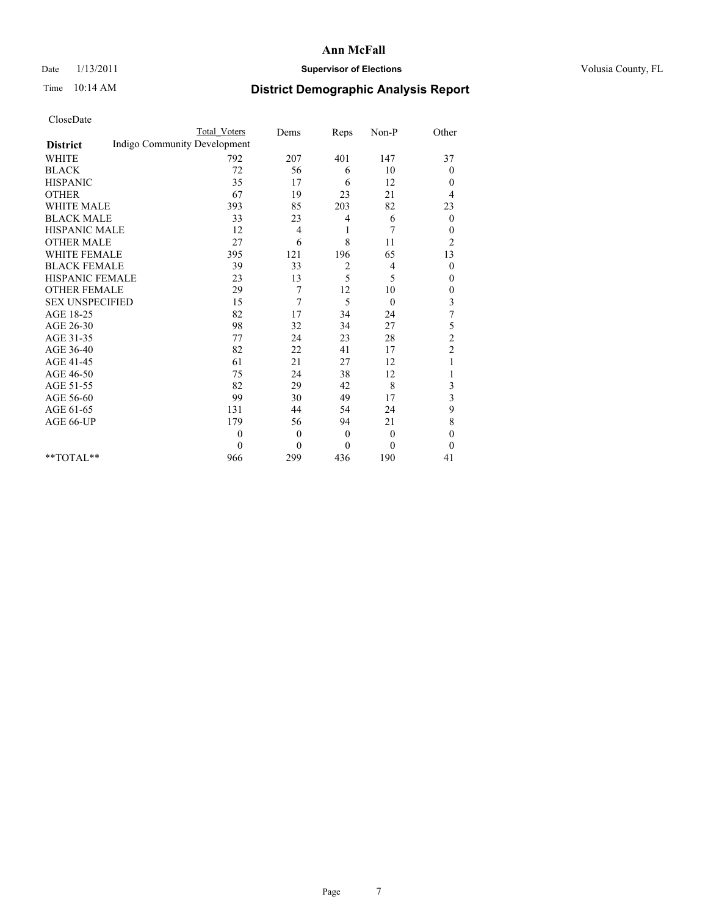## Date  $1/13/2011$  **Supervisor of Elections Supervisor of Elections** Volusia County, FL

# Time 10:14 AM **District Demographic Analysis Report**

|                                                 | Total Voters   | Dems           | Reps         | Non-P          | Other            |  |  |  |
|-------------------------------------------------|----------------|----------------|--------------|----------------|------------------|--|--|--|
| Indigo Community Development<br><b>District</b> |                |                |              |                |                  |  |  |  |
| <b>WHITE</b>                                    | 792            | 207            | 401          | 147            | 37               |  |  |  |
| <b>BLACK</b>                                    | 72             | 56             | 6            | 10             | $\overline{0}$   |  |  |  |
| <b>HISPANIC</b>                                 | 35             | 17             | 6            | 12             | $\theta$         |  |  |  |
| <b>OTHER</b>                                    | 67             | 19             | 23           | 21             | 4                |  |  |  |
| <b>WHITE MALE</b>                               | 393            | 85             | 203          | 82             | 23               |  |  |  |
| <b>BLACK MALE</b>                               | 33             | 23             | 4            | 6              | $\mathbf{0}$     |  |  |  |
| HISPANIC MALE                                   | 12             | 4              | 1            | 7              | $\boldsymbol{0}$ |  |  |  |
| <b>OTHER MALE</b>                               | 27             | 6              | 8            | 11             | $\overline{c}$   |  |  |  |
| <b>WHITE FEMALE</b>                             | 395            | 121            | 196          | 65             | 13               |  |  |  |
| <b>BLACK FEMALE</b>                             | 39             | 33             | 2            | 4              | $\theta$         |  |  |  |
| HISPANIC FEMALE                                 | 23             | 13             | 5            | 5              | $\mathbf{0}$     |  |  |  |
| <b>OTHER FEMALE</b>                             | 29             | 7              | 12           | 10             | $\boldsymbol{0}$ |  |  |  |
| <b>SEX UNSPECIFIED</b>                          | 15             | 7              | 5            | $\theta$       | $\mathfrak{Z}$   |  |  |  |
| AGE 18-25                                       | 82             | 17             | 34           | 24             | $\overline{7}$   |  |  |  |
| AGE 26-30                                       | 98             | 32             | 34           | 27             | 5                |  |  |  |
| AGE 31-35                                       | 77             | 24             | 23           | 28             | $\overline{c}$   |  |  |  |
| AGE 36-40                                       | 82             | 22             | 41           | 17             | $\overline{c}$   |  |  |  |
| AGE 41-45                                       | 61             | 21             | 27           | 12             | 1                |  |  |  |
| AGE 46-50                                       | 75             | 24             | 38           | 12             |                  |  |  |  |
| AGE 51-55                                       | 82             | 29             | 42           | 8              | 3                |  |  |  |
| AGE 56-60                                       | 99             | 30             | 49           | 17             | 3                |  |  |  |
| AGE 61-65                                       | 131            | 44             | 54           | 24             | 9                |  |  |  |
| AGE 66-UP                                       | 179            | 56             | 94           | 21             | 8                |  |  |  |
|                                                 | $\overline{0}$ | $\overline{0}$ | $\mathbf{0}$ | $\overline{0}$ | $\theta$         |  |  |  |
|                                                 | $\theta$       | $\theta$       | $\theta$     | $\theta$       | $\theta$         |  |  |  |
| **TOTAL**                                       | 966            | 299            | 436          | 190            | 41               |  |  |  |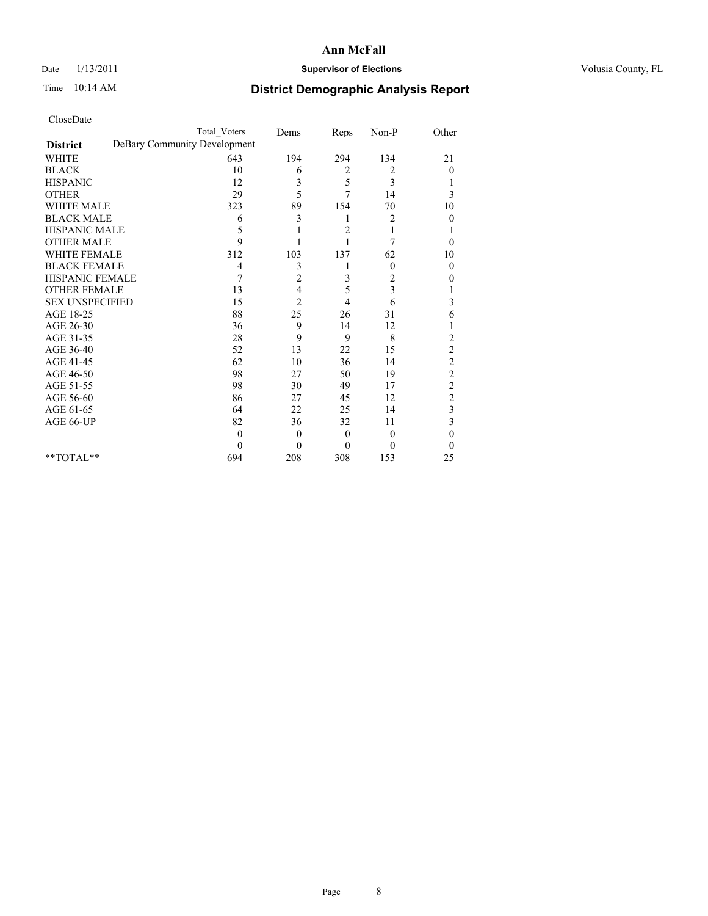## Date  $1/13/2011$  **Supervisor of Elections Supervisor of Elections** Volusia County, FL

# Time 10:14 AM **District Demographic Analysis Report**

|                                                 | <b>Total Voters</b> | Dems           | Reps           | Non-P          | Other                   |
|-------------------------------------------------|---------------------|----------------|----------------|----------------|-------------------------|
| DeBary Community Development<br><b>District</b> |                     |                |                |                |                         |
| <b>WHITE</b>                                    | 643                 | 194            | 294            | 134            | 21                      |
| <b>BLACK</b>                                    | 10                  | 6              | 2              | 2              | $\overline{0}$          |
| <b>HISPANIC</b>                                 | 12                  | 3              | 5              | 3              |                         |
| <b>OTHER</b>                                    | 29                  | 5              | 7              | 14             | 3                       |
| <b>WHITE MALE</b>                               | 323                 | 89             | 154            | 70             | 10                      |
| <b>BLACK MALE</b>                               | 6                   | 3              | 1              | 2              | $\Omega$                |
| HISPANIC MALE                                   | 5                   |                | $\overline{c}$ | 1              |                         |
| <b>OTHER MALE</b>                               | $\mathbf Q$         |                | 1              | 7              | $\Omega$                |
| <b>WHITE FEMALE</b>                             | 312                 | 103            | 137            | 62             | 10                      |
| <b>BLACK FEMALE</b>                             | 4                   | 3              |                | $\theta$       | $\theta$                |
| HISPANIC FEMALE                                 | 7                   | 2              | 3              | 2              | 0                       |
| <b>OTHER FEMALE</b>                             | 13                  | 4              | 5              | 3              |                         |
| <b>SEX UNSPECIFIED</b>                          | 15                  | $\overline{2}$ | 4              | 6              | 3                       |
| AGE 18-25                                       | 88                  | 25             | 26             | 31             | 6                       |
| AGE 26-30                                       | 36                  | 9              | 14             | 12             |                         |
| AGE 31-35                                       | 28                  | 9              | 9              | 8              | $\overline{c}$          |
| AGE 36-40                                       | 52                  | 13             | 22             | 15             | $\overline{c}$          |
| AGE 41-45                                       | 62                  | 10             | 36             | 14             | $\overline{c}$          |
| AGE 46-50                                       | 98                  | 27             | 50             | 19             | $\overline{c}$          |
| AGE 51-55                                       | 98                  | 30             | 49             | 17             | $\overline{\mathbf{c}}$ |
| AGE 56-60                                       | 86                  | 27             | 45             | 12             | $\overline{c}$          |
| AGE 61-65                                       | 64                  | 22             | 25             | 14             | 3                       |
| AGE 66-UP                                       | 82                  | 36             | 32             | 11             | 3                       |
|                                                 | $\theta$            | $\theta$       | $\overline{0}$ | $\overline{0}$ | $\theta$                |
|                                                 | $\Omega$            | $\theta$       | $\overline{0}$ | $\theta$       | $\Omega$                |
| **TOTAL**                                       | 694                 | 208            | 308            | 153            | 25                      |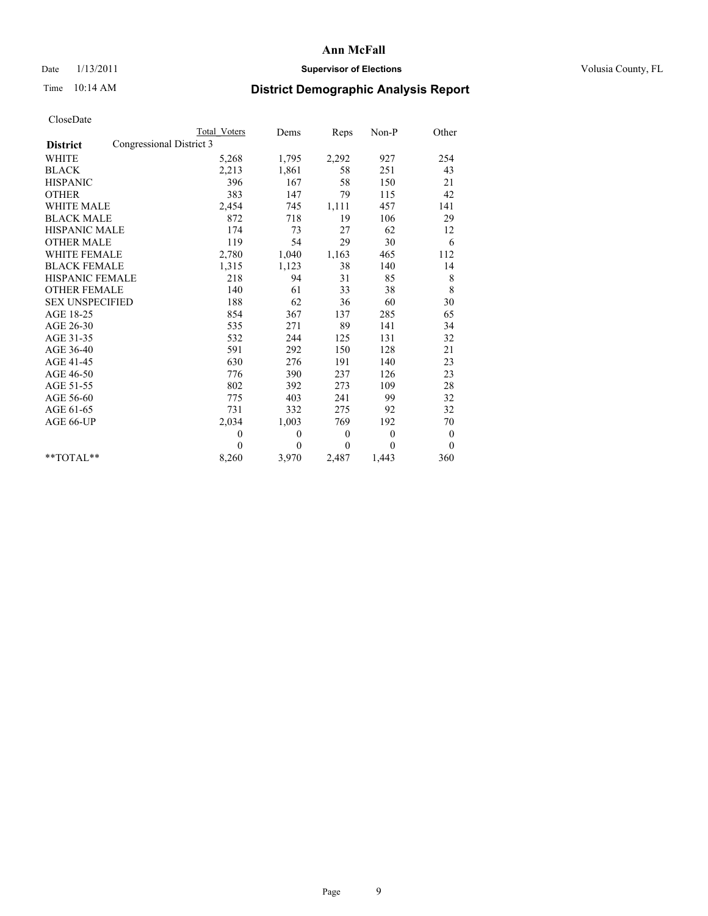## Date  $1/13/2011$  **Supervisor of Elections Supervisor of Elections** Volusia County, FL

# Time 10:14 AM **District Demographic Analysis Report**

|                                             | <b>Total Voters</b> | Dems     | Reps         | $Non-P$      | Other        |  |
|---------------------------------------------|---------------------|----------|--------------|--------------|--------------|--|
| Congressional District 3<br><b>District</b> |                     |          |              |              |              |  |
| <b>WHITE</b>                                | 5,268               | 1,795    | 2,292        | 927          | 254          |  |
| <b>BLACK</b>                                | 2,213               | 1,861    | 58           | 251          | 43           |  |
| <b>HISPANIC</b>                             | 396                 | 167      | 58           | 150          | 21           |  |
| <b>OTHER</b>                                | 383                 | 147      | 79           | 115          | 42           |  |
| <b>WHITE MALE</b>                           | 2,454               | 745      | 1,111        | 457          | 141          |  |
| <b>BLACK MALE</b>                           | 872                 | 718      | 19           | 106          | 29           |  |
| <b>HISPANIC MALE</b>                        | 174                 | 73       | 27           | 62           | 12           |  |
| <b>OTHER MALE</b>                           | 119                 | 54       | 29           | 30           | 6            |  |
| <b>WHITE FEMALE</b>                         | 2,780               | 1,040    | 1,163        | 465          | 112          |  |
| <b>BLACK FEMALE</b>                         | 1,315               | 1,123    | 38           | 140          | 14           |  |
| HISPANIC FEMALE                             | 218                 | 94       | 31           | 85           | $\,$ 8 $\,$  |  |
| <b>OTHER FEMALE</b>                         | 140                 | 61       | 33           | 38           | 8            |  |
| <b>SEX UNSPECIFIED</b>                      | 188                 | 62       | 36           | 60           | 30           |  |
| AGE 18-25                                   | 854                 | 367      | 137          | 285          | 65           |  |
| AGE 26-30                                   | 535                 | 271      | 89           | 141          | 34           |  |
| AGE 31-35                                   | 532                 | 244      | 125          | 131          | 32           |  |
| AGE 36-40                                   | 591                 | 292      | 150          | 128          | 21           |  |
| AGE 41-45                                   | 630                 | 276      | 191          | 140          | 23           |  |
| AGE 46-50                                   | 776                 | 390      | 237          | 126          | 23           |  |
| AGE 51-55                                   | 802                 | 392      | 273          | 109          | 28           |  |
| AGE 56-60                                   | 775                 | 403      | 241          | 99           | 32           |  |
| AGE 61-65                                   | 731                 | 332      | 275          | 92           | 32           |  |
| AGE 66-UP                                   | 2,034               | 1,003    | 769          | 192          | 70           |  |
|                                             | $\mathbf{0}$        | $\theta$ | $\mathbf{0}$ | $\mathbf{0}$ | $\bf{0}$     |  |
|                                             | $\theta$            | $\theta$ | $\Omega$     | $\theta$     | $\mathbf{0}$ |  |
| $*$ $TOTAI.**$                              | 8,260               | 3,970    | 2,487        | 1,443        | 360          |  |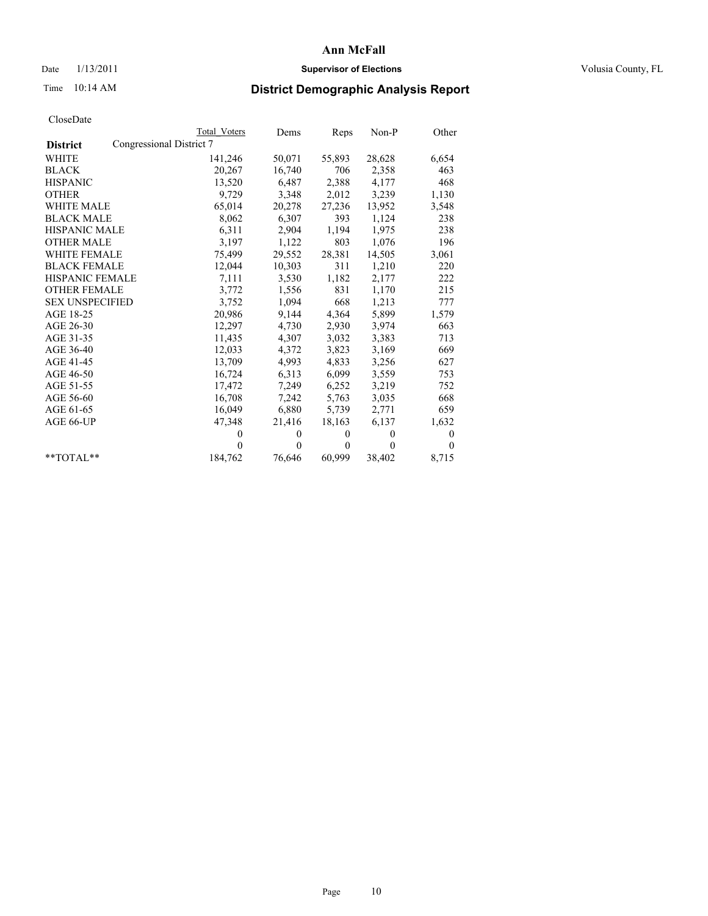## Date  $1/13/2011$  **Supervisor of Elections Supervisor of Elections** Volusia County, FL

# Time 10:14 AM **District Demographic Analysis Report**

|                        | Total Voters             | Dems     | Reps         | $Non-P$  | Other        |
|------------------------|--------------------------|----------|--------------|----------|--------------|
| <b>District</b>        | Congressional District 7 |          |              |          |              |
| <b>WHITE</b>           | 141,246                  | 50,071   | 55,893       | 28,628   | 6,654        |
| <b>BLACK</b>           | 20,267                   | 16,740   | 706          | 2,358    | 463          |
| <b>HISPANIC</b>        | 13,520                   | 6,487    | 2,388        | 4,177    | 468          |
| <b>OTHER</b>           | 9,729                    | 3,348    | 2,012        | 3,239    | 1,130        |
| <b>WHITE MALE</b>      | 65,014                   | 20,278   | 27,236       | 13,952   | 3,548        |
| <b>BLACK MALE</b>      | 8,062                    | 6,307    | 393          | 1,124    | 238          |
| <b>HISPANIC MALE</b>   | 6,311                    | 2,904    | 1,194        | 1,975    | 238          |
| <b>OTHER MALE</b>      | 3,197                    | 1,122    | 803          | 1,076    | 196          |
| <b>WHITE FEMALE</b>    | 75,499                   | 29,552   | 28,381       | 14,505   | 3,061        |
| <b>BLACK FEMALE</b>    | 12,044                   | 10,303   | 311          | 1,210    | 220          |
| HISPANIC FEMALE        | 7,111                    | 3,530    | 1,182        | 2,177    | 222          |
| <b>OTHER FEMALE</b>    | 3,772                    | 1,556    | 831          | 1,170    | 215          |
| <b>SEX UNSPECIFIED</b> | 3,752                    | 1,094    | 668          | 1,213    | 777          |
| AGE 18-25              | 20,986                   | 9,144    | 4,364        | 5,899    | 1,579        |
| AGE 26-30              | 12,297                   | 4,730    | 2,930        | 3,974    | 663          |
| AGE 31-35              | 11,435                   | 4,307    | 3,032        | 3,383    | 713          |
| AGE 36-40              | 12,033                   | 4,372    | 3,823        | 3,169    | 669          |
| AGE 41-45              | 13,709                   | 4,993    | 4,833        | 3,256    | 627          |
| AGE 46-50              | 16,724                   | 6,313    | 6,099        | 3,559    | 753          |
| AGE 51-55              | 17,472                   | 7,249    | 6,252        | 3,219    | 752          |
| AGE 56-60              | 16,708                   | 7,242    | 5,763        | 3,035    | 668          |
| AGE 61-65              | 16,049                   | 6,880    | 5,739        | 2,771    | 659          |
| AGE 66-UP              | 47,348                   | 21,416   | 18,163       | 6,137    | 1,632        |
|                        | $\mathbf{0}$             | $\theta$ | $\theta$     | $\theta$ | $\mathbf{0}$ |
|                        | $\theta$                 | $\theta$ | $\mathbf{0}$ | $\theta$ | $\theta$     |
| $*$ $TOTAI.**$         | 184,762                  | 76,646   | 60,999       | 38,402   | 8,715        |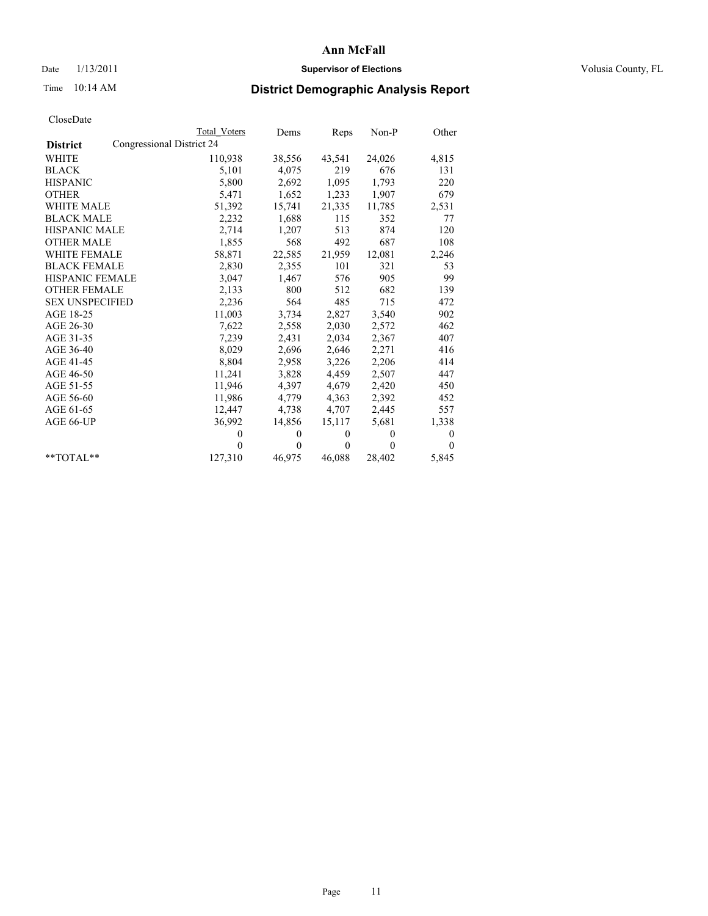# Date  $1/13/2011$  **Supervisor of Elections** Volusia County, FL

# Time 10:14 AM **District Demographic Analysis Report**

|                        | <b>Total Voters</b>       | Dems     | Reps         | $Non-P$  | Other        |  |  |  |  |
|------------------------|---------------------------|----------|--------------|----------|--------------|--|--|--|--|
| <b>District</b>        | Congressional District 24 |          |              |          |              |  |  |  |  |
| <b>WHITE</b>           | 110,938                   | 38,556   | 43,541       | 24,026   | 4,815        |  |  |  |  |
| <b>BLACK</b>           | 5,101                     | 4,075    | 219          | 676      | 131          |  |  |  |  |
| <b>HISPANIC</b>        | 5,800                     | 2,692    | 1,095        | 1,793    | 220          |  |  |  |  |
| <b>OTHER</b>           | 5,471                     | 1,652    | 1,233        | 1,907    | 679          |  |  |  |  |
| <b>WHITE MALE</b>      | 51,392                    | 15,741   | 21,335       | 11,785   | 2,531        |  |  |  |  |
| <b>BLACK MALE</b>      | 2,232                     | 1,688    | 115          | 352      | 77           |  |  |  |  |
| <b>HISPANIC MALE</b>   | 2,714                     | 1,207    | 513          | 874      | 120          |  |  |  |  |
| <b>OTHER MALE</b>      | 1,855                     | 568      | 492          | 687      | 108          |  |  |  |  |
| <b>WHITE FEMALE</b>    | 58,871                    | 22,585   | 21,959       | 12,081   | 2,246        |  |  |  |  |
| <b>BLACK FEMALE</b>    | 2,830                     | 2,355    | 101          | 321      | 53           |  |  |  |  |
| HISPANIC FEMALE        | 3,047                     | 1,467    | 576          | 905      | 99           |  |  |  |  |
| <b>OTHER FEMALE</b>    | 2,133                     | 800      | 512          | 682      | 139          |  |  |  |  |
| <b>SEX UNSPECIFIED</b> | 2,236                     | 564      | 485          | 715      | 472          |  |  |  |  |
| AGE 18-25              | 11,003                    | 3,734    | 2,827        | 3,540    | 902          |  |  |  |  |
| AGE 26-30              | 7,622                     | 2,558    | 2,030        | 2,572    | 462          |  |  |  |  |
| AGE 31-35              | 7,239                     | 2,431    | 2,034        | 2,367    | 407          |  |  |  |  |
| AGE 36-40              | 8,029                     | 2,696    | 2,646        | 2,271    | 416          |  |  |  |  |
| AGE 41-45              | 8,804                     | 2,958    | 3,226        | 2,206    | 414          |  |  |  |  |
| AGE 46-50              | 11,241                    | 3,828    | 4,459        | 2,507    | 447          |  |  |  |  |
| AGE 51-55              | 11,946                    | 4,397    | 4,679        | 2,420    | 450          |  |  |  |  |
| AGE 56-60              | 11,986                    | 4,779    | 4,363        | 2,392    | 452          |  |  |  |  |
| AGE 61-65              | 12,447                    | 4,738    | 4,707        | 2,445    | 557          |  |  |  |  |
| AGE 66-UP              | 36,992                    | 14,856   | 15,117       | 5,681    | 1,338        |  |  |  |  |
|                        | $\theta$                  | $\theta$ | $\theta$     | $\theta$ | $\mathbf{0}$ |  |  |  |  |
|                        | $\Omega$                  | $\theta$ | $\mathbf{0}$ | $\theta$ | $\theta$     |  |  |  |  |
| $*$ $TOTAI.**$         | 127,310                   | 46,975   | 46,088       | 28,402   | 5,845        |  |  |  |  |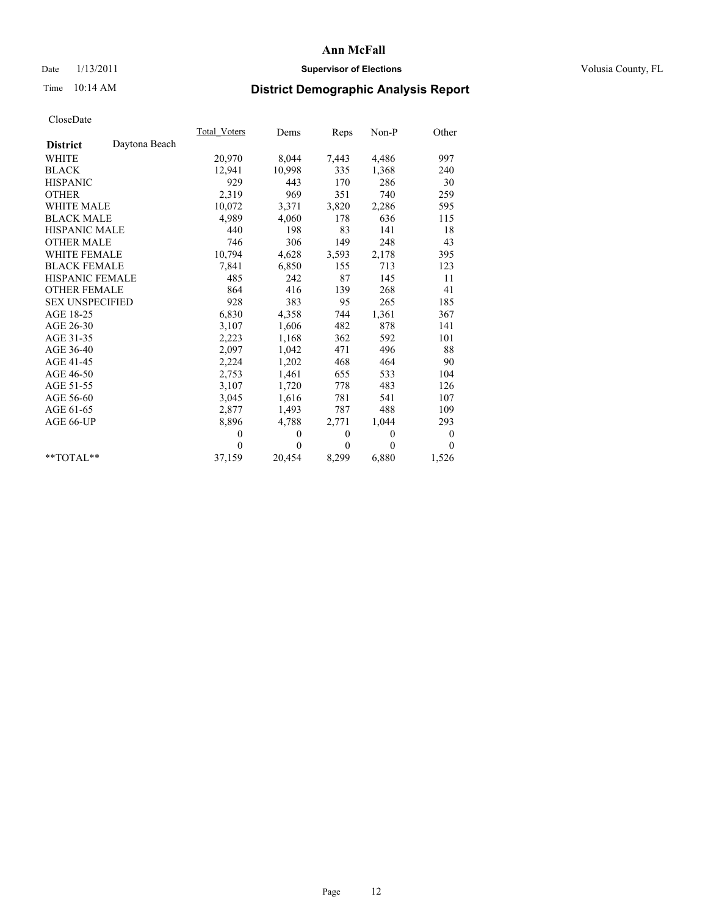# Date  $1/13/2011$  **Supervisor of Elections** Volusia County, FL

# Time 10:14 AM **District Demographic Analysis Report**

|                        |               | Total Voters | Dems         | Reps         | $Non-P$  | Other            |
|------------------------|---------------|--------------|--------------|--------------|----------|------------------|
| <b>District</b>        | Daytona Beach |              |              |              |          |                  |
| <b>WHITE</b>           |               | 20,970       | 8,044        | 7,443        | 4,486    | 997              |
| <b>BLACK</b>           |               | 12,941       | 10,998       | 335          | 1,368    | 240              |
| <b>HISPANIC</b>        |               | 929          | 443          | 170          | 286      | 30               |
| <b>OTHER</b>           |               | 2,319        | 969          | 351          | 740      | 259              |
| <b>WHITE MALE</b>      |               | 10,072       | 3,371        | 3,820        | 2,286    | 595              |
| <b>BLACK MALE</b>      |               | 4,989        | 4,060        | 178          | 636      | 115              |
| <b>HISPANIC MALE</b>   |               | 440          | 198          | 83           | 141      | 18               |
| <b>OTHER MALE</b>      |               | 746          | 306          | 149          | 248      | 43               |
| <b>WHITE FEMALE</b>    |               | 10,794       | 4,628        | 3,593        | 2,178    | 395              |
| <b>BLACK FEMALE</b>    |               | 7,841        | 6,850        | 155          | 713      | 123              |
| HISPANIC FEMALE        |               | 485          | 242          | 87           | 145      | 11               |
| <b>OTHER FEMALE</b>    |               | 864          | 416          | 139          | 268      | 41               |
| <b>SEX UNSPECIFIED</b> |               | 928          | 383          | 95           | 265      | 185              |
| AGE 18-25              |               | 6,830        | 4,358        | 744          | 1,361    | 367              |
| AGE 26-30              |               | 3,107        | 1,606        | 482          | 878      | 141              |
| AGE 31-35              |               | 2,223        | 1,168        | 362          | 592      | 101              |
| AGE 36-40              |               | 2,097        | 1,042        | 471          | 496      | 88               |
| AGE 41-45              |               | 2,224        | 1,202        | 468          | 464      | 90               |
| AGE 46-50              |               | 2,753        | 1,461        | 655          | 533      | 104              |
| AGE 51-55              |               | 3,107        | 1,720        | 778          | 483      | 126              |
| AGE 56-60              |               | 3,045        | 1,616        | 781          | 541      | 107              |
| AGE 61-65              |               | 2,877        | 1,493        | 787          | 488      | 109              |
| AGE 66-UP              |               | 8,896        | 4,788        | 2,771        | 1,044    | 293              |
|                        |               | $\theta$     | $\mathbf{0}$ | $\mathbf{0}$ | $\theta$ | $\boldsymbol{0}$ |
|                        |               | $\theta$     | $\theta$     | $\Omega$     | $\theta$ | $\theta$         |
| $*$ $TOTAI.**$         |               | 37,159       | 20,454       | 8,299        | 6,880    | 1,526            |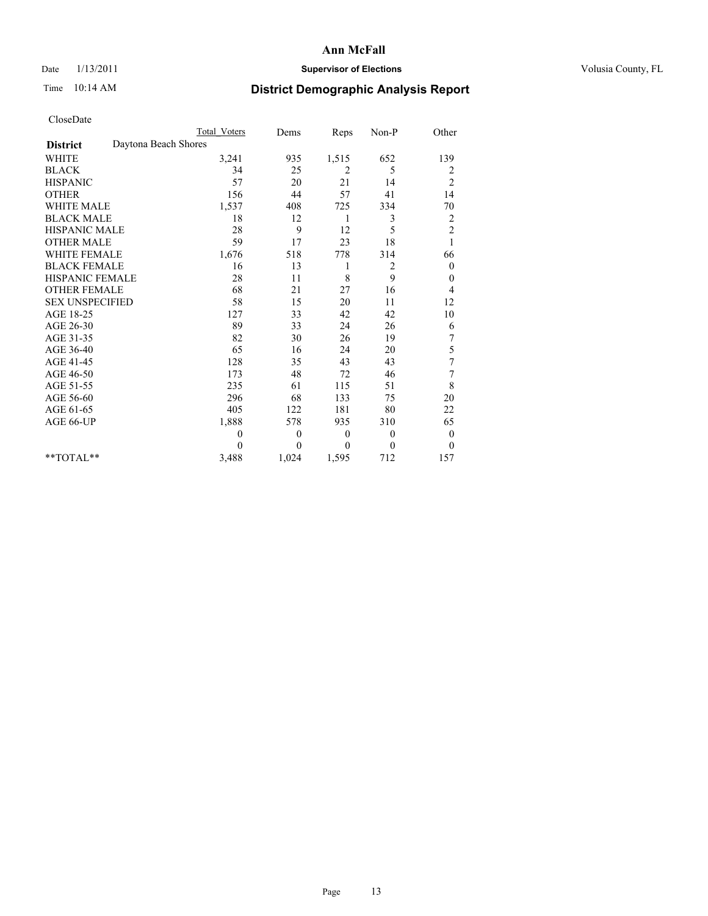# Date  $1/13/2011$  **Supervisor of Elections** Volusia County, FL

# Time 10:14 AM **District Demographic Analysis Report**

|                                         | <b>Total Voters</b> | Dems             | Reps     | Non-P    | Other                   |
|-----------------------------------------|---------------------|------------------|----------|----------|-------------------------|
| Daytona Beach Shores<br><b>District</b> |                     |                  |          |          |                         |
| <b>WHITE</b>                            | 3,241               | 935              | 1,515    | 652      | 139                     |
| <b>BLACK</b>                            | 34                  | 25               | 2        | 5        | 2                       |
| <b>HISPANIC</b>                         | 57                  | 20               | 21       | 14       | $\overline{c}$          |
| <b>OTHER</b>                            | 156                 | 44               | 57       | 41       | 14                      |
| <b>WHITE MALE</b>                       | 1,537               | 408              | 725      | 334      | 70                      |
| <b>BLACK MALE</b>                       | 18                  | 12               | 1        | 3        | $\overline{\mathbf{c}}$ |
| HISPANIC MALE                           | 28                  | 9                | 12       | 5        | $\overline{c}$          |
| <b>OTHER MALE</b>                       | 59                  | 17               | 23       | 18       | 1                       |
| <b>WHITE FEMALE</b>                     | 1,676               | 518              | 778      | 314      | 66                      |
| <b>BLACK FEMALE</b>                     | 16                  | 13               | 1        | 2        | $\theta$                |
| HISPANIC FEMALE                         | 28                  | 11               | 8        | 9        | $\mathbf{0}$            |
| <b>OTHER FEMALE</b>                     | 68                  | 21               | 27       | 16       | 4                       |
| <b>SEX UNSPECIFIED</b>                  | 58                  | 15               | 20       | 11       | 12                      |
| AGE 18-25                               | 127                 | 33               | 42       | 42       | 10                      |
| AGE 26-30                               | 89                  | 33               | 24       | 26       | 6                       |
| AGE 31-35                               | 82                  | 30               | 26       | 19       | 7                       |
| AGE 36-40                               | 65                  | 16               | 24       | 20       | 5                       |
| AGE 41-45                               | 128                 | 35               | 43       | 43       | 7                       |
| AGE 46-50                               | 173                 | 48               | 72       | 46       | 7                       |
| AGE 51-55                               | 235                 | 61               | 115      | 51       | 8                       |
| AGE 56-60                               | 296                 | 68               | 133      | 75       | 20                      |
| AGE 61-65                               | 405                 | 122              | 181      | 80       | 22                      |
| AGE 66-UP                               | 1,888               | 578              | 935      | 310      | 65                      |
|                                         | $\theta$            | $\boldsymbol{0}$ | $\theta$ | $\theta$ | $\mathbf{0}$            |
|                                         | 0                   | $\theta$         | $\theta$ | $\Omega$ | $\mathbf{0}$            |
| $*$ $TOTAI.**$                          | 3,488               | 1,024            | 1,595    | 712      | 157                     |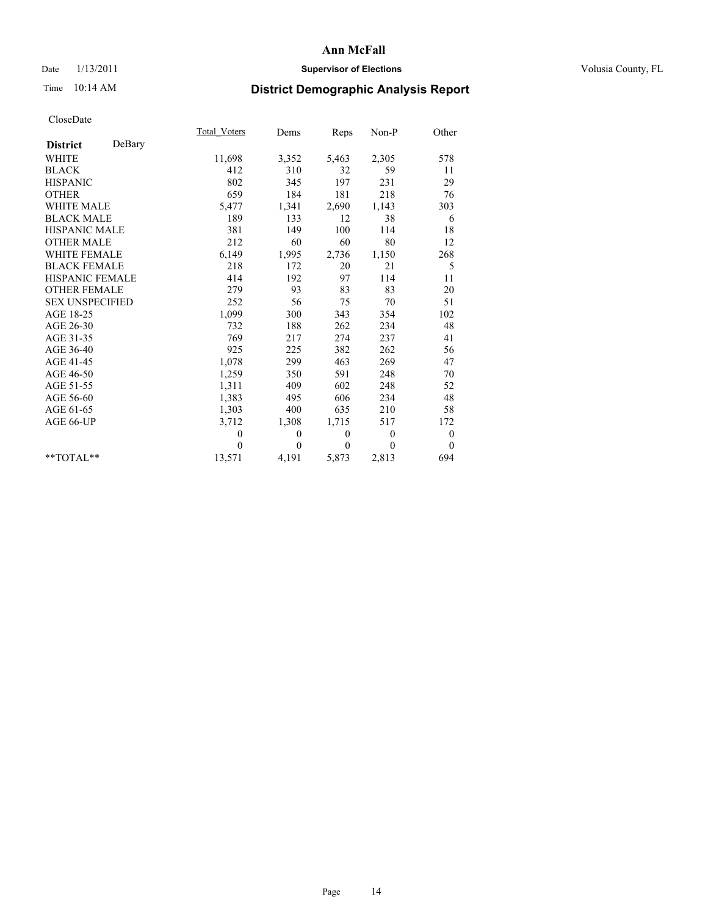# Date  $1/13/2011$  **Supervisor of Elections** Volusia County, FL

# Time 10:14 AM **District Demographic Analysis Report**

|                           | Total Voters | Dems         | Reps         | $Non-P$      | Other            |  |
|---------------------------|--------------|--------------|--------------|--------------|------------------|--|
| DeBary<br><b>District</b> |              |              |              |              |                  |  |
| <b>WHITE</b>              | 11,698       | 3,352        | 5,463        | 2,305        | 578              |  |
| <b>BLACK</b>              | 412          | 310          | 32           | 59           | 11               |  |
| <b>HISPANIC</b>           | 802          | 345          | 197          | 231          | 29               |  |
| <b>OTHER</b>              | 659          | 184          | 181          | 218          | 76               |  |
| <b>WHITE MALE</b>         | 5,477        | 1,341        | 2,690        | 1,143        | 303              |  |
| <b>BLACK MALE</b>         | 189          | 133          | 12           | 38           | 6                |  |
| <b>HISPANIC MALE</b>      | 381          | 149          | 100          | 114          | 18               |  |
| <b>OTHER MALE</b>         | 212          | 60           | 60           | 80           | 12               |  |
| <b>WHITE FEMALE</b>       | 6,149        | 1,995        | 2,736        | 1,150        | 268              |  |
| <b>BLACK FEMALE</b>       | 218          | 172          | 20           | 21           | 5                |  |
| HISPANIC FEMALE           | 414          | 192          | 97           | 114          | 11               |  |
| <b>OTHER FEMALE</b>       | 279          | 93           | 83           | 83           | 20               |  |
| <b>SEX UNSPECIFIED</b>    | 252          | 56           | 75           | 70           | 51               |  |
| AGE 18-25                 | 1,099        | 300          | 343          | 354          | 102              |  |
| AGE 26-30                 | 732          | 188          | 262          | 234          | 48               |  |
| AGE 31-35                 | 769          | 217          | 274          | 237          | 41               |  |
| AGE 36-40                 | 925          | 225          | 382          | 262          | 56               |  |
| AGE 41-45                 | 1,078        | 299          | 463          | 269          | 47               |  |
| AGE 46-50                 | 1,259        | 350          | 591          | 248          | 70               |  |
| AGE 51-55                 | 1,311        | 409          | 602          | 248          | 52               |  |
| AGE 56-60                 | 1,383        | 495          | 606          | 234          | 48               |  |
| AGE 61-65                 | 1,303        | 400          | 635          | 210          | 58               |  |
| AGE 66-UP                 | 3,712        | 1,308        | 1,715        | 517          | 172              |  |
|                           | $\mathbf{0}$ | $\mathbf{0}$ | $\mathbf{0}$ | $\mathbf{0}$ | $\boldsymbol{0}$ |  |
|                           | $\theta$     | $\theta$     | $\theta$     | $\theta$     | $\theta$         |  |
| $*$ $TOTAI.**$            | 13,571       | 4,191        | 5,873        | 2,813        | 694              |  |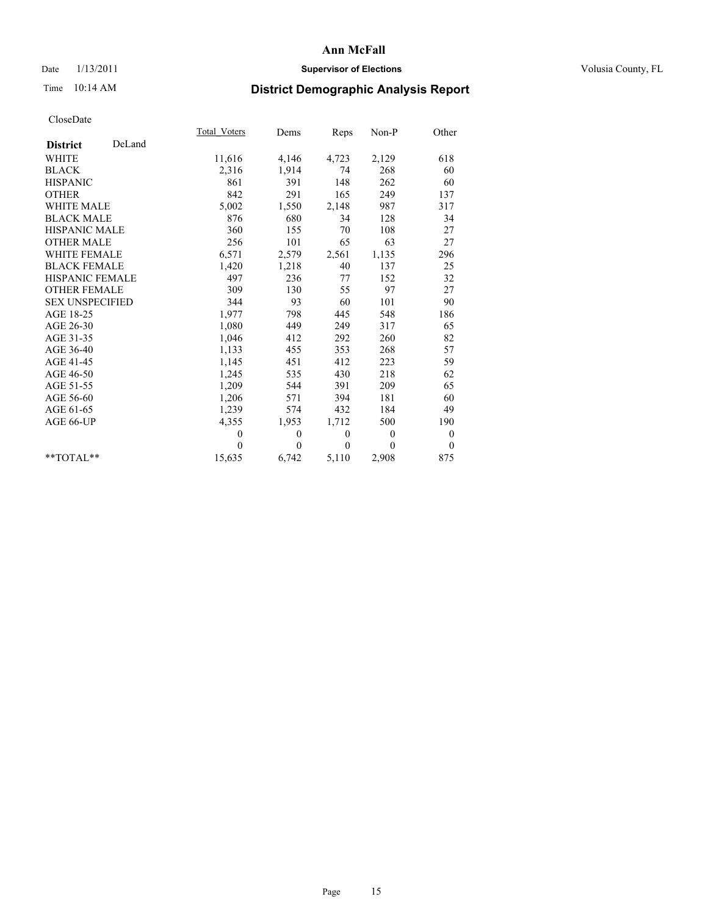# Date  $1/13/2011$  **Supervisor of Elections** Volusia County, FL

# Time 10:14 AM **District Demographic Analysis Report**

|                           | <b>Total Voters</b> | Dems         | Reps         | $Non-P$      | Other            |  |
|---------------------------|---------------------|--------------|--------------|--------------|------------------|--|
| DeLand<br><b>District</b> |                     |              |              |              |                  |  |
| <b>WHITE</b>              | 11,616              | 4,146        | 4,723        | 2,129        | 618              |  |
| <b>BLACK</b>              | 2,316               | 1,914        | 74           | 268          | 60               |  |
| <b>HISPANIC</b>           | 861                 | 391          | 148          | 262          | 60               |  |
| <b>OTHER</b>              | 842                 | 291          | 165          | 249          | 137              |  |
| <b>WHITE MALE</b>         | 5,002               | 1,550        | 2,148        | 987          | 317              |  |
| <b>BLACK MALE</b>         | 876                 | 680          | 34           | 128          | 34               |  |
| <b>HISPANIC MALE</b>      | 360                 | 155          | 70           | 108          | 27               |  |
| <b>OTHER MALE</b>         | 256                 | 101          | 65           | 63           | 27               |  |
| <b>WHITE FEMALE</b>       | 6,571               | 2,579        | 2,561        | 1,135        | 296              |  |
| <b>BLACK FEMALE</b>       | 1,420               | 1,218        | 40           | 137          | 25               |  |
| HISPANIC FEMALE           | 497                 | 236          | 77           | 152          | 32               |  |
| <b>OTHER FEMALE</b>       | 309                 | 130          | 55           | 97           | 27               |  |
| <b>SEX UNSPECIFIED</b>    | 344                 | 93           | 60           | 101          | 90               |  |
| AGE 18-25                 | 1,977               | 798          | 445          | 548          | 186              |  |
| AGE 26-30                 | 1,080               | 449          | 249          | 317          | 65               |  |
| AGE 31-35                 | 1,046               | 412          | 292          | 260          | 82               |  |
| AGE 36-40                 | 1,133               | 455          | 353          | 268          | 57               |  |
| AGE 41-45                 | 1,145               | 451          | 412          | 223          | 59               |  |
| AGE 46-50                 | 1,245               | 535          | 430          | 218          | 62               |  |
| AGE 51-55                 | 1,209               | 544          | 391          | 209          | 65               |  |
| AGE 56-60                 | 1,206               | 571          | 394          | 181          | 60               |  |
| AGE 61-65                 | 1,239               | 574          | 432          | 184          | 49               |  |
| AGE 66-UP                 | 4,355               | 1,953        | 1,712        | 500          | 190              |  |
|                           | $\mathbf{0}$        | $\mathbf{0}$ | $\mathbf{0}$ | $\mathbf{0}$ | $\boldsymbol{0}$ |  |
|                           | $\theta$            | $\mathbf{0}$ | $\mathbf{0}$ | $\mathbf{0}$ | $\mathbf{0}$     |  |
| $*$ $TOTAI.**$            | 15,635              | 6,742        | 5,110        | 2,908        | 875              |  |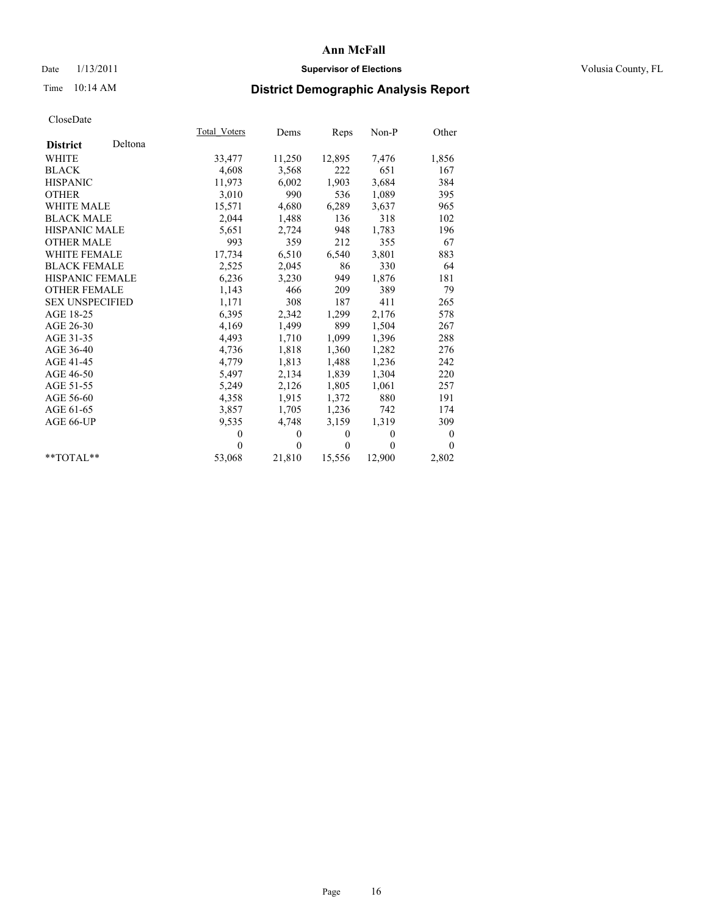# Date  $1/13/2011$  **Supervisor of Elections** Volusia County, FL

# Time 10:14 AM **District Demographic Analysis Report**

|                            | Total Voters | Dems     | <b>Reps</b> | $Non-P$  | Other            |  |
|----------------------------|--------------|----------|-------------|----------|------------------|--|
| Deltona<br><b>District</b> |              |          |             |          |                  |  |
| WHITE                      | 33,477       | 11,250   | 12,895      | 7,476    | 1,856            |  |
| <b>BLACK</b>               | 4,608        | 3,568    | 222         | 651      | 167              |  |
| <b>HISPANIC</b>            | 11,973       | 6,002    | 1,903       | 3,684    | 384              |  |
| <b>OTHER</b>               | 3,010        | 990      | 536         | 1,089    | 395              |  |
| <b>WHITE MALE</b>          | 15,571       | 4,680    | 6,289       | 3,637    | 965              |  |
| <b>BLACK MALE</b>          | 2,044        | 1,488    | 136         | 318      | 102              |  |
| <b>HISPANIC MALE</b>       | 5,651        | 2,724    | 948         | 1,783    | 196              |  |
| <b>OTHER MALE</b>          | 993          | 359      | 212         | 355      | 67               |  |
| <b>WHITE FEMALE</b>        | 17,734       | 6,510    | 6,540       | 3,801    | 883              |  |
| <b>BLACK FEMALE</b>        | 2,525        | 2,045    | 86          | 330      | 64               |  |
| HISPANIC FEMALE            | 6,236        | 3,230    | 949         | 1,876    | 181              |  |
| <b>OTHER FEMALE</b>        | 1,143        | 466      | 209         | 389      | 79               |  |
| <b>SEX UNSPECIFIED</b>     | 1,171        | 308      | 187         | 411      | 265              |  |
| AGE 18-25                  | 6,395        | 2,342    | 1,299       | 2,176    | 578              |  |
| AGE 26-30                  | 4,169        | 1,499    | 899         | 1,504    | 267              |  |
| AGE 31-35                  | 4,493        | 1,710    | 1,099       | 1,396    | 288              |  |
| AGE 36-40                  | 4,736        | 1,818    | 1,360       | 1,282    | 276              |  |
| AGE 41-45                  | 4,779        | 1,813    | 1,488       | 1,236    | 242              |  |
| AGE 46-50                  | 5,497        | 2,134    | 1,839       | 1,304    | 220              |  |
| AGE 51-55                  | 5,249        | 2,126    | 1,805       | 1,061    | 257              |  |
| AGE 56-60                  | 4,358        | 1,915    | 1,372       | 880      | 191              |  |
| AGE 61-65                  | 3,857        | 1,705    | 1,236       | 742      | 174              |  |
| AGE 66-UP                  | 9,535        | 4,748    | 3,159       | 1,319    | 309              |  |
|                            | $\theta$     | $\theta$ | $\theta$    | $\theta$ | $\boldsymbol{0}$ |  |
|                            | $\Omega$     | $\theta$ | $\theta$    | $\theta$ | $\theta$         |  |
| $*$ $TOTAI.**$             | 53,068       | 21,810   | 15,556      | 12,900   | 2,802            |  |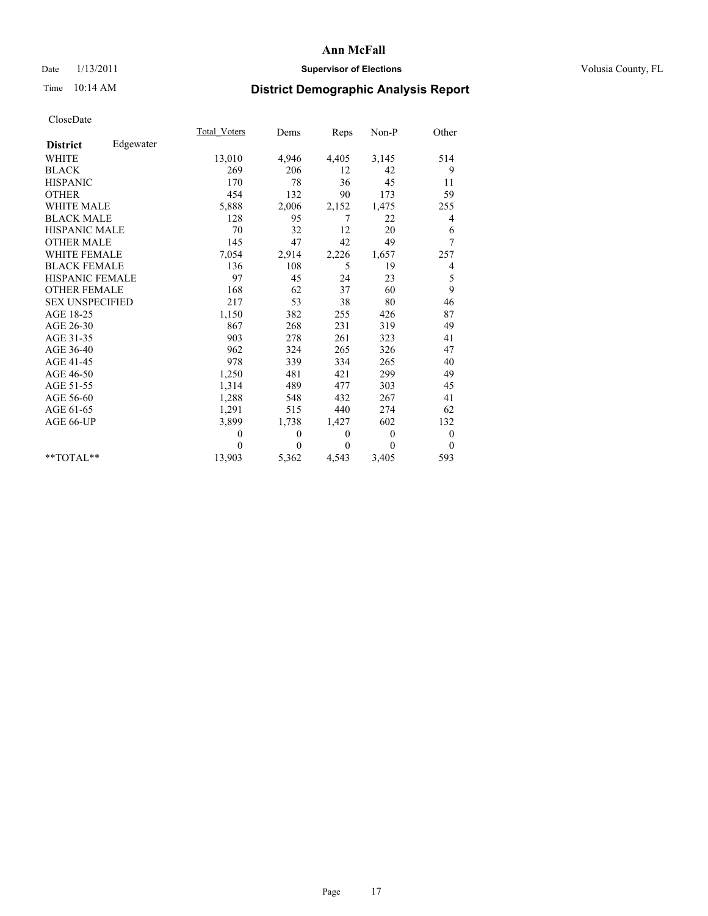# Date  $1/13/2011$  **Supervisor of Elections** Volusia County, FL

# Time 10:14 AM **District Demographic Analysis Report**

|                        |           | Total Voters | Dems     | Reps     | $Non-P$      | Other            |
|------------------------|-----------|--------------|----------|----------|--------------|------------------|
| <b>District</b>        | Edgewater |              |          |          |              |                  |
| <b>WHITE</b>           |           | 13,010       | 4,946    | 4,405    | 3,145        | 514              |
| <b>BLACK</b>           |           | 269          | 206      | 12       | 42           | 9                |
| <b>HISPANIC</b>        |           | 170          | 78       | 36       | 45           | 11               |
| <b>OTHER</b>           |           | 454          | 132      | 90       | 173          | 59               |
| <b>WHITE MALE</b>      |           | 5,888        | 2,006    | 2,152    | 1,475        | 255              |
| <b>BLACK MALE</b>      |           | 128          | 95       | 7        | 22           | 4                |
| <b>HISPANIC MALE</b>   |           | 70           | 32       | 12       | 20           | 6                |
| <b>OTHER MALE</b>      |           | 145          | 47       | 42       | 49           | 7                |
| <b>WHITE FEMALE</b>    |           | 7,054        | 2,914    | 2,226    | 1,657        | 257              |
| <b>BLACK FEMALE</b>    |           | 136          | 108      | 5        | 19           | 4                |
| HISPANIC FEMALE        |           | 97           | 45       | 24       | 23           | 5                |
| <b>OTHER FEMALE</b>    |           | 168          | 62       | 37       | 60           | 9                |
| <b>SEX UNSPECIFIED</b> |           | 217          | 53       | 38       | 80           | 46               |
| AGE 18-25              |           | 1,150        | 382      | 255      | 426          | 87               |
| AGE 26-30              |           | 867          | 268      | 231      | 319          | 49               |
| AGE 31-35              |           | 903          | 278      | 261      | 323          | 41               |
| AGE 36-40              |           | 962          | 324      | 265      | 326          | 47               |
| AGE 41-45              |           | 978          | 339      | 334      | 265          | 40               |
| AGE 46-50              |           | 1,250        | 481      | 421      | 299          | 49               |
| AGE 51-55              |           | 1,314        | 489      | 477      | 303          | 45               |
| AGE 56-60              |           | 1,288        | 548      | 432      | 267          | 41               |
| AGE 61-65              |           | 1,291        | 515      | 440      | 274          | 62               |
| AGE 66-UP              |           | 3,899        | 1,738    | 1,427    | 602          | 132              |
|                        |           | $\mathbf{0}$ | $\theta$ | $\theta$ | $\mathbf{0}$ | $\boldsymbol{0}$ |
|                        |           | $\Omega$     | $\theta$ | $\theta$ | $\theta$     | $\theta$         |
| $*$ $TOTAI.**$         |           | 13,903       | 5,362    | 4,543    | 3,405        | 593              |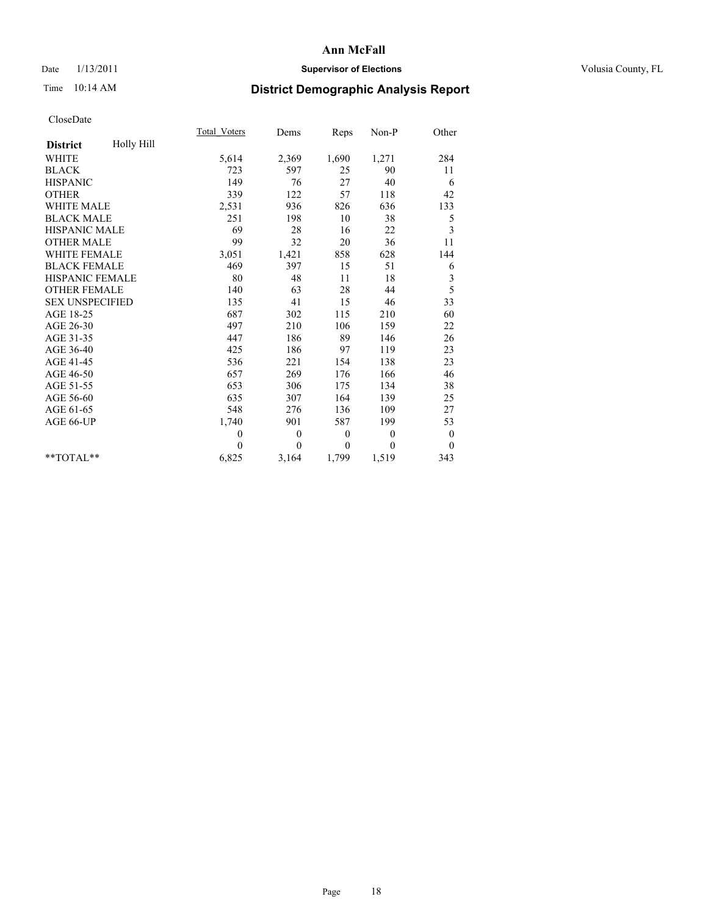# Date  $1/13/2011$  **Supervisor of Elections** Volusia County, FL

# Time 10:14 AM **District Demographic Analysis Report**

|                        |            | Total Voters | Dems         | Reps         | $Non-P$        | Other            |
|------------------------|------------|--------------|--------------|--------------|----------------|------------------|
| <b>District</b>        | Holly Hill |              |              |              |                |                  |
| <b>WHITE</b>           |            | 5,614        | 2,369        | 1,690        | 1,271          | 284              |
| <b>BLACK</b>           |            | 723          | 597          | 25           | 90             | 11               |
| <b>HISPANIC</b>        |            | 149          | 76           | 27           | 40             | 6                |
| <b>OTHER</b>           |            | 339          | 122          | 57           | 118            | 42               |
| <b>WHITE MALE</b>      |            | 2,531        | 936          | 826          | 636            | 133              |
| <b>BLACK MALE</b>      |            | 251          | 198          | 10           | 38             | 5                |
| <b>HISPANIC MALE</b>   |            | 69           | 28           | 16           | 22             | 3                |
| <b>OTHER MALE</b>      |            | 99           | 32           | 20           | 36             | 11               |
| WHITE FEMALE           |            | 3,051        | 1,421        | 858          | 628            | 144              |
| <b>BLACK FEMALE</b>    |            | 469          | 397          | 15           | 51             | 6                |
| HISPANIC FEMALE        |            | 80           | 48           | 11           | 18             | 3                |
| <b>OTHER FEMALE</b>    |            | 140          | 63           | 28           | 44             | 5                |
| <b>SEX UNSPECIFIED</b> |            | 135          | 41           | 15           | 46             | 33               |
| AGE 18-25              |            | 687          | 302          | 115          | 210            | 60               |
| AGE 26-30              |            | 497          | 210          | 106          | 159            | 22               |
| AGE 31-35              |            | 447          | 186          | 89           | 146            | 26               |
| AGE 36-40              |            | 425          | 186          | 97           | 119            | 23               |
| AGE 41-45              |            | 536          | 221          | 154          | 138            | 23               |
| AGE 46-50              |            | 657          | 269          | 176          | 166            | 46               |
| AGE 51-55              |            | 653          | 306          | 175          | 134            | 38               |
| AGE 56-60              |            | 635          | 307          | 164          | 139            | 25               |
| AGE 61-65              |            | 548          | 276          | 136          | 109            | 27               |
| AGE 66-UP              |            | 1,740        | 901          | 587          | 199            | 53               |
|                        |            | $\theta$     | $\mathbf{0}$ | $\mathbf{0}$ | $\overline{0}$ | $\boldsymbol{0}$ |
|                        |            | $\Omega$     | $\theta$     | $\mathbf{0}$ | $\theta$       | $\overline{0}$   |
| $*$ $TOTAI.**$         |            | 6,825        | 3,164        | 1,799        | 1,519          | 343              |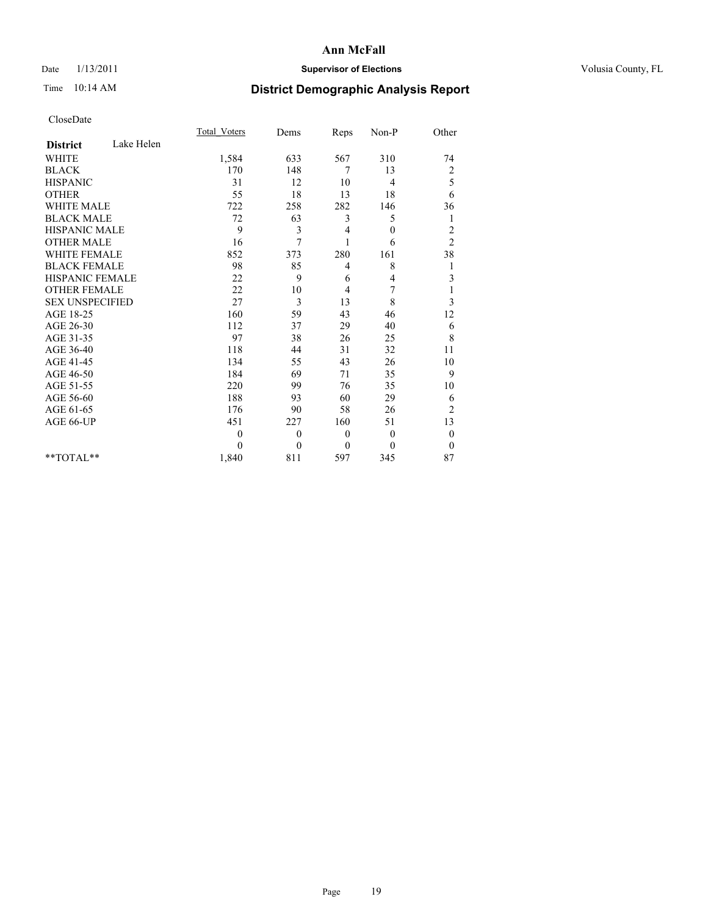# Date  $1/13/2011$  **Supervisor of Elections** Volusia County, FL

# Time 10:14 AM **District Demographic Analysis Report**

|                               | <b>Total Voters</b> | Dems         | Reps             | Non-P            | Other                   |
|-------------------------------|---------------------|--------------|------------------|------------------|-------------------------|
| Lake Helen<br><b>District</b> |                     |              |                  |                  |                         |
| <b>WHITE</b>                  | 1,584               | 633          | 567              | 310              | 74                      |
| <b>BLACK</b>                  | 170                 | 148          | 7                | 13               | $\overline{\mathbf{c}}$ |
| <b>HISPANIC</b>               | 31                  | 12           | 10               | 4                | 5                       |
| <b>OTHER</b>                  | 55                  | 18           | 13               | 18               | 6                       |
| <b>WHITE MALE</b>             | 722                 | 258          | 282              | 146              | 36                      |
| <b>BLACK MALE</b>             | 72                  | 63           | 3                | 5                | 1                       |
| <b>HISPANIC MALE</b>          | 9                   | 3            | 4                | $\boldsymbol{0}$ | $\overline{c}$          |
| <b>OTHER MALE</b>             | 16                  | 7            |                  | 6                | $\overline{2}$          |
| <b>WHITE FEMALE</b>           | 852                 | 373          | 280              | 161              | 38                      |
| <b>BLACK FEMALE</b>           | 98                  | 85           | 4                | 8                | 1                       |
| <b>HISPANIC FEMALE</b>        | 22                  | 9            | 6                | 4                | 3                       |
| <b>OTHER FEMALE</b>           | 22                  | 10           | 4                | 7                |                         |
| <b>SEX UNSPECIFIED</b>        | 27                  | 3            | 13               | 8                | 3                       |
| AGE 18-25                     | 160                 | 59           | 43               | 46               | 12                      |
| AGE 26-30                     | 112                 | 37           | 29               | 40               | 6                       |
| AGE 31-35                     | 97                  | 38           | 26               | 25               | 8                       |
| AGE 36-40                     | 118                 | 44           | 31               | 32               | 11                      |
| AGE 41-45                     | 134                 | 55           | 43               | 26               | 10                      |
| AGE 46-50                     | 184                 | 69           | 71               | 35               | 9                       |
| AGE 51-55                     | 220                 | 99           | 76               | 35               | 10                      |
| AGE 56-60                     | 188                 | 93           | 60               | 29               | 6                       |
| AGE 61-65                     | 176                 | 90           | 58               | 26               | $\overline{c}$          |
| AGE 66-UP                     | 451                 | 227          | 160              | 51               | 13                      |
|                               | $\mathbf{0}$        | $\mathbf{0}$ | $\boldsymbol{0}$ | $\mathbf{0}$     | $\boldsymbol{0}$        |
|                               | $\Omega$            | $\theta$     | $\theta$         | $\theta$         | $\theta$                |
| $*$ $TOTAI.**$                | 1,840               | 811          | 597              | 345              | 87                      |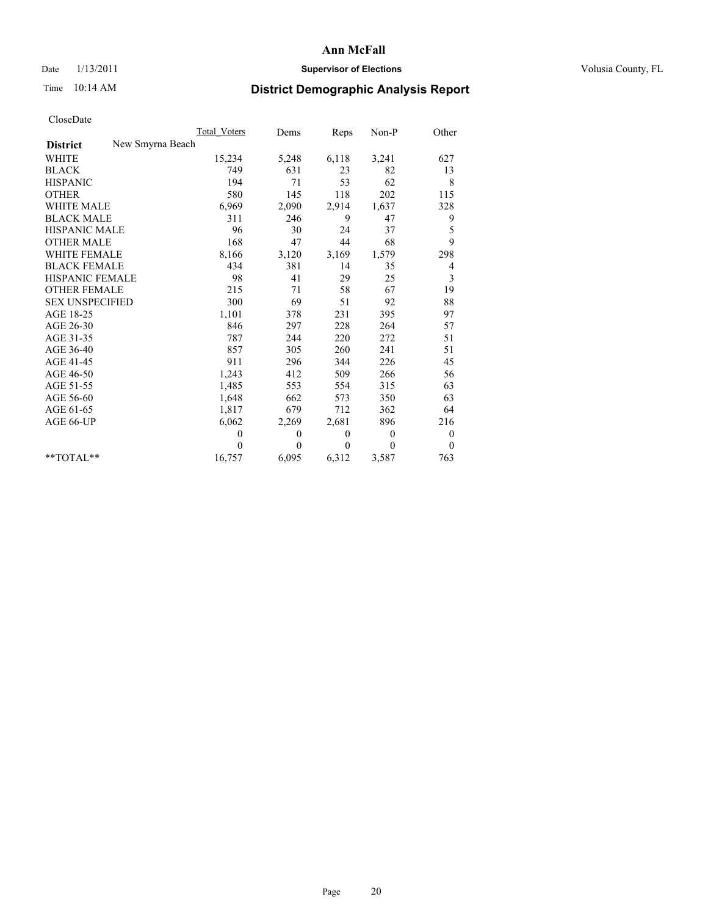# Date  $1/13/2011$  **Supervisor of Elections** Volusia County, FL

# Time 10:14 AM **District Demographic Analysis Report**

|                                     | Total Voters | Dems     | Reps     | $Non-P$  | Other            |
|-------------------------------------|--------------|----------|----------|----------|------------------|
| New Smyrna Beach<br><b>District</b> |              |          |          |          |                  |
| WHITE                               | 15,234       | 5,248    | 6,118    | 3,241    | 627              |
| <b>BLACK</b>                        | 749          | 631      | 23       | 82       | 13               |
| <b>HISPANIC</b>                     | 194          | 71       | 53       | 62       | 8                |
| <b>OTHER</b>                        | 580          | 145      | 118      | 202      | 115              |
| <b>WHITE MALE</b>                   | 6,969        | 2,090    | 2,914    | 1,637    | 328              |
| <b>BLACK MALE</b>                   | 311          | 246      | 9        | 47       | 9                |
| <b>HISPANIC MALE</b>                | 96           | 30       | 24       | 37       | 5                |
| <b>OTHER MALE</b>                   | 168          | 47       | 44       | 68       | 9                |
| <b>WHITE FEMALE</b>                 | 8,166        | 3,120    | 3,169    | 1,579    | 298              |
| <b>BLACK FEMALE</b>                 | 434          | 381      | 14       | 35       | 4                |
| HISPANIC FEMALE                     | 98           | 41       | 29       | 25       | 3                |
| <b>OTHER FEMALE</b>                 | 215          | 71       | 58       | 67       | 19               |
| <b>SEX UNSPECIFIED</b>              | 300          | 69       | 51       | 92       | 88               |
| AGE 18-25                           | 1,101        | 378      | 231      | 395      | 97               |
| AGE 26-30                           | 846          | 297      | 228      | 264      | 57               |
| AGE 31-35                           | 787          | 244      | 220      | 272      | 51               |
| AGE 36-40                           | 857          | 305      | 260      | 241      | 51               |
| AGE 41-45                           | 911          | 296      | 344      | 226      | 45               |
| AGE 46-50                           | 1,243        | 412      | 509      | 266      | 56               |
| AGE 51-55                           | 1,485        | 553      | 554      | 315      | 63               |
| AGE 56-60                           | 1,648        | 662      | 573      | 350      | 63               |
| AGE 61-65                           | 1,817        | 679      | 712      | 362      | 64               |
| AGE 66-UP                           | 6,062        | 2,269    | 2,681    | 896      | 216              |
|                                     | $\mathbf{0}$ | $\theta$ | $\theta$ | $\theta$ | $\boldsymbol{0}$ |
|                                     | $\Omega$     | $\theta$ | $\theta$ | $\theta$ | $\theta$         |
| $*$ $TOTAI.**$                      | 16,757       | 6,095    | 6,312    | 3,587    | 763              |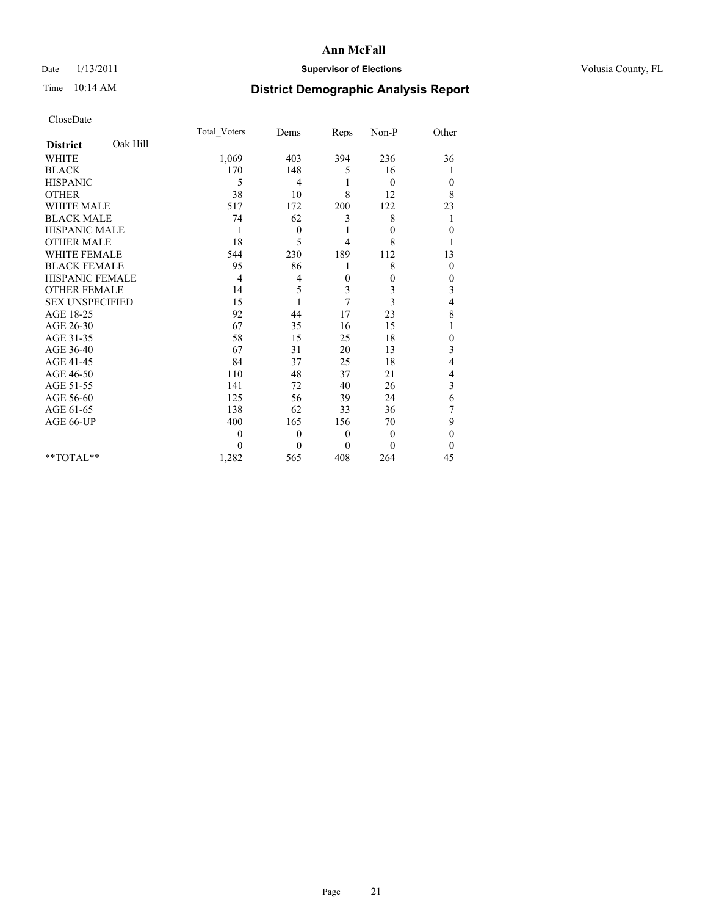# Date  $1/13/2011$  **Supervisor of Elections** Volusia County, FL

# Time 10:14 AM **District Demographic Analysis Report**

|                             | <b>Total Voters</b> | Dems         | Reps           | Non-P    | Other            |  |
|-----------------------------|---------------------|--------------|----------------|----------|------------------|--|
| Oak Hill<br><b>District</b> |                     |              |                |          |                  |  |
| <b>WHITE</b>                | 1,069               | 403          | 394            | 236      | 36               |  |
| <b>BLACK</b>                | 170                 | 148          | 5              | 16       |                  |  |
| <b>HISPANIC</b>             | 5                   | 4            |                | $\theta$ | $\boldsymbol{0}$ |  |
| <b>OTHER</b>                | 38                  | 10           | 8              | 12       | 8                |  |
| <b>WHITE MALE</b>           | 517                 | 172          | 200            | 122      | 23               |  |
| <b>BLACK MALE</b>           | 74                  | 62           | 3              | 8        | 1                |  |
| HISPANIC MALE               |                     | $\theta$     |                | $\Omega$ | $\boldsymbol{0}$ |  |
| <b>OTHER MALE</b>           | 18                  | 5            | $\overline{4}$ | 8        |                  |  |
| WHITE FEMALE                | 544                 | 230          | 189            | 112      | 13               |  |
| <b>BLACK FEMALE</b>         | 95                  | 86           |                | 8        | $\mathbf{0}$     |  |
| <b>HISPANIC FEMALE</b>      | 4                   | 4            | $\mathbf{0}$   | $\theta$ | $\boldsymbol{0}$ |  |
| <b>OTHER FEMALE</b>         | 14                  | 5            | 3              | 3        | 3                |  |
| <b>SEX UNSPECIFIED</b>      | 15                  |              | 7              | 3        | 4                |  |
| AGE 18-25                   | 92                  | 44           | 17             | 23       | 8                |  |
| AGE 26-30                   | 67                  | 35           | 16             | 15       |                  |  |
| AGE 31-35                   | 58                  | 15           | 25             | 18       | $\boldsymbol{0}$ |  |
| AGE 36-40                   | 67                  | 31           | 20             | 13       | 3                |  |
| AGE 41-45                   | 84                  | 37           | 25             | 18       | 4                |  |
| AGE 46-50                   | 110                 | 48           | 37             | 21       | 4                |  |
| AGE 51-55                   | 141                 | 72           | 40             | 26       | 3                |  |
| AGE 56-60                   | 125                 | 56           | 39             | 24       | 6                |  |
| AGE 61-65                   | 138                 | 62           | 33             | 36       | 7                |  |
| AGE 66-UP                   | 400                 | 165          | 156            | 70       | 9                |  |
|                             | $\theta$            | $\mathbf{0}$ | $\theta$       | $\theta$ | $\overline{0}$   |  |
|                             | $\Omega$            | $\theta$     | $\theta$       | $\theta$ | $\theta$         |  |
| **TOTAL**                   | 1,282               | 565          | 408            | 264      | 45               |  |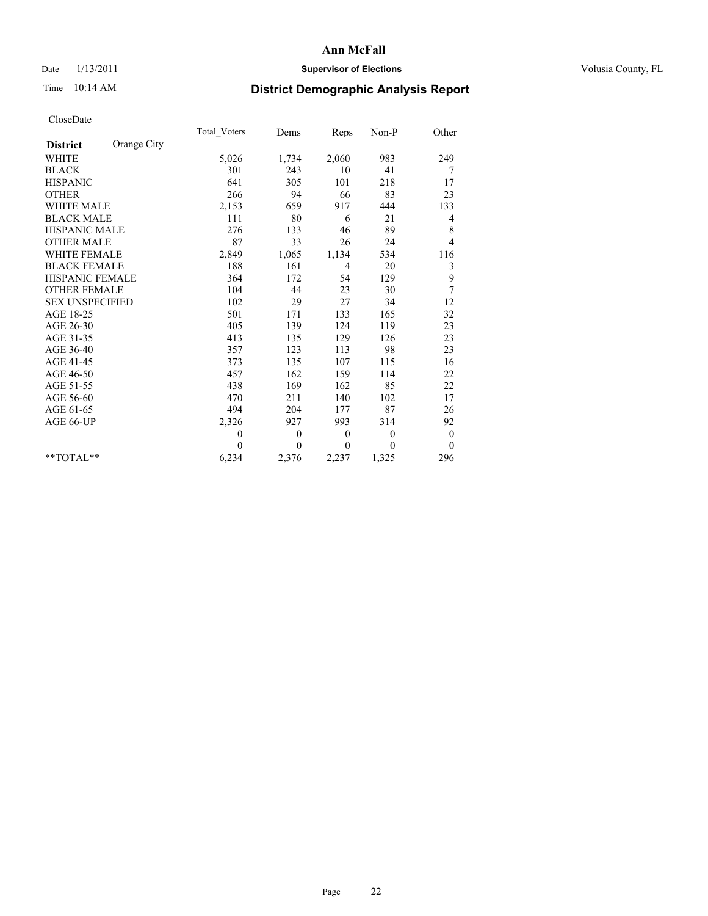# Date  $1/13/2011$  **Supervisor of Elections** Volusia County, FL

# Time 10:14 AM **District Demographic Analysis Report**

|                        |             | Total Voters | Dems     | Reps             | $Non-P$      | Other            |
|------------------------|-------------|--------------|----------|------------------|--------------|------------------|
| <b>District</b>        | Orange City |              |          |                  |              |                  |
| <b>WHITE</b>           |             | 5,026        | 1,734    | 2,060            | 983          | 249              |
| <b>BLACK</b>           |             | 301          | 243      | 10               | 41           | 7                |
| <b>HISPANIC</b>        |             | 641          | 305      | 101              | 218          | 17               |
| <b>OTHER</b>           |             | 266          | 94       | 66               | 83           | 23               |
| <b>WHITE MALE</b>      |             | 2,153        | 659      | 917              | 444          | 133              |
| <b>BLACK MALE</b>      |             | 111          | 80       | 6                | 21           | 4                |
| <b>HISPANIC MALE</b>   |             | 276          | 133      | 46               | 89           | 8                |
| <b>OTHER MALE</b>      |             | 87           | 33       | 26               | 24           | 4                |
| <b>WHITE FEMALE</b>    |             | 2,849        | 1,065    | 1,134            | 534          | 116              |
| <b>BLACK FEMALE</b>    |             | 188          | 161      | $\overline{4}$   | 20           | 3                |
| HISPANIC FEMALE        |             | 364          | 172      | 54               | 129          | 9                |
| <b>OTHER FEMALE</b>    |             | 104          | 44       | 23               | 30           | 7                |
| <b>SEX UNSPECIFIED</b> |             | 102          | 29       | $27\,$           | 34           | 12               |
| AGE 18-25              |             | 501          | 171      | 133              | 165          | 32               |
| AGE 26-30              |             | 405          | 139      | 124              | 119          | 23               |
| AGE 31-35              |             | 413          | 135      | 129              | 126          | 23               |
| AGE 36-40              |             | 357          | 123      | 113              | 98           | 23               |
| AGE 41-45              |             | 373          | 135      | 107              | 115          | 16               |
| AGE 46-50              |             | 457          | 162      | 159              | 114          | 22               |
| AGE 51-55              |             | 438          | 169      | 162              | 85           | 22               |
| AGE 56-60              |             | 470          | 211      | 140              | 102          | 17               |
| AGE 61-65              |             | 494          | 204      | 177              | 87           | 26               |
| AGE 66-UP              |             | 2,326        | 927      | 993              | 314          | 92               |
|                        |             | $\theta$     | $\theta$ | $\boldsymbol{0}$ | $\mathbf{0}$ | $\boldsymbol{0}$ |
|                        |             | $\theta$     | $\theta$ | $\mathbf{0}$     | $\theta$     | $\theta$         |
| $*$ TOTAL $*$          |             | 6,234        | 2,376    | 2,237            | 1,325        | 296              |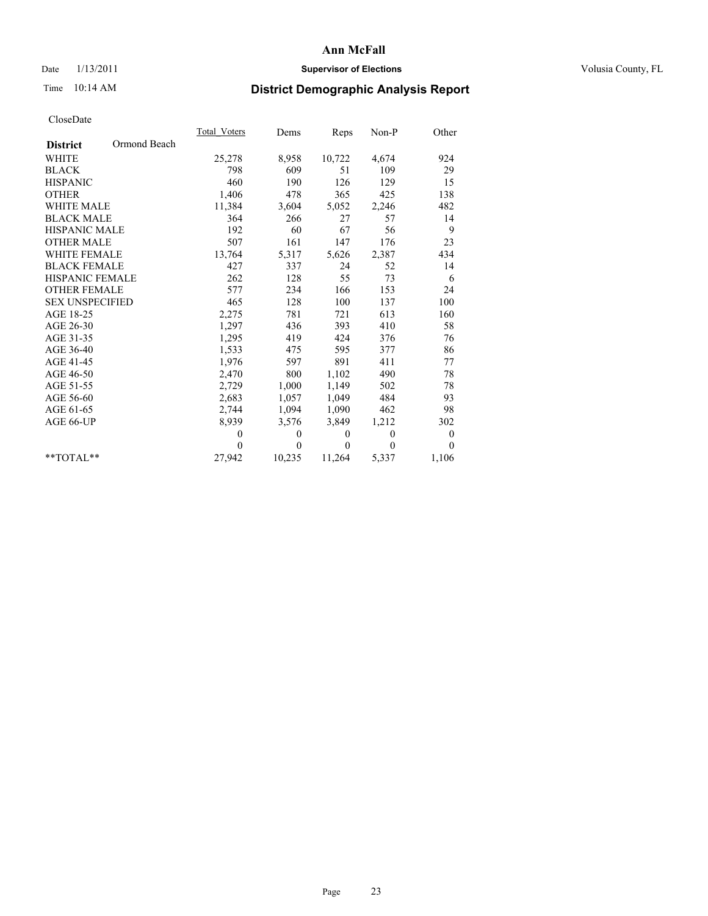# Date  $1/13/2011$  **Supervisor of Elections** Volusia County, FL

# Time 10:14 AM **District Demographic Analysis Report**

|                        |              | Total Voters | Dems         | Reps         | Non-P    | Other            |  |
|------------------------|--------------|--------------|--------------|--------------|----------|------------------|--|
| <b>District</b>        | Ormond Beach |              |              |              |          |                  |  |
| <b>WHITE</b>           |              | 25,278       | 8,958        | 10,722       | 4,674    | 924              |  |
| <b>BLACK</b>           |              | 798          | 609          | 51           | 109      | 29               |  |
| <b>HISPANIC</b>        |              | 460          | 190          | 126          | 129      | 15               |  |
| <b>OTHER</b>           |              | 1,406        | 478          | 365          | 425      | 138              |  |
| <b>WHITE MALE</b>      |              | 11,384       | 3,604        | 5,052        | 2,246    | 482              |  |
| <b>BLACK MALE</b>      |              | 364          | 266          | 27           | 57       | 14               |  |
| <b>HISPANIC MALE</b>   |              | 192          | 60           | 67           | 56       | 9                |  |
| <b>OTHER MALE</b>      |              | 507          | 161          | 147          | 176      | 23               |  |
| WHITE FEMALE           |              | 13,764       | 5,317        | 5,626        | 2,387    | 434              |  |
| <b>BLACK FEMALE</b>    |              | 427          | 337          | 24           | 52       | 14               |  |
| HISPANIC FEMALE        |              | 262          | 128          | 55           | 73       | 6                |  |
| <b>OTHER FEMALE</b>    |              | 577          | 234          | 166          | 153      | 24               |  |
| <b>SEX UNSPECIFIED</b> |              | 465          | 128          | 100          | 137      | 100              |  |
| AGE 18-25              |              | 2,275        | 781          | 721          | 613      | 160              |  |
| AGE 26-30              |              | 1,297        | 436          | 393          | 410      | 58               |  |
| AGE 31-35              |              | 1,295        | 419          | 424          | 376      | 76               |  |
| AGE 36-40              |              | 1,533        | 475          | 595          | 377      | 86               |  |
| AGE 41-45              |              | 1,976        | 597          | 891          | 411      | 77               |  |
| AGE 46-50              |              | 2,470        | 800          | 1,102        | 490      | 78               |  |
| AGE 51-55              |              | 2,729        | 1,000        | 1,149        | 502      | 78               |  |
| AGE 56-60              |              | 2,683        | 1,057        | 1,049        | 484      | 93               |  |
| AGE 61-65              |              | 2,744        | 1,094        | 1,090        | 462      | 98               |  |
| AGE 66-UP              |              | 8,939        | 3,576        | 3,849        | 1,212    | 302              |  |
|                        |              | $\theta$     | $\mathbf{0}$ | $\mathbf{0}$ | $\theta$ | $\boldsymbol{0}$ |  |
|                        |              | $\theta$     | $\theta$     | $\theta$     | $\theta$ | $\theta$         |  |
| $*$ $TOTAI.**$         |              | 27,942       | 10,235       | 11,264       | 5,337    | 1,106            |  |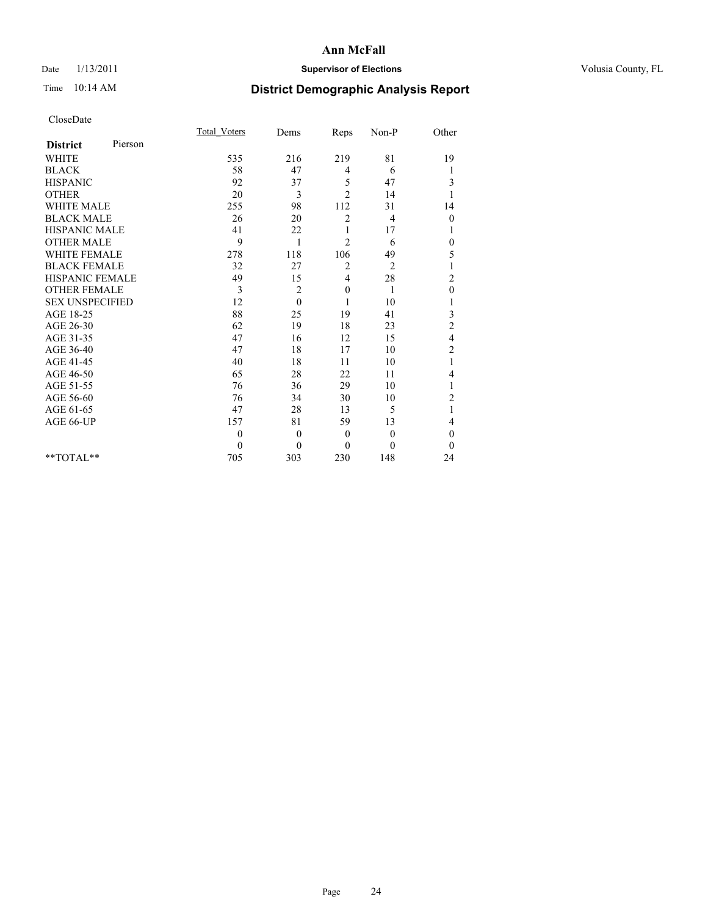# Date  $1/13/2011$  **Supervisor of Elections** Volusia County, FL

# Time 10:14 AM **District Demographic Analysis Report**

|                        |         | <b>Total Voters</b> | Dems           | Reps           | Non-P          | Other                   |
|------------------------|---------|---------------------|----------------|----------------|----------------|-------------------------|
| <b>District</b>        | Pierson |                     |                |                |                |                         |
| <b>WHITE</b>           |         | 535                 | 216            | 219            | 81             | 19                      |
| <b>BLACK</b>           |         | 58                  | 47             | 4              | 6              | 1                       |
| <b>HISPANIC</b>        |         | 92                  | 37             | 5              | 47             | 3                       |
| <b>OTHER</b>           |         | 20                  | 3              | $\overline{2}$ | 14             | 1                       |
| <b>WHITE MALE</b>      |         | 255                 | 98             | 112            | 31             | 14                      |
| <b>BLACK MALE</b>      |         | 26                  | 20             | $\overline{2}$ | 4              | $\boldsymbol{0}$        |
| <b>HISPANIC MALE</b>   |         | 41                  | 22             | 1              | 17             | 1                       |
| <b>OTHER MALE</b>      |         | 9                   | 1              | $\overline{2}$ | 6              | $\boldsymbol{0}$        |
| <b>WHITE FEMALE</b>    |         | 278                 | 118            | 106            | 49             | 5                       |
| <b>BLACK FEMALE</b>    |         | 32                  | 27             | $\overline{2}$ | $\overline{2}$ |                         |
| HISPANIC FEMALE        |         | 49                  | 15             | 4              | 28             | $\overline{c}$          |
| <b>OTHER FEMALE</b>    |         | 3                   | 2              | $\mathbf{0}$   | 1              | $\mathbf{0}$            |
| <b>SEX UNSPECIFIED</b> |         | 12                  | $\Omega$       | 1              | 10             |                         |
| AGE 18-25              |         | 88                  | 25             | 19             | 41             | 3                       |
| AGE 26-30              |         | 62                  | 19             | 18             | 23             | $\overline{c}$          |
| AGE 31-35              |         | 47                  | 16             | 12             | 15             | $\overline{\mathbf{4}}$ |
| AGE 36-40              |         | 47                  | 18             | 17             | 10             | $\overline{c}$          |
| AGE 41-45              |         | 40                  | 18             | 11             | 10             | 1                       |
| AGE 46-50              |         | 65                  | 28             | 22             | 11             | 4                       |
| AGE 51-55              |         | 76                  | 36             | 29             | 10             | 1                       |
| AGE 56-60              |         | 76                  | 34             | 30             | 10             | $\overline{c}$          |
| AGE 61-65              |         | 47                  | 28             | 13             | 5              | $\mathbf{1}$            |
| AGE 66-UP              |         | 157                 | 81             | 59             | 13             | 4                       |
|                        |         | $\mathbf{0}$        | $\overline{0}$ | $\mathbf{0}$   | $\overline{0}$ | $\mathbf{0}$            |
|                        |         | $\theta$            | $\theta$       | $\theta$       | $\theta$       | $\theta$                |
| $*$ $TOTAI.**$         |         | 705                 | 303            | 230            | 148            | 24                      |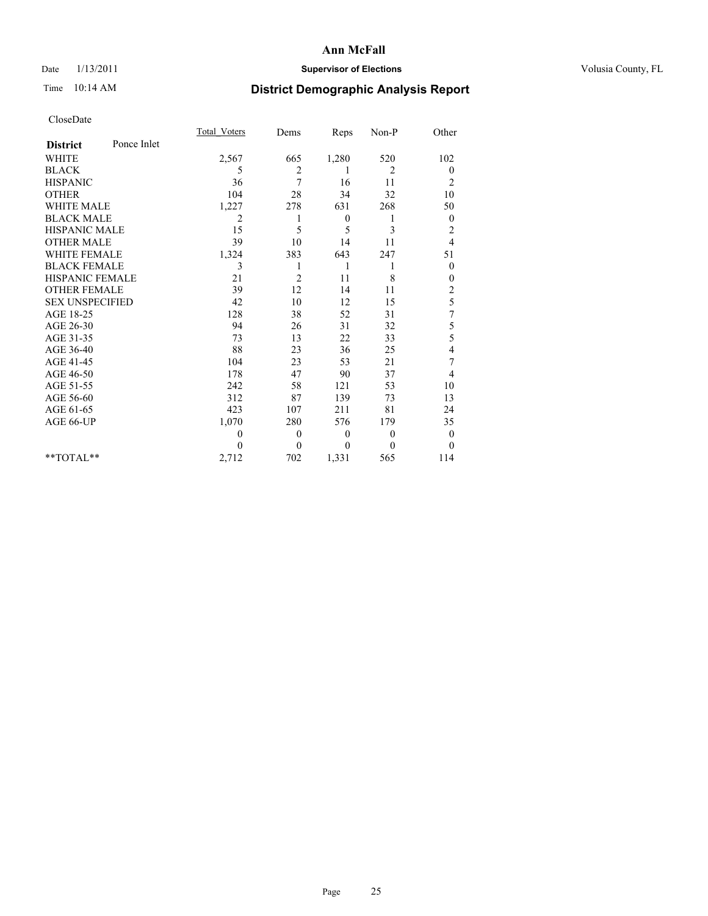# Date  $1/13/2011$  **Supervisor of Elections** Volusia County, FL

# Time 10:14 AM **District Demographic Analysis Report**

|                        |             | <b>Total Voters</b> | Dems     | Reps         | Non-P          | Other            |  |
|------------------------|-------------|---------------------|----------|--------------|----------------|------------------|--|
| <b>District</b>        | Ponce Inlet |                     |          |              |                |                  |  |
| <b>WHITE</b>           |             | 2,567               | 665      | 1,280        | 520            | 102              |  |
| <b>BLACK</b>           |             | 5                   | 2        | 1            | $\overline{2}$ | $\mathbf{0}$     |  |
| <b>HISPANIC</b>        |             | 36                  | 7        | 16           | 11             | $\overline{c}$   |  |
| <b>OTHER</b>           |             | 104                 | 28       | 34           | 32             | 10               |  |
| <b>WHITE MALE</b>      |             | 1,227               | 278      | 631          | 268            | 50               |  |
| <b>BLACK MALE</b>      |             | 2                   | 1        | $\mathbf{0}$ | 1              | $\mathbf{0}$     |  |
| <b>HISPANIC MALE</b>   |             | 15                  | 5        | 5            | 3              | $\overline{c}$   |  |
| <b>OTHER MALE</b>      |             | 39                  | 10       | 14           | 11             | $\overline{4}$   |  |
| <b>WHITE FEMALE</b>    |             | 1,324               | 383      | 643          | 247            | 51               |  |
| <b>BLACK FEMALE</b>    |             | 3                   | 1        | 1            | 1              | $\boldsymbol{0}$ |  |
| HISPANIC FEMALE        |             | 21                  | 2        | 11           | 8              | 0                |  |
| <b>OTHER FEMALE</b>    |             | 39                  | 12       | 14           | 11             | $\overline{2}$   |  |
| <b>SEX UNSPECIFIED</b> |             | 42                  | 10       | 12           | 15             | 5                |  |
| AGE 18-25              |             | 128                 | 38       | 52           | 31             | 7                |  |
| AGE 26-30              |             | 94                  | 26       | 31           | 32             | 5                |  |
| AGE 31-35              |             | 73                  | 13       | 22           | 33             | 5                |  |
| AGE 36-40              |             | 88                  | 23       | 36           | 25             | 4                |  |
| AGE 41-45              |             | 104                 | 23       | 53           | 21             | 7                |  |
| AGE 46-50              |             | 178                 | 47       | 90           | 37             | 4                |  |
| AGE 51-55              |             | 242                 | 58       | 121          | 53             | 10               |  |
| AGE 56-60              |             | 312                 | 87       | 139          | 73             | 13               |  |
| AGE 61-65              |             | 423                 | 107      | 211          | 81             | 24               |  |
| AGE 66-UP              |             | 1,070               | 280      | 576          | 179            | 35               |  |
|                        |             | 0                   | $\theta$ | $\mathbf{0}$ | $\mathbf{0}$   | $\boldsymbol{0}$ |  |
|                        |             | 0                   | $\theta$ | $\theta$     | $\Omega$       | $\mathbf{0}$     |  |
| $*$ TOTAL $*$          |             | 2,712               | 702      | 1,331        | 565            | 114              |  |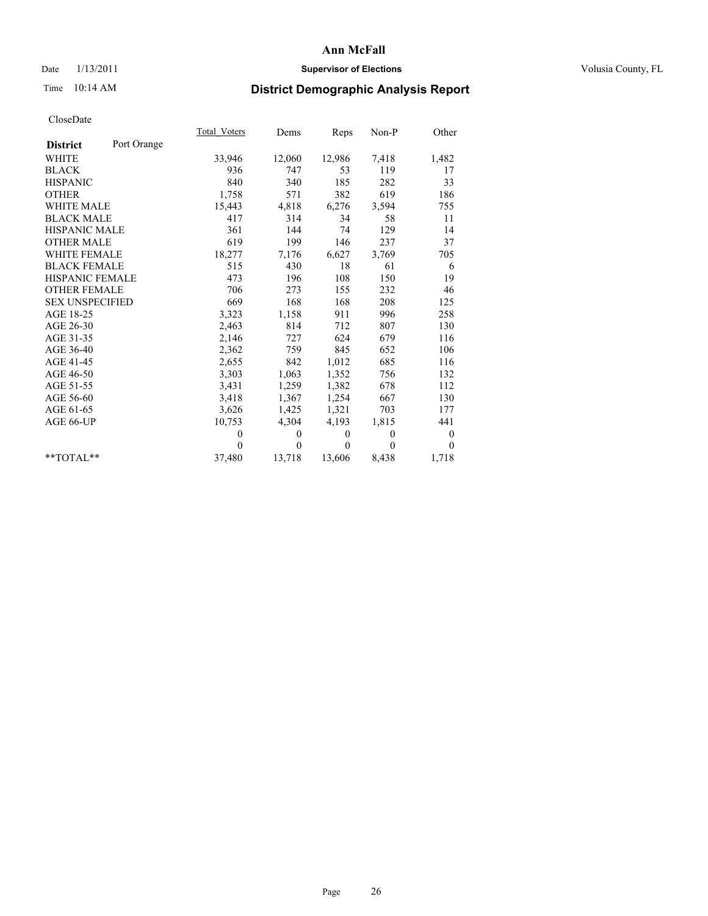# Date  $1/13/2011$  **Supervisor of Elections** Volusia County, FL

# Time 10:14 AM **District Demographic Analysis Report**

|                        |             | Total Voters | Dems     | Reps     | $Non-P$  | Other            |
|------------------------|-------------|--------------|----------|----------|----------|------------------|
| <b>District</b>        | Port Orange |              |          |          |          |                  |
| <b>WHITE</b>           |             | 33,946       | 12,060   | 12,986   | 7,418    | 1,482            |
| <b>BLACK</b>           |             | 936          | 747      | 53       | 119      | 17               |
| <b>HISPANIC</b>        |             | 840          | 340      | 185      | 282      | 33               |
| <b>OTHER</b>           |             | 1,758        | 571      | 382      | 619      | 186              |
| <b>WHITE MALE</b>      |             | 15,443       | 4,818    | 6,276    | 3,594    | 755              |
| <b>BLACK MALE</b>      |             | 417          | 314      | 34       | 58       | 11               |
| <b>HISPANIC MALE</b>   |             | 361          | 144      | 74       | 129      | 14               |
| <b>OTHER MALE</b>      |             | 619          | 199      | 146      | 237      | 37               |
| <b>WHITE FEMALE</b>    |             | 18,277       | 7,176    | 6,627    | 3,769    | 705              |
| <b>BLACK FEMALE</b>    |             | 515          | 430      | 18       | 61       | 6                |
| HISPANIC FEMALE        |             | 473          | 196      | 108      | 150      | 19               |
| <b>OTHER FEMALE</b>    |             | 706          | 273      | 155      | 232      | 46               |
| <b>SEX UNSPECIFIED</b> |             | 669          | 168      | 168      | 208      | 125              |
| AGE 18-25              |             | 3,323        | 1,158    | 911      | 996      | 258              |
| AGE 26-30              |             | 2,463        | 814      | 712      | 807      | 130              |
| AGE 31-35              |             | 2,146        | 727      | 624      | 679      | 116              |
| AGE 36-40              |             | 2,362        | 759      | 845      | 652      | 106              |
| AGE 41-45              |             | 2,655        | 842      | 1,012    | 685      | 116              |
| AGE 46-50              |             | 3,303        | 1,063    | 1,352    | 756      | 132              |
| AGE 51-55              |             | 3,431        | 1,259    | 1,382    | 678      | 112              |
| AGE 56-60              |             | 3,418        | 1,367    | 1,254    | 667      | 130              |
| AGE 61-65              |             | 3,626        | 1,425    | 1,321    | 703      | 177              |
| AGE 66-UP              |             | 10,753       | 4,304    | 4,193    | 1,815    | 441              |
|                        |             | $\theta$     | $\theta$ | $\theta$ | $\theta$ | $\boldsymbol{0}$ |
|                        |             | $\Omega$     | $\theta$ | $\theta$ | $\theta$ | $\theta$         |
| $*$ $TOTAI.**$         |             | 37,480       | 13,718   | 13,606   | 8,438    | 1,718            |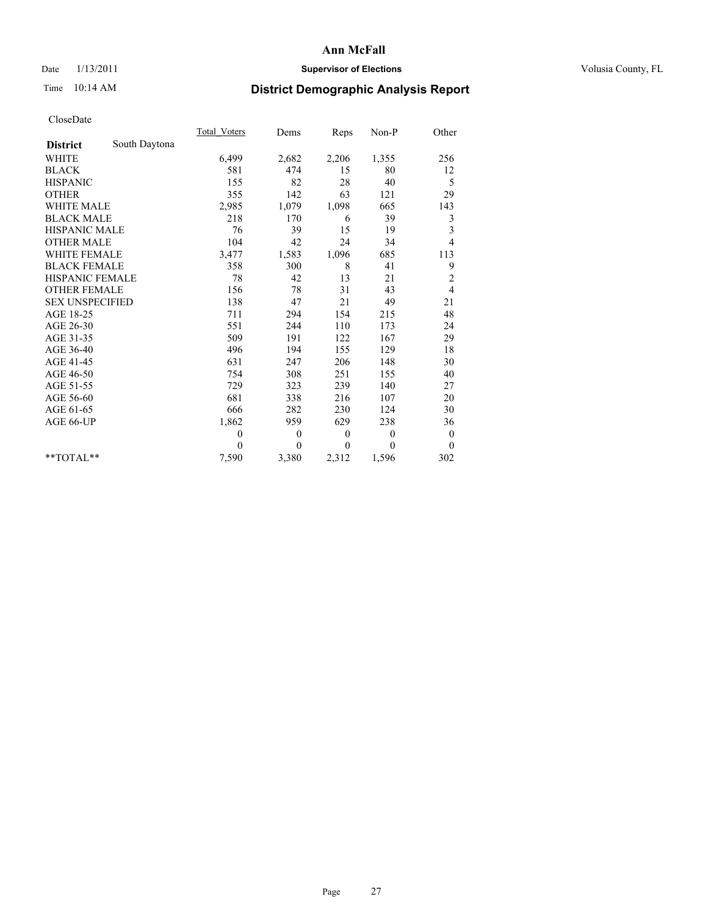# Date  $1/13/2011$  **Supervisor of Elections** Volusia County, FL

# Time 10:14 AM **District Demographic Analysis Report**

|                        |               | Total Voters | Dems         | Reps         | Non-P        | Other            |
|------------------------|---------------|--------------|--------------|--------------|--------------|------------------|
| <b>District</b>        | South Daytona |              |              |              |              |                  |
| <b>WHITE</b>           |               | 6,499        | 2,682        | 2,206        | 1,355        | 256              |
| <b>BLACK</b>           |               | 581          | 474          | 15           | 80           | 12               |
| <b>HISPANIC</b>        |               | 155          | 82           | 28           | 40           | 5                |
| <b>OTHER</b>           |               | 355          | 142          | 63           | 121          | 29               |
| <b>WHITE MALE</b>      |               | 2,985        | 1,079        | 1,098        | 665          | 143              |
| <b>BLACK MALE</b>      |               | 218          | 170          | 6            | 39           | 3                |
| <b>HISPANIC MALE</b>   |               | 76           | 39           | 15           | 19           | 3                |
| <b>OTHER MALE</b>      |               | 104          | 42           | 24           | 34           | $\overline{4}$   |
| WHITE FEMALE           |               | 3,477        | 1,583        | 1,096        | 685          | 113              |
| <b>BLACK FEMALE</b>    |               | 358          | 300          | 8            | 41           | 9                |
| HISPANIC FEMALE        |               | 78           | 42           | 13           | 21           | $\overline{c}$   |
| <b>OTHER FEMALE</b>    |               | 156          | 78           | 31           | 43           | $\overline{4}$   |
| <b>SEX UNSPECIFIED</b> |               | 138          | 47           | 21           | 49           | 21               |
| AGE 18-25              |               | 711          | 294          | 154          | 215          | 48               |
| AGE 26-30              |               | 551          | 244          | 110          | 173          | 24               |
| AGE 31-35              |               | 509          | 191          | 122          | 167          | 29               |
| AGE 36-40              |               | 496          | 194          | 155          | 129          | 18               |
| AGE 41-45              |               | 631          | 247          | 206          | 148          | 30               |
| AGE 46-50              |               | 754          | 308          | 251          | 155          | 40               |
| AGE 51-55              |               | 729          | 323          | 239          | 140          | 27               |
| AGE 56-60              |               | 681          | 338          | 216          | 107          | 20               |
| AGE 61-65              |               | 666          | 282          | 230          | 124          | 30               |
| AGE 66-UP              |               | 1,862        | 959          | 629          | 238          | 36               |
|                        |               | $\theta$     | $\mathbf{0}$ | $\mathbf{0}$ | $\mathbf{0}$ | $\boldsymbol{0}$ |
|                        |               | $\theta$     | $\theta$     | $\theta$     | $\theta$     | $\mathbf{0}$     |
| $*$ TOTAL $*$          |               | 7,590        | 3,380        | 2,312        | 1,596        | 302              |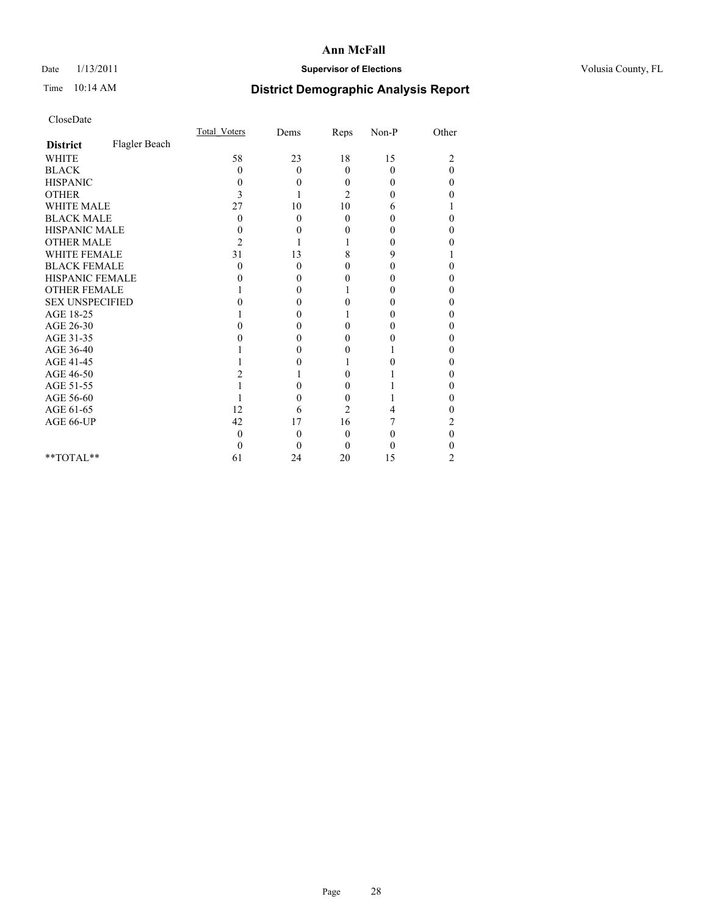# Date  $1/13/2011$  **Supervisor of Elections** Volusia County, FL

# Time 10:14 AM **District Demographic Analysis Report**

|                        |               | Total Voters   | Dems     | Reps           | $Non-P$  | Other          |  |
|------------------------|---------------|----------------|----------|----------------|----------|----------------|--|
| <b>District</b>        | Flagler Beach |                |          |                |          |                |  |
| <b>WHITE</b>           |               | 58             | 23       | 18             | 15       | $\overline{c}$ |  |
| <b>BLACK</b>           |               | 0              | $\theta$ | $\theta$       | $\theta$ | $\theta$       |  |
| <b>HISPANIC</b>        |               | 0              | 0        | $\Omega$       | 0        | 0              |  |
| <b>OTHER</b>           |               | 3              |          | $\overline{c}$ | 0        | 0              |  |
| <b>WHITE MALE</b>      |               | 27             | 10       | 10             | 6        |                |  |
| <b>BLACK MALE</b>      |               | $\theta$       | $\theta$ | $\Omega$       | 0        | 0              |  |
| HISPANIC MALE          |               | 0              | 0        | 0              | 0        | 0              |  |
| <b>OTHER MALE</b>      |               | $\overline{c}$ |          |                | 0        | 0              |  |
| WHITE FEMALE           |               | 31             | 13       | 8              | 9        |                |  |
| <b>BLACK FEMALE</b>    |               | 0              | 0        | 0              | 0        | 0              |  |
| HISPANIC FEMALE        |               |                | 0        | 0              | 0        | 0              |  |
| <b>OTHER FEMALE</b>    |               |                | 0        |                | 0        | 0              |  |
| <b>SEX UNSPECIFIED</b> |               |                | 0        | 0              | 0        | 0              |  |
| AGE 18-25              |               |                | 0        |                | 0        | 0              |  |
| AGE 26-30              |               |                | 0        | 0              | 0        | 0              |  |
| AGE 31-35              |               |                | 0        | 0              | 0        | 0              |  |
| AGE 36-40              |               |                | 0        | 0              |          | 0              |  |
| AGE 41-45              |               |                |          |                | 0        | 0              |  |
| AGE 46-50              |               |                |          | 0              |          | 0              |  |
| AGE 51-55              |               |                | 0        | 0              |          | 0              |  |
| AGE 56-60              |               |                | 0        | 0              |          | 0              |  |
| AGE 61-65              |               | 12             | 6        | $\overline{c}$ | 4        | 0              |  |
| AGE 66-UP              |               | 42             | 17       | 16             |          | 2              |  |
|                        |               | 0              | $\theta$ | $\Omega$       | 0        | 0              |  |
|                        |               |                | 0        | $\Omega$       | 0        |                |  |
| $*$ $TOTAI.**$         |               | 61             | 24       | 20             | 15       | 2              |  |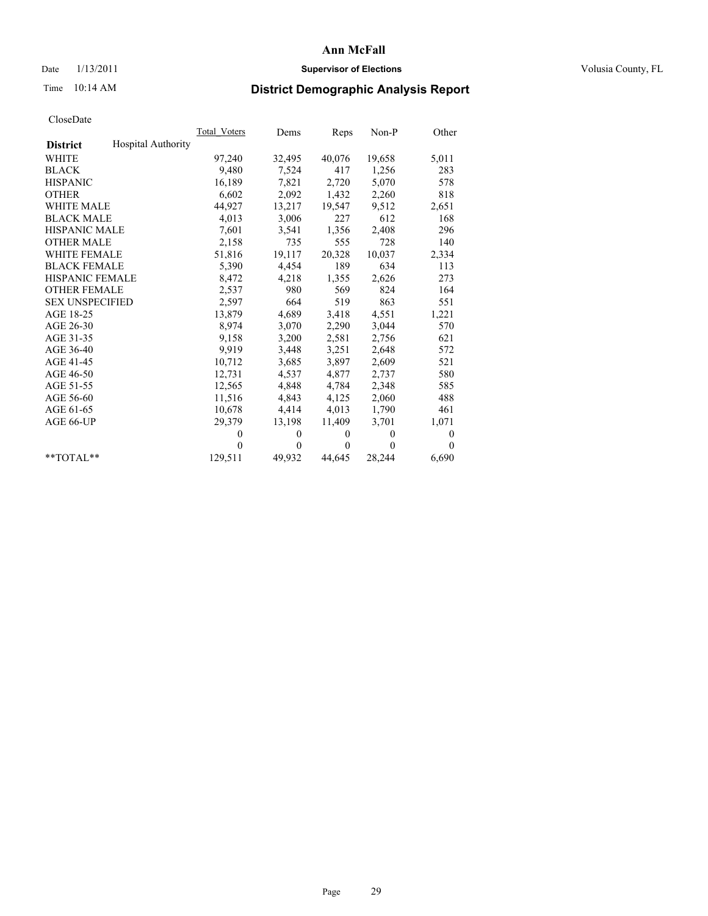# Date  $1/13/2011$  **Supervisor of Elections** Volusia County, FL

# Time 10:14 AM **District Demographic Analysis Report**

|                                              | Total Voters | Dems     | Reps     | $Non-P$  | Other            |
|----------------------------------------------|--------------|----------|----------|----------|------------------|
| <b>Hospital Authority</b><br><b>District</b> |              |          |          |          |                  |
| WHITE                                        | 97,240       | 32,495   | 40,076   | 19,658   | 5,011            |
| <b>BLACK</b>                                 | 9,480        | 7,524    | 417      | 1,256    | 283              |
| <b>HISPANIC</b>                              | 16,189       | 7,821    | 2,720    | 5,070    | 578              |
| <b>OTHER</b>                                 | 6,602        | 2,092    | 1,432    | 2,260    | 818              |
| <b>WHITE MALE</b>                            | 44,927       | 13,217   | 19,547   | 9,512    | 2,651            |
| <b>BLACK MALE</b>                            | 4,013        | 3,006    | 227      | 612      | 168              |
| <b>HISPANIC MALE</b>                         | 7,601        | 3,541    | 1,356    | 2,408    | 296              |
| <b>OTHER MALE</b>                            | 2,158        | 735      | 555      | 728      | 140              |
| <b>WHITE FEMALE</b>                          | 51,816       | 19,117   | 20,328   | 10,037   | 2,334            |
| <b>BLACK FEMALE</b>                          | 5,390        | 4,454    | 189      | 634      | 113              |
| HISPANIC FEMALE                              | 8,472        | 4,218    | 1,355    | 2,626    | 273              |
| <b>OTHER FEMALE</b>                          | 2,537        | 980      | 569      | 824      | 164              |
| <b>SEX UNSPECIFIED</b>                       | 2,597        | 664      | 519      | 863      | 551              |
| AGE 18-25                                    | 13,879       | 4,689    | 3,418    | 4,551    | 1,221            |
| AGE 26-30                                    | 8,974        | 3,070    | 2,290    | 3,044    | 570              |
| AGE 31-35                                    | 9,158        | 3,200    | 2,581    | 2,756    | 621              |
| AGE 36-40                                    | 9,919        | 3,448    | 3,251    | 2,648    | 572              |
| AGE 41-45                                    | 10,712       | 3,685    | 3,897    | 2,609    | 521              |
| AGE 46-50                                    | 12,731       | 4,537    | 4,877    | 2,737    | 580              |
| AGE 51-55                                    | 12,565       | 4,848    | 4,784    | 2,348    | 585              |
| AGE 56-60                                    | 11,516       | 4,843    | 4,125    | 2,060    | 488              |
| AGE 61-65                                    | 10,678       | 4,414    | 4,013    | 1,790    | 461              |
| AGE 66-UP                                    | 29,379       | 13,198   | 11,409   | 3,701    | 1,071            |
|                                              | $\theta$     | $\theta$ | $\Omega$ | $\theta$ | $\boldsymbol{0}$ |
|                                              | $\Omega$     | $\theta$ | $\theta$ | $\theta$ | $\Omega$         |
| $*$ $TOTAI.**$                               | 129,511      | 49,932   | 44,645   | 28,244   | 6,690            |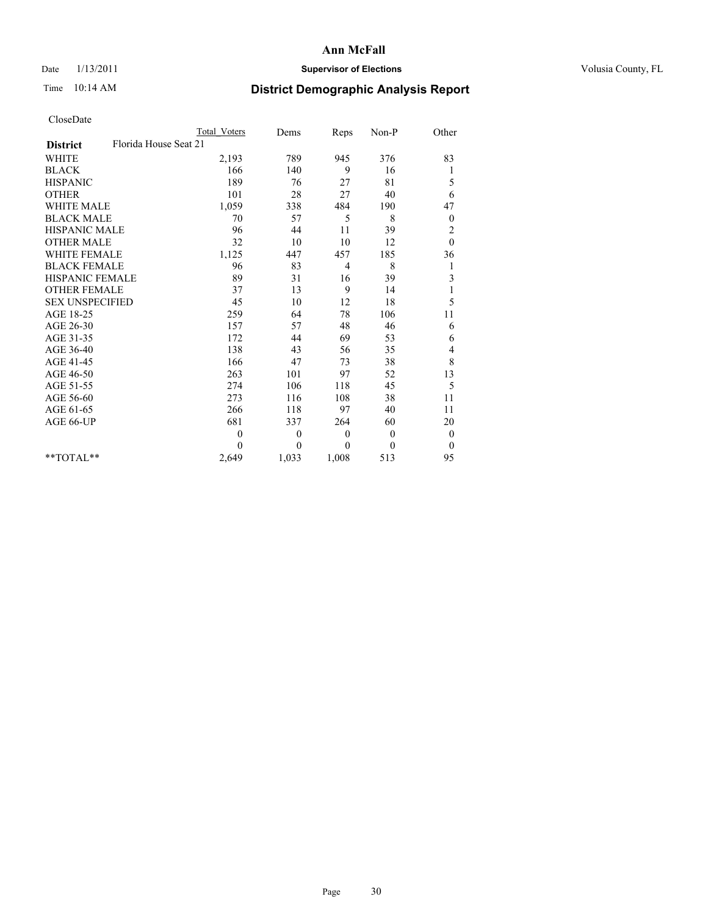## Date  $1/13/2011$  **Supervisor of Elections Supervisor of Elections** Volusia County, FL

# Time 10:14 AM **District Demographic Analysis Report**

|                                          | <b>Total Voters</b> | Dems             | Reps         | Non-P    | Other            |  |
|------------------------------------------|---------------------|------------------|--------------|----------|------------------|--|
| Florida House Seat 21<br><b>District</b> |                     |                  |              |          |                  |  |
| <b>WHITE</b>                             | 2,193               | 789              | 945          | 376      | 83               |  |
| <b>BLACK</b>                             | 166                 | 140              | 9            | 16       | 1                |  |
| <b>HISPANIC</b>                          | 189                 | 76               | 27           | 81       | 5                |  |
| <b>OTHER</b>                             | 101                 | 28               | 27           | 40       | 6                |  |
| <b>WHITE MALE</b>                        | 1,059               | 338              | 484          | 190      | 47               |  |
| <b>BLACK MALE</b>                        | 70                  | 57               | 5            | 8        | $\boldsymbol{0}$ |  |
| HISPANIC MALE                            | 96                  | 44               | 11           | 39       | $\overline{c}$   |  |
| <b>OTHER MALE</b>                        | 32                  | 10               | 10           | 12       | $\mathbf{0}$     |  |
| <b>WHITE FEMALE</b>                      | 1,125               | 447              | 457          | 185      | 36               |  |
| <b>BLACK FEMALE</b>                      | 96                  | 83               | 4            | 8        | 1                |  |
| HISPANIC FEMALE                          | 89                  | 31               | 16           | 39       | 3                |  |
| <b>OTHER FEMALE</b>                      | 37                  | 13               | 9            | 14       | 1                |  |
| <b>SEX UNSPECIFIED</b>                   | 45                  | 10               | 12           | 18       | 5                |  |
| AGE 18-25                                | 259                 | 64               | 78           | 106      | 11               |  |
| AGE 26-30                                | 157                 | 57               | 48           | 46       | 6                |  |
| AGE 31-35                                | 172                 | 44               | 69           | 53       | 6                |  |
| AGE 36-40                                | 138                 | 43               | 56           | 35       | 4                |  |
| AGE 41-45                                | 166                 | 47               | 73           | 38       | $\,$ 8 $\,$      |  |
| AGE 46-50                                | 263                 | 101              | 97           | 52       | 13               |  |
| AGE 51-55                                | 274                 | 106              | 118          | 45       | 5                |  |
| AGE 56-60                                | 273                 | 116              | 108          | 38       | 11               |  |
| AGE 61-65                                | 266                 | 118              | 97           | 40       | 11               |  |
| AGE 66-UP                                | 681                 | 337              | 264          | 60       | 20               |  |
|                                          | $\mathbf{0}$        | $\boldsymbol{0}$ | $\mathbf{0}$ | $\theta$ | $\boldsymbol{0}$ |  |
|                                          | $\Omega$            | $\theta$         | $\theta$     | $\theta$ | $\theta$         |  |
| $*$ $TOTAI.**$                           | 2,649               | 1,033            | 1,008        | 513      | 95               |  |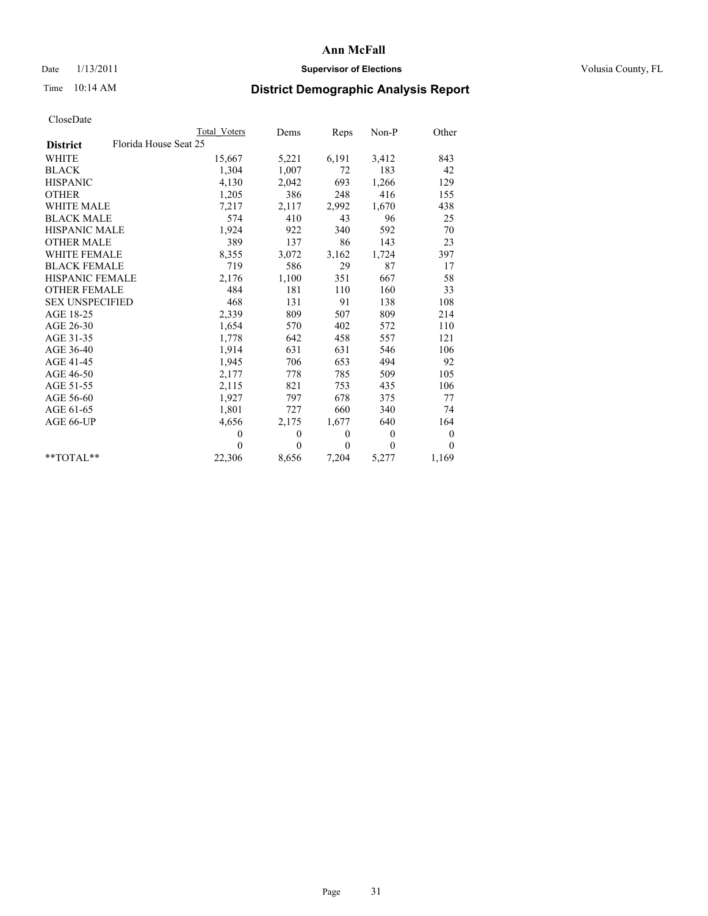# Date  $1/13/2011$  **Supervisor of Elections** Volusia County, FL

# Time 10:14 AM **District Demographic Analysis Report**

|                        | <b>Total Voters</b>   | Dems     | Reps         | Non-P        | Other    |  |
|------------------------|-----------------------|----------|--------------|--------------|----------|--|
| <b>District</b>        | Florida House Seat 25 |          |              |              |          |  |
| <b>WHITE</b>           | 15,667                | 5,221    | 6,191        | 3,412        | 843      |  |
| <b>BLACK</b>           | 1,304                 | 1,007    | 72           | 183          | 42       |  |
| <b>HISPANIC</b>        | 4,130                 | 2,042    | 693          | 1,266        | 129      |  |
| <b>OTHER</b>           | 1,205                 | 386      | 248          | 416          | 155      |  |
| <b>WHITE MALE</b>      | 7,217                 | 2,117    | 2,992        | 1,670        | 438      |  |
| <b>BLACK MALE</b>      | 574                   | 410      | 43           | 96           | 25       |  |
| <b>HISPANIC MALE</b>   | 1,924                 | 922      | 340          | 592          | 70       |  |
| <b>OTHER MALE</b>      | 389                   | 137      | 86           | 143          | 23       |  |
| <b>WHITE FEMALE</b>    | 8,355                 | 3,072    | 3,162        | 1,724        | 397      |  |
| <b>BLACK FEMALE</b>    | 719                   | 586      | 29           | 87           | 17       |  |
| <b>HISPANIC FEMALE</b> | 2,176                 | 1,100    | 351          | 667          | 58       |  |
| <b>OTHER FEMALE</b>    | 484                   | 181      | 110          | 160          | 33       |  |
| <b>SEX UNSPECIFIED</b> | 468                   | 131      | 91           | 138          | 108      |  |
| AGE 18-25              | 2,339                 | 809      | 507          | 809          | 214      |  |
| AGE 26-30              | 1,654                 | 570      | 402          | 572          | 110      |  |
| AGE 31-35              | 1,778                 | 642      | 458          | 557          | 121      |  |
| AGE 36-40              | 1,914                 | 631      | 631          | 546          | 106      |  |
| AGE 41-45              | 1,945                 | 706      | 653          | 494          | 92       |  |
| AGE 46-50              | 2,177                 | 778      | 785          | 509          | 105      |  |
| AGE 51-55              | 2,115                 | 821      | 753          | 435          | 106      |  |
| AGE 56-60              | 1,927                 | 797      | 678          | 375          | 77       |  |
| AGE 61-65              | 1,801                 | 727      | 660          | 340          | 74       |  |
| AGE 66-UP              | 4,656                 | 2,175    | 1,677        | 640          | 164      |  |
|                        | $\mathbf{0}$          | $\theta$ | $\mathbf{0}$ | $\mathbf{0}$ | $\theta$ |  |
|                        | $\Omega$              | $\theta$ | $\mathbf{0}$ | $\theta$     | $\theta$ |  |
| $*$ $TOTAI.**$         | 22,306                | 8,656    | 7,204        | 5,277        | 1,169    |  |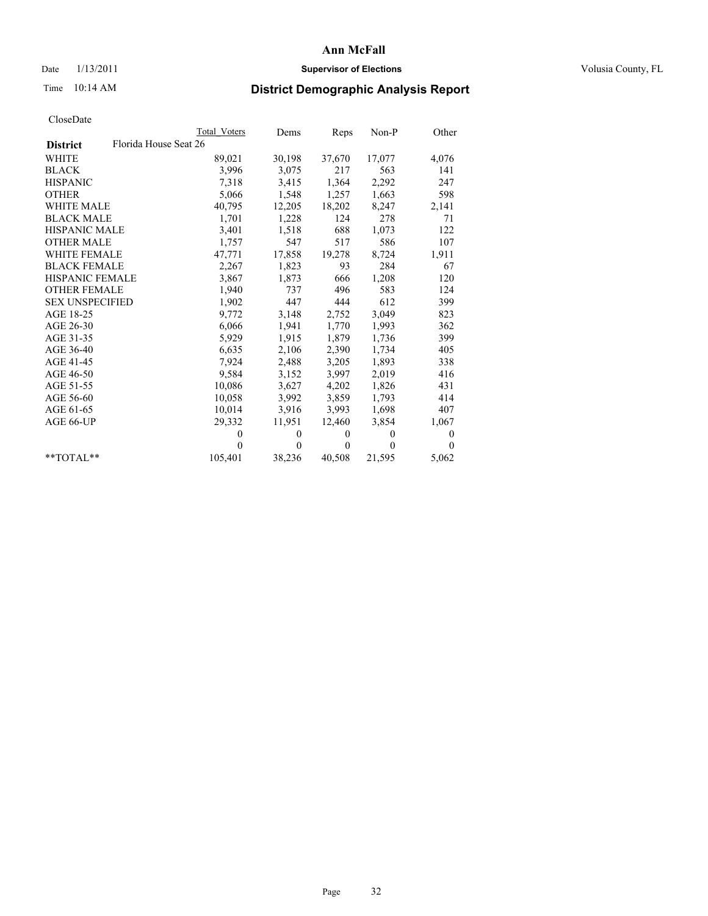# Date  $1/13/2011$  **Supervisor of Elections** Volusia County, FL

# Time 10:14 AM **District Demographic Analysis Report**

|                                          | Total Voters | Dems     | Reps         | $Non-P$  | Other        |
|------------------------------------------|--------------|----------|--------------|----------|--------------|
| Florida House Seat 26<br><b>District</b> |              |          |              |          |              |
| WHITE                                    | 89,021       | 30,198   | 37,670       | 17,077   | 4,076        |
| <b>BLACK</b>                             | 3,996        | 3,075    | 217          | 563      | 141          |
| <b>HISPANIC</b>                          | 7.318        | 3,415    | 1,364        | 2,292    | 247          |
| <b>OTHER</b>                             | 5,066        | 1,548    | 1,257        | 1,663    | 598          |
| <b>WHITE MALE</b>                        | 40,795       | 12,205   | 18,202       | 8,247    | 2,141        |
| <b>BLACK MALE</b>                        | 1,701        | 1,228    | 124          | 278      | 71           |
| <b>HISPANIC MALE</b>                     | 3,401        | 1,518    | 688          | 1,073    | 122          |
| <b>OTHER MALE</b>                        | 1,757        | 547      | 517          | 586      | 107          |
| <b>WHITE FEMALE</b>                      | 47,771       | 17,858   | 19,278       | 8,724    | 1,911        |
| <b>BLACK FEMALE</b>                      | 2,267        | 1,823    | 93           | 284      | 67           |
| <b>HISPANIC FEMALE</b>                   | 3,867        | 1,873    | 666          | 1,208    | 120          |
| <b>OTHER FEMALE</b>                      | 1,940        | 737      | 496          | 583      | 124          |
| <b>SEX UNSPECIFIED</b>                   | 1,902        | 447      | 444          | 612      | 399          |
| AGE 18-25                                | 9,772        | 3,148    | 2,752        | 3,049    | 823          |
| AGE 26-30                                | 6,066        | 1,941    | 1,770        | 1,993    | 362          |
| AGE 31-35                                | 5,929        | 1,915    | 1,879        | 1,736    | 399          |
| AGE 36-40                                | 6,635        | 2,106    | 2,390        | 1,734    | 405          |
| AGE 41-45                                | 7,924        | 2,488    | 3,205        | 1,893    | 338          |
| AGE 46-50                                | 9,584        | 3,152    | 3,997        | 2,019    | 416          |
| AGE 51-55                                | 10,086       | 3,627    | 4,202        | 1,826    | 431          |
| AGE 56-60                                | 10,058       | 3,992    | 3,859        | 1,793    | 414          |
| AGE 61-65                                | 10,014       | 3,916    | 3,993        | 1,698    | 407          |
| AGE 66-UP                                | 29,332       | 11,951   | 12,460       | 3,854    | 1,067        |
|                                          | $\mathbf{0}$ | $\theta$ | $\mathbf{0}$ | $\theta$ | $\mathbf{0}$ |
|                                          | $\theta$     | $\theta$ | $\theta$     | $\theta$ | $\Omega$     |
| $*$ $TOTAI.**$                           | 105,401      | 38,236   | 40,508       | 21,595   | 5,062        |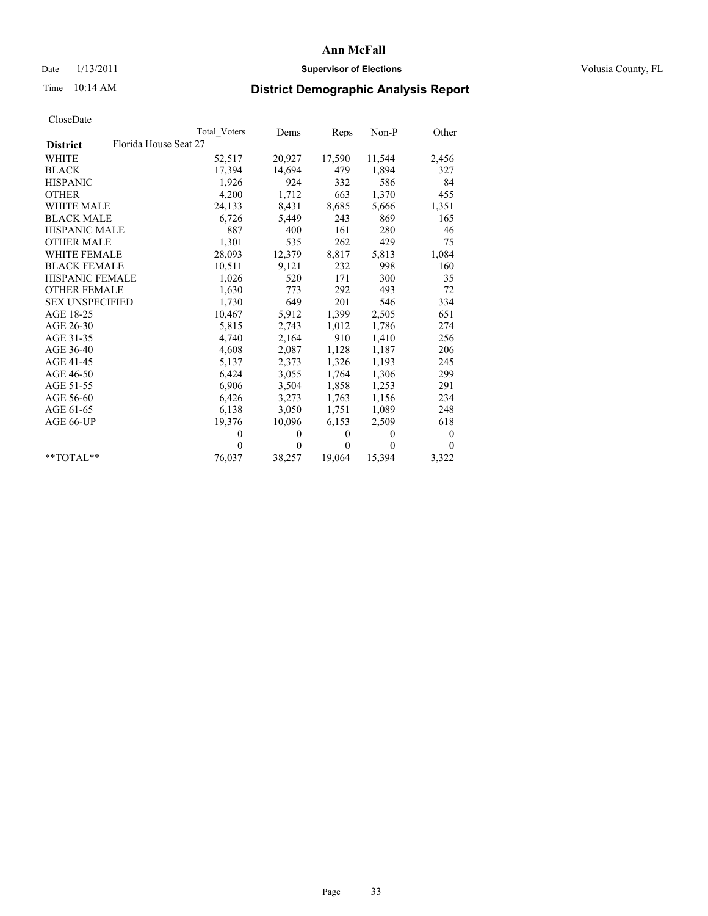# Date  $1/13/2011$  **Supervisor of Elections** Volusia County, FL

# Time 10:14 AM **District Demographic Analysis Report**

|                                          | Total Voters | Dems     | Reps         | $Non-P$  | Other            |
|------------------------------------------|--------------|----------|--------------|----------|------------------|
| Florida House Seat 27<br><b>District</b> |              |          |              |          |                  |
| <b>WHITE</b>                             | 52,517       | 20,927   | 17,590       | 11,544   | 2,456            |
| <b>BLACK</b>                             | 17,394       | 14,694   | 479          | 1,894    | 327              |
| <b>HISPANIC</b>                          | 1,926        | 924      | 332          | 586      | 84               |
| <b>OTHER</b>                             | 4,200        | 1,712    | 663          | 1,370    | 455              |
| <b>WHITE MALE</b>                        | 24,133       | 8,431    | 8,685        | 5,666    | 1,351            |
| <b>BLACK MALE</b>                        | 6,726        | 5,449    | 243          | 869      | 165              |
| <b>HISPANIC MALE</b>                     | 887          | 400      | 161          | 280      | 46               |
| <b>OTHER MALE</b>                        | 1,301        | 535      | 262          | 429      | 75               |
| <b>WHITE FEMALE</b>                      | 28,093       | 12,379   | 8,817        | 5,813    | 1,084            |
| <b>BLACK FEMALE</b>                      | 10,511       | 9,121    | 232          | 998      | 160              |
| HISPANIC FEMALE                          | 1,026        | 520      | 171          | 300      | 35               |
| <b>OTHER FEMALE</b>                      | 1,630        | 773      | 292          | 493      | 72               |
| <b>SEX UNSPECIFIED</b>                   | 1,730        | 649      | 201          | 546      | 334              |
| AGE 18-25                                | 10,467       | 5,912    | 1,399        | 2,505    | 651              |
| AGE 26-30                                | 5,815        | 2,743    | 1,012        | 1,786    | 274              |
| AGE 31-35                                | 4,740        | 2,164    | 910          | 1,410    | 256              |
| AGE 36-40                                | 4,608        | 2,087    | 1,128        | 1,187    | 206              |
| AGE 41-45                                | 5,137        | 2,373    | 1,326        | 1,193    | 245              |
| AGE 46-50                                | 6,424        | 3,055    | 1,764        | 1,306    | 299              |
| AGE 51-55                                | 6,906        | 3,504    | 1,858        | 1,253    | 291              |
| AGE 56-60                                | 6,426        | 3,273    | 1,763        | 1,156    | 234              |
| AGE 61-65                                | 6,138        | 3,050    | 1,751        | 1,089    | 248              |
| AGE 66-UP                                | 19,376       | 10,096   | 6,153        | 2,509    | 618              |
|                                          | $\Omega$     | $\theta$ | $\mathbf{0}$ | $\theta$ | $\boldsymbol{0}$ |
|                                          | $\Omega$     | $\theta$ | $\theta$     | $\theta$ | $\theta$         |
| $*$ $TOTAI.**$                           | 76,037       | 38,257   | 19,064       | 15,394   | 3,322            |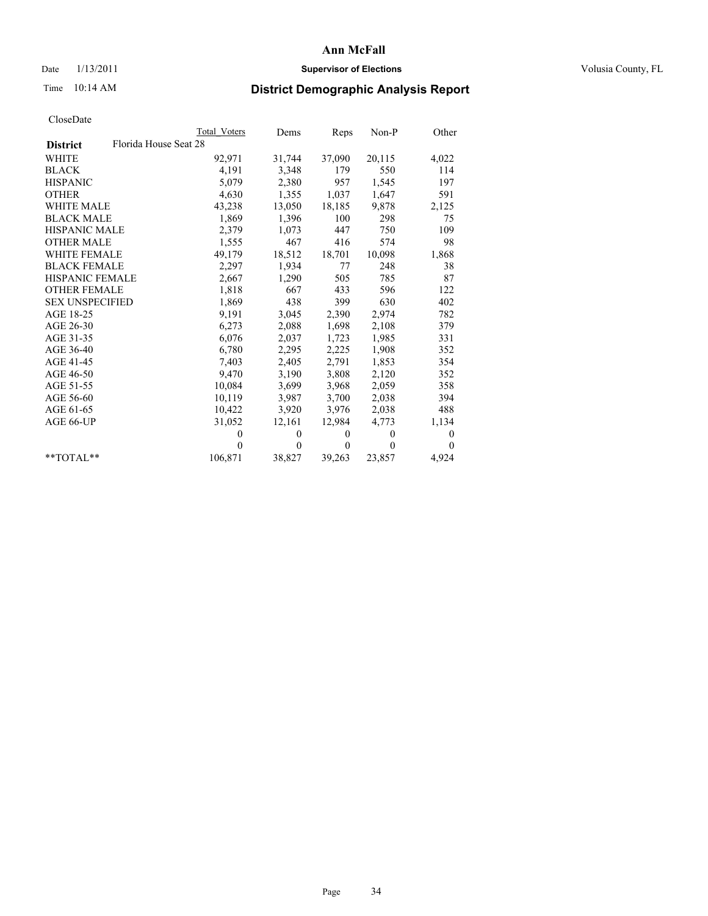# Date  $1/13/2011$  **Supervisor of Elections** Volusia County, FL

# Time 10:14 AM **District Demographic Analysis Report**

|                                          | <b>Total Voters</b> | Dems         | Reps         | $Non-P$  | Other            |
|------------------------------------------|---------------------|--------------|--------------|----------|------------------|
| Florida House Seat 28<br><b>District</b> |                     |              |              |          |                  |
| <b>WHITE</b>                             | 92,971              | 31,744       | 37,090       | 20,115   | 4,022            |
| <b>BLACK</b>                             | 4,191               | 3,348        | 179          | 550      | 114              |
| <b>HISPANIC</b>                          | 5,079               | 2,380        | 957          | 1,545    | 197              |
| <b>OTHER</b>                             | 4,630               | 1,355        | 1,037        | 1,647    | 591              |
| <b>WHITE MALE</b>                        | 43,238              | 13,050       | 18,185       | 9,878    | 2,125            |
| <b>BLACK MALE</b>                        | 1,869               | 1,396        | 100          | 298      | 75               |
| <b>HISPANIC MALE</b>                     | 2,379               | 1,073        | 447          | 750      | 109              |
| <b>OTHER MALE</b>                        | 1,555               | 467          | 416          | 574      | 98               |
| <b>WHITE FEMALE</b>                      | 49,179              | 18,512       | 18,701       | 10,098   | 1,868            |
| <b>BLACK FEMALE</b>                      | 2,297               | 1,934        | 77           | 248      | 38               |
| HISPANIC FEMALE                          | 2,667               | 1,290        | 505          | 785      | 87               |
| <b>OTHER FEMALE</b>                      | 1,818               | 667          | 433          | 596      | 122              |
| <b>SEX UNSPECIFIED</b>                   | 1,869               | 438          | 399          | 630      | 402              |
| AGE 18-25                                | 9,191               | 3,045        | 2,390        | 2,974    | 782              |
| AGE 26-30                                | 6,273               | 2,088        | 1,698        | 2,108    | 379              |
| AGE 31-35                                | 6,076               | 2,037        | 1,723        | 1,985    | 331              |
| AGE 36-40                                | 6,780               | 2,295        | 2,225        | 1,908    | 352              |
| AGE 41-45                                | 7,403               | 2,405        | 2,791        | 1,853    | 354              |
| AGE 46-50                                | 9,470               | 3,190        | 3,808        | 2,120    | 352              |
| AGE 51-55                                | 10,084              | 3,699        | 3,968        | 2,059    | 358              |
| AGE 56-60                                | 10,119              | 3,987        | 3,700        | 2,038    | 394              |
| AGE 61-65                                | 10,422              | 3,920        | 3,976        | 2,038    | 488              |
| AGE 66-UP                                | 31,052              | 12,161       | 12,984       | 4,773    | 1,134            |
|                                          | $\theta$            | $\mathbf{0}$ | $\mathbf{0}$ | $\theta$ | $\boldsymbol{0}$ |
|                                          | $\theta$            | $\theta$     | $\mathbf{0}$ | $\theta$ | $\theta$         |
| $*$ $TOTAI.**$                           | 106,871             | 38,827       | 39,263       | 23,857   | 4,924            |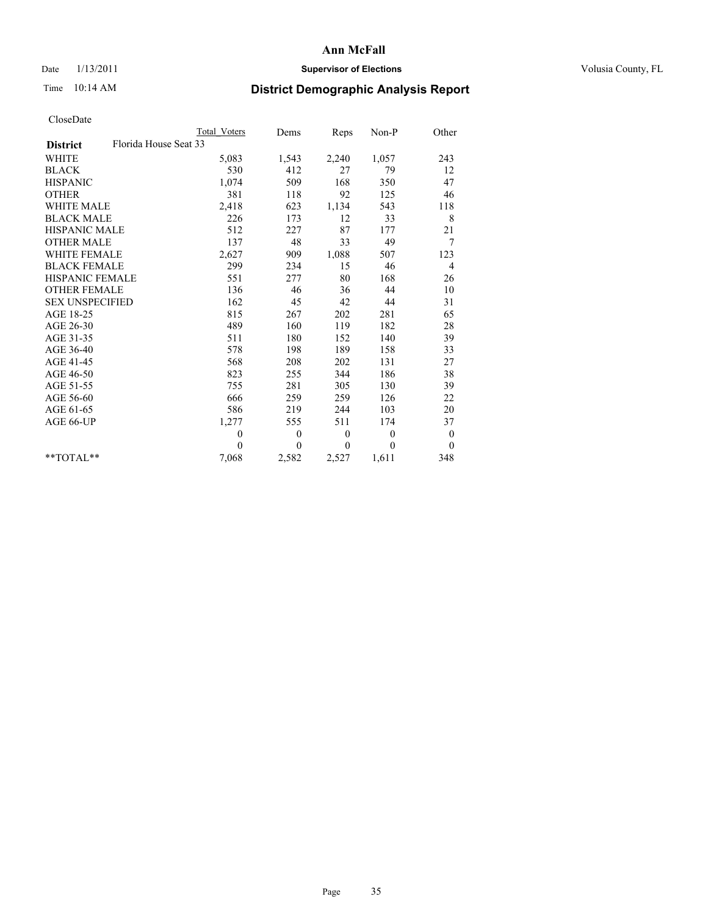# Date  $1/13/2011$  **Supervisor of Elections** Volusia County, FL

# Time 10:14 AM **District Demographic Analysis Report**

|                                          | <b>Total Voters</b> | Dems     | <b>Reps</b>  | Non-P    | Other            |
|------------------------------------------|---------------------|----------|--------------|----------|------------------|
| Florida House Seat 33<br><b>District</b> |                     |          |              |          |                  |
| <b>WHITE</b>                             | 5,083               | 1,543    | 2,240        | 1,057    | 243              |
| <b>BLACK</b>                             | 530                 | 412      | 27           | 79       | 12               |
| <b>HISPANIC</b>                          | 1,074               | 509      | 168          | 350      | 47               |
| <b>OTHER</b>                             | 381                 | 118      | 92           | 125      | 46               |
| <b>WHITE MALE</b>                        | 2,418               | 623      | 1,134        | 543      | 118              |
| <b>BLACK MALE</b>                        | 226                 | 173      | 12           | 33       | 8                |
| <b>HISPANIC MALE</b>                     | 512                 | 227      | 87           | 177      | 21               |
| <b>OTHER MALE</b>                        | 137                 | 48       | 33           | 49       | 7                |
| WHITE FEMALE                             | 2,627               | 909      | 1,088        | 507      | 123              |
| <b>BLACK FEMALE</b>                      | 299                 | 234      | 15           | 46       | $\overline{4}$   |
| HISPANIC FEMALE                          | 551                 | 277      | 80           | 168      | 26               |
| <b>OTHER FEMALE</b>                      | 136                 | 46       | 36           | 44       | 10               |
| <b>SEX UNSPECIFIED</b>                   | 162                 | 45       | 42           | 44       | 31               |
| AGE 18-25                                | 815                 | 267      | 202          | 281      | 65               |
| AGE 26-30                                | 489                 | 160      | 119          | 182      | 28               |
| AGE 31-35                                | 511                 | 180      | 152          | 140      | 39               |
| AGE 36-40                                | 578                 | 198      | 189          | 158      | 33               |
| AGE 41-45                                | 568                 | 208      | 202          | 131      | 27               |
| AGE 46-50                                | 823                 | 255      | 344          | 186      | 38               |
| AGE 51-55                                | 755                 | 281      | 305          | 130      | 39               |
| AGE 56-60                                | 666                 | 259      | 259          | 126      | 22               |
| AGE 61-65                                | 586                 | 219      | 244          | 103      | 20               |
| AGE 66-UP                                | 1,277               | 555      | 511          | 174      | 37               |
|                                          | $\theta$            | $\theta$ | $\theta$     | $\theta$ | $\boldsymbol{0}$ |
|                                          | $\theta$            | $\theta$ | $\mathbf{0}$ | $\theta$ | $\mathbf{0}$     |
| $*$ $TOTAI.**$                           | 7,068               | 2,582    | 2,527        | 1,611    | 348              |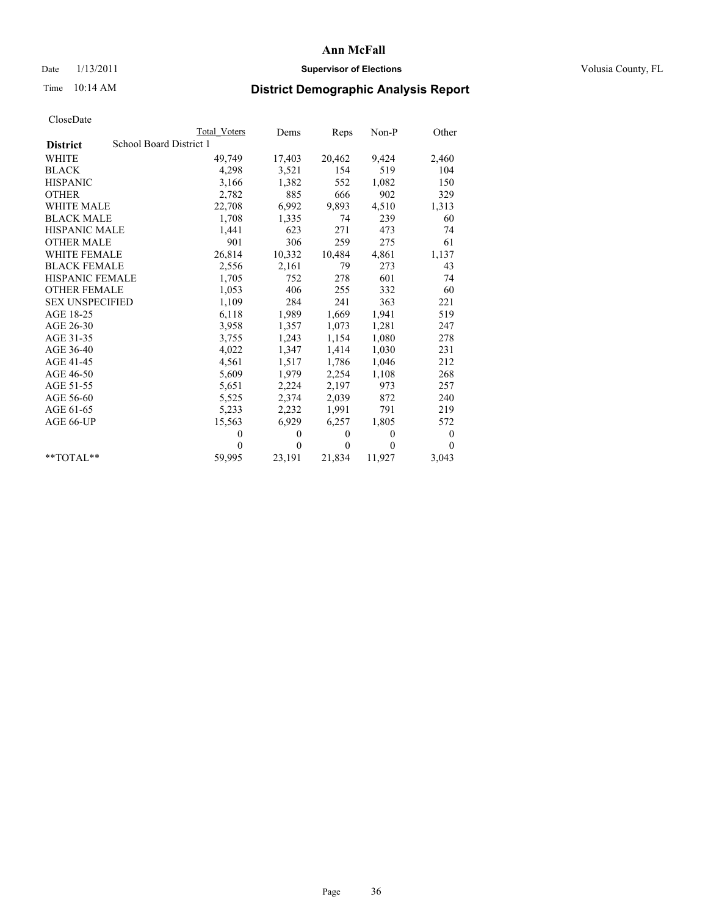# Date  $1/13/2011$  **Supervisor of Elections** Volusia County, FL

# Time 10:14 AM **District Demographic Analysis Report**

|                        | Total Voters            | Dems           | Reps     | $Non-P$  | Other            |
|------------------------|-------------------------|----------------|----------|----------|------------------|
| <b>District</b>        | School Board District 1 |                |          |          |                  |
| WHITE                  | 49,749                  | 17,403         | 20,462   | 9,424    | 2,460            |
| <b>BLACK</b>           | 4,298                   | 3,521          | 154      | 519      | 104              |
| <b>HISPANIC</b>        | 3,166                   | 1,382          | 552      | 1,082    | 150              |
| <b>OTHER</b>           | 2,782                   | 885            | 666      | 902      | 329              |
| <b>WHITE MALE</b>      | 22,708                  | 6,992          | 9,893    | 4,510    | 1,313            |
| <b>BLACK MALE</b>      | 1,708                   | 1,335          | 74       | 239      | 60               |
| <b>HISPANIC MALE</b>   | 1,441                   | 623            | 271      | 473      | 74               |
| <b>OTHER MALE</b>      | 901                     | 306            | 259      | 275      | 61               |
| <b>WHITE FEMALE</b>    | 26,814                  | 10,332         | 10,484   | 4,861    | 1,137            |
| <b>BLACK FEMALE</b>    | 2,556                   | 2,161          | 79       | 273      | 43               |
| HISPANIC FEMALE        | 1,705                   | 752            | 278      | 601      | 74               |
| <b>OTHER FEMALE</b>    | 1,053                   | 406            | 255      | 332      | 60               |
| <b>SEX UNSPECIFIED</b> | 1,109                   | 284            | 241      | 363      | 221              |
| AGE 18-25              | 6,118                   | 1,989          | 1,669    | 1,941    | 519              |
| AGE 26-30              | 3,958                   | 1,357          | 1,073    | 1,281    | 247              |
| AGE 31-35              | 3,755                   | 1,243          | 1,154    | 1,080    | 278              |
| AGE 36-40              | 4,022                   | 1,347          | 1,414    | 1,030    | 231              |
| AGE 41-45              | 4,561                   | 1,517          | 1,786    | 1,046    | 212              |
| AGE 46-50              | 5,609                   | 1,979          | 2,254    | 1,108    | 268              |
| AGE 51-55              | 5,651                   | 2,224          | 2,197    | 973      | 257              |
| AGE 56-60              | 5,525                   | 2,374          | 2,039    | 872      | 240              |
| AGE 61-65              | 5,233                   | 2,232          | 1,991    | 791      | 219              |
| AGE 66-UP              | 15,563                  | 6,929          | 6,257    | 1,805    | 572              |
|                        | $\Omega$                | $\theta$       | $\theta$ | $\theta$ | $\boldsymbol{0}$ |
|                        | $\theta$                | $\overline{0}$ | $\theta$ | $\theta$ | $\theta$         |
| $*$ $TOTAI.**$         | 59,995                  | 23,191         | 21,834   | 11,927   | 3,043            |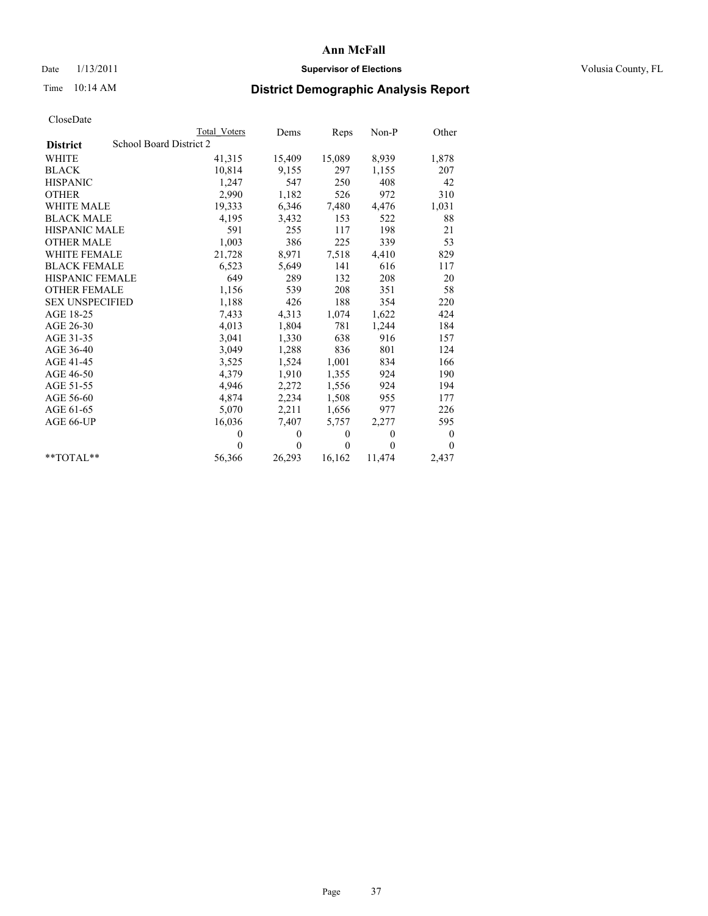## Date  $1/13/2011$  **Supervisor of Elections** Volusia County, FL

# Time 10:14 AM **District Demographic Analysis Report**

|                        |                         | <b>Total Voters</b> | Dems     | Reps         | $Non-P$  | Other    |
|------------------------|-------------------------|---------------------|----------|--------------|----------|----------|
| <b>District</b>        | School Board District 2 |                     |          |              |          |          |
| WHITE                  |                         | 41,315              | 15,409   | 15,089       | 8,939    | 1,878    |
| <b>BLACK</b>           |                         | 10,814              | 9,155    | 297          | 1,155    | 207      |
| <b>HISPANIC</b>        |                         | 1,247               | 547      | 250          | 408      | 42       |
| <b>OTHER</b>           |                         | 2,990               | 1,182    | 526          | 972      | 310      |
| <b>WHITE MALE</b>      |                         | 19,333              | 6,346    | 7,480        | 4,476    | 1,031    |
| <b>BLACK MALE</b>      |                         | 4,195               | 3,432    | 153          | 522      | 88       |
| <b>HISPANIC MALE</b>   |                         | 591                 | 255      | 117          | 198      | 21       |
| <b>OTHER MALE</b>      |                         | 1,003               | 386      | 225          | 339      | 53       |
| WHITE FEMALE           |                         | 21,728              | 8,971    | 7,518        | 4,410    | 829      |
| <b>BLACK FEMALE</b>    |                         | 6,523               | 5,649    | 141          | 616      | 117      |
| HISPANIC FEMALE        |                         | 649                 | 289      | 132          | 208      | 20       |
| <b>OTHER FEMALE</b>    |                         | 1,156               | 539      | 208          | 351      | 58       |
| <b>SEX UNSPECIFIED</b> |                         | 1,188               | 426      | 188          | 354      | 220      |
| AGE 18-25              |                         | 7,433               | 4,313    | 1,074        | 1,622    | 424      |
| AGE 26-30              |                         | 4,013               | 1,804    | 781          | 1,244    | 184      |
| AGE 31-35              |                         | 3,041               | 1,330    | 638          | 916      | 157      |
| AGE 36-40              |                         | 3,049               | 1,288    | 836          | 801      | 124      |
| AGE 41-45              |                         | 3,525               | 1,524    | 1,001        | 834      | 166      |
| AGE 46-50              |                         | 4,379               | 1,910    | 1,355        | 924      | 190      |
| AGE 51-55              |                         | 4,946               | 2,272    | 1,556        | 924      | 194      |
| AGE 56-60              |                         | 4,874               | 2,234    | 1,508        | 955      | 177      |
| AGE 61-65              |                         | 5,070               | 2,211    | 1,656        | 977      | 226      |
| AGE 66-UP              |                         | 16,036              | 7,407    | 5,757        | 2,277    | 595      |
|                        |                         | $\Omega$            | $\theta$ | $\mathbf{0}$ | $\theta$ | 0        |
|                        |                         | $\Omega$            | $\theta$ | $\theta$     | $\theta$ | $\theta$ |
| $*$ $TOTAI.**$         |                         | 56,366              | 26,293   | 16,162       | 11,474   | 2,437    |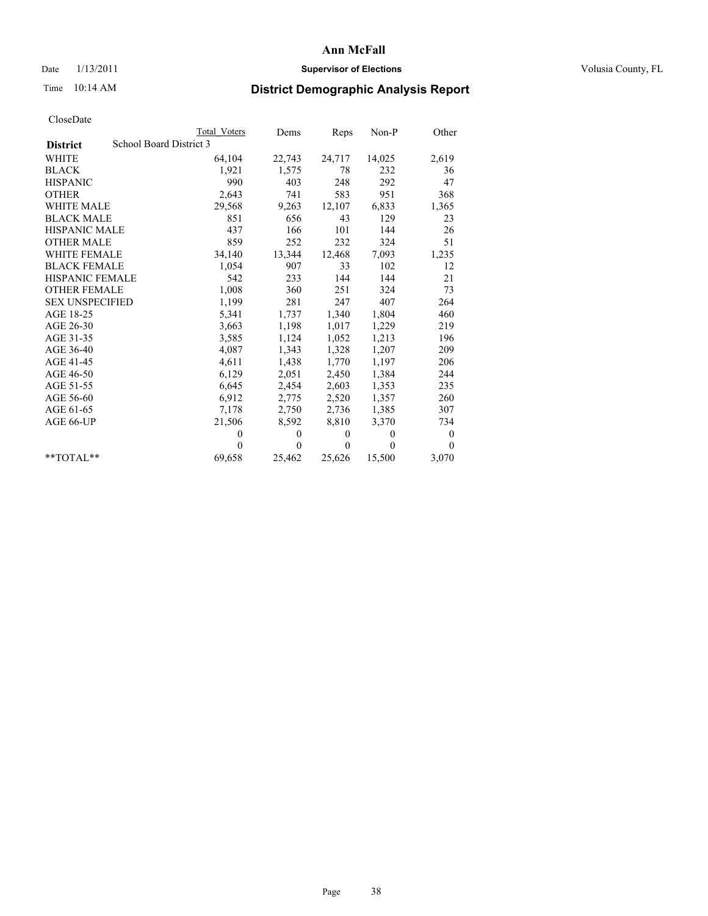## Date  $1/13/2011$  **Supervisor of Elections** Volusia County, FL

# Time 10:14 AM **District Demographic Analysis Report**

|                        | <b>Total Voters</b>     | Dems         | Reps     | $Non-P$        | Other            |
|------------------------|-------------------------|--------------|----------|----------------|------------------|
| <b>District</b>        | School Board District 3 |              |          |                |                  |
| <b>WHITE</b>           | 64,104                  | 22,743       | 24,717   | 14,025         | 2,619            |
| <b>BLACK</b>           | 1,921                   | 1,575        | 78       | 232            | 36               |
| <b>HISPANIC</b>        | 990                     | 403          | 248      | 292            | 47               |
| <b>OTHER</b>           | 2,643                   | 741          | 583      | 951            | 368              |
| <b>WHITE MALE</b>      | 29,568                  | 9,263        | 12,107   | 6,833          | 1,365            |
| <b>BLACK MALE</b>      | 851                     | 656          | 43       | 129            | 23               |
| <b>HISPANIC MALE</b>   | 437                     | 166          | 101      | 144            | 26               |
| <b>OTHER MALE</b>      | 859                     | 252          | 232      | 324            | 51               |
| WHITE FEMALE           | 34,140                  | 13,344       | 12,468   | 7,093          | 1,235            |
| <b>BLACK FEMALE</b>    | 1,054                   | 907          | 33       | 102            | 12               |
| <b>HISPANIC FEMALE</b> | 542                     | 233          | 144      | 144            | 21               |
| <b>OTHER FEMALE</b>    | 1,008                   | 360          | 251      | 324            | 73               |
| <b>SEX UNSPECIFIED</b> | 1,199                   | 281          | 247      | 407            | 264              |
| AGE 18-25              | 5,341                   | 1,737        | 1,340    | 1,804          | 460              |
| AGE 26-30              | 3,663                   | 1,198        | 1,017    | 1,229          | 219              |
| AGE 31-35              | 3,585                   | 1,124        | 1,052    | 1,213          | 196              |
| AGE 36-40              | 4,087                   | 1,343        | 1,328    | 1,207          | 209              |
| AGE 41-45              | 4,611                   | 1,438        | 1,770    | 1,197          | 206              |
| AGE 46-50              | 6,129                   | 2,051        | 2,450    | 1,384          | 244              |
| AGE 51-55              | 6,645                   | 2,454        | 2,603    | 1,353          | 235              |
| AGE 56-60              | 6,912                   | 2,775        | 2,520    | 1,357          | 260              |
| AGE 61-65              | 7,178                   | 2,750        | 2,736    | 1,385          | 307              |
| AGE 66-UP              | 21,506                  | 8,592        | 8,810    | 3,370          | 734              |
|                        | $\theta$                | $\mathbf{0}$ | $\theta$ | $\overline{0}$ | $\boldsymbol{0}$ |
|                        | $\theta$                | $\theta$     | $\theta$ | $\theta$       | $\theta$         |
| $*$ TOTAL $*$          | 69,658                  | 25,462       | 25,626   | 15,500         | 3,070            |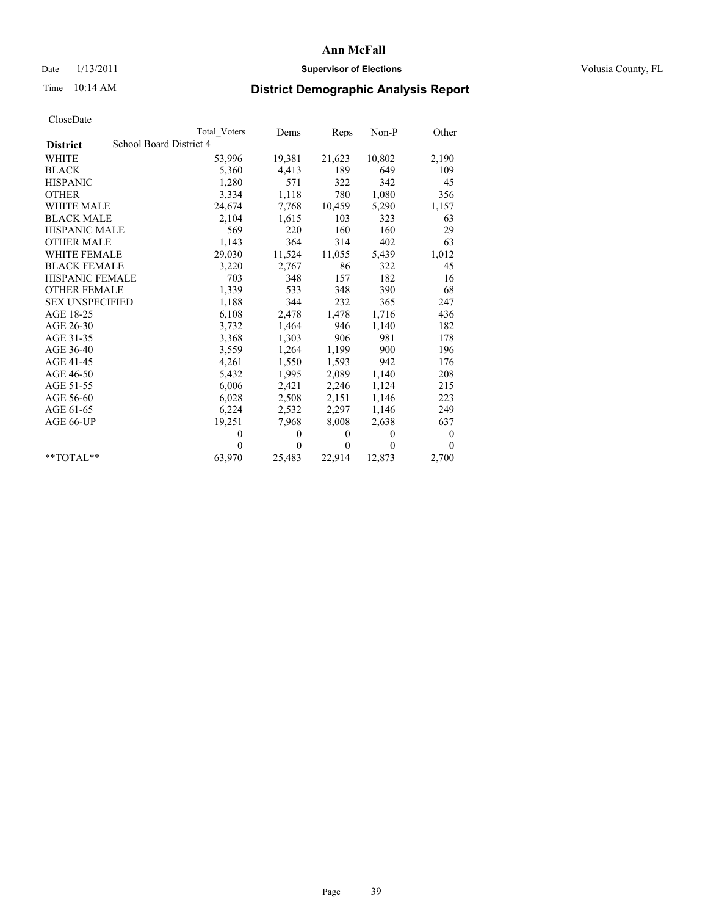## Date  $1/13/2011$  **Supervisor of Elections** Volusia County, FL

# Time 10:14 AM **District Demographic Analysis Report**

|                                            | Total Voters | Dems     | <b>Reps</b>  | $Non-P$  | Other            |
|--------------------------------------------|--------------|----------|--------------|----------|------------------|
| School Board District 4<br><b>District</b> |              |          |              |          |                  |
| <b>WHITE</b>                               | 53,996       | 19,381   | 21,623       | 10,802   | 2,190            |
| <b>BLACK</b>                               | 5,360        | 4,413    | 189          | 649      | 109              |
| <b>HISPANIC</b>                            | 1,280        | 571      | 322          | 342      | 45               |
| <b>OTHER</b>                               | 3,334        | 1,118    | 780          | 1,080    | 356              |
| <b>WHITE MALE</b>                          | 24,674       | 7,768    | 10,459       | 5,290    | 1,157            |
| <b>BLACK MALE</b>                          | 2,104        | 1,615    | 103          | 323      | 63               |
| <b>HISPANIC MALE</b>                       | 569          | 220      | 160          | 160      | 29               |
| <b>OTHER MALE</b>                          | 1,143        | 364      | 314          | 402      | 63               |
| <b>WHITE FEMALE</b>                        | 29,030       | 11,524   | 11,055       | 5,439    | 1,012            |
| <b>BLACK FEMALE</b>                        | 3,220        | 2,767    | 86           | 322      | 45               |
| HISPANIC FEMALE                            | 703          | 348      | 157          | 182      | 16               |
| <b>OTHER FEMALE</b>                        | 1,339        | 533      | 348          | 390      | 68               |
| <b>SEX UNSPECIFIED</b>                     | 1,188        | 344      | 232          | 365      | 247              |
| AGE 18-25                                  | 6,108        | 2,478    | 1,478        | 1,716    | 436              |
| AGE 26-30                                  | 3,732        | 1,464    | 946          | 1,140    | 182              |
| AGE 31-35                                  | 3,368        | 1,303    | 906          | 981      | 178              |
| AGE 36-40                                  | 3,559        | 1,264    | 1,199        | 900      | 196              |
| AGE 41-45                                  | 4,261        | 1,550    | 1,593        | 942      | 176              |
| AGE 46-50                                  | 5,432        | 1,995    | 2,089        | 1,140    | 208              |
| AGE 51-55                                  | 6,006        | 2,421    | 2,246        | 1,124    | 215              |
| AGE 56-60                                  | 6,028        | 2,508    | 2,151        | 1,146    | 223              |
| AGE 61-65                                  | 6,224        | 2,532    | 2,297        | 1,146    | 249              |
| AGE 66-UP                                  | 19,251       | 7,968    | 8,008        | 2,638    | 637              |
|                                            | $\theta$     | $\theta$ | $\theta$     | $\theta$ | $\boldsymbol{0}$ |
|                                            | $\Omega$     | $\theta$ | $\mathbf{0}$ | $\theta$ | $\theta$         |
| $*$ $TOTAI.**$                             | 63,970       | 25,483   | 22,914       | 12,873   | 2,700            |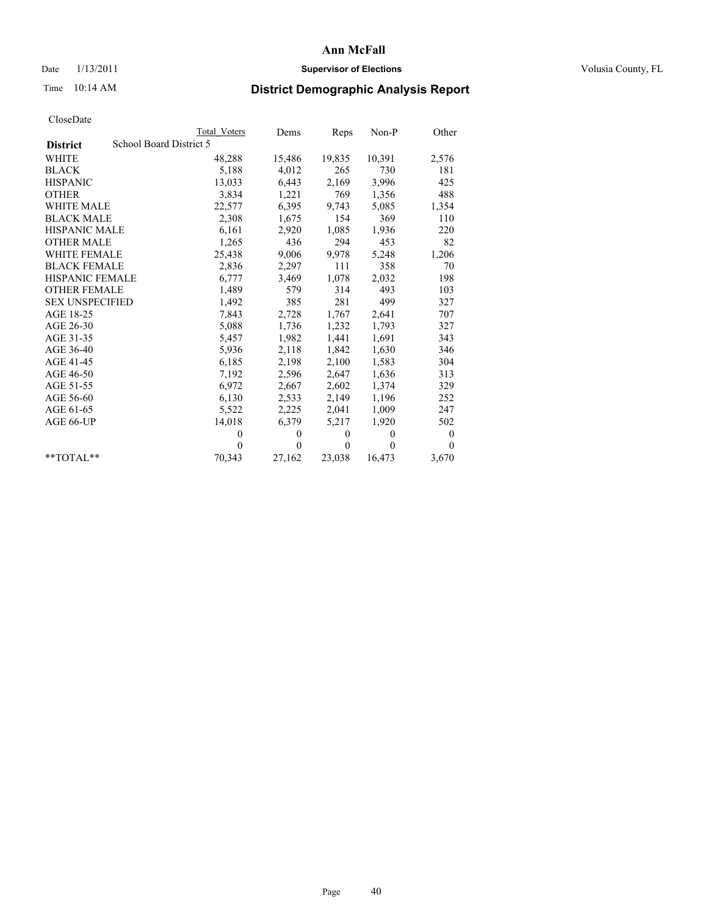## Date  $1/13/2011$  **Supervisor of Elections** Volusia County, FL

# Time 10:14 AM **District Demographic Analysis Report**

|                                            | <b>Total Voters</b> | Dems         | Reps     | $Non-P$        | Other            |
|--------------------------------------------|---------------------|--------------|----------|----------------|------------------|
| School Board District 5<br><b>District</b> |                     |              |          |                |                  |
| <b>WHITE</b>                               | 48,288              | 15,486       | 19,835   | 10,391         | 2,576            |
| <b>BLACK</b>                               | 5,188               | 4,012        | 265      | 730            | 181              |
| <b>HISPANIC</b>                            | 13,033              | 6,443        | 2,169    | 3,996          | 425              |
| <b>OTHER</b>                               | 3,834               | 1,221        | 769      | 1,356          | 488              |
| <b>WHITE MALE</b>                          | 22,577              | 6,395        | 9,743    | 5,085          | 1,354            |
| <b>BLACK MALE</b>                          | 2,308               | 1,675        | 154      | 369            | 110              |
| <b>HISPANIC MALE</b>                       | 6,161               | 2,920        | 1,085    | 1,936          | 220              |
| <b>OTHER MALE</b>                          | 1,265               | 436          | 294      | 453            | 82               |
| WHITE FEMALE                               | 25,438              | 9,006        | 9,978    | 5,248          | 1,206            |
| <b>BLACK FEMALE</b>                        | 2,836               | 2,297        | 111      | 358            | 70               |
| <b>HISPANIC FEMALE</b>                     | 6,777               | 3,469        | 1,078    | 2,032          | 198              |
| <b>OTHER FEMALE</b>                        | 1,489               | 579          | 314      | 493            | 103              |
| <b>SEX UNSPECIFIED</b>                     | 1,492               | 385          | 281      | 499            | 327              |
| AGE 18-25                                  | 7,843               | 2,728        | 1,767    | 2,641          | 707              |
| AGE 26-30                                  | 5,088               | 1,736        | 1,232    | 1,793          | 327              |
| AGE 31-35                                  | 5,457               | 1,982        | 1,441    | 1,691          | 343              |
| AGE 36-40                                  | 5,936               | 2,118        | 1,842    | 1,630          | 346              |
| AGE 41-45                                  | 6,185               | 2,198        | 2,100    | 1,583          | 304              |
| AGE 46-50                                  | 7,192               | 2,596        | 2,647    | 1,636          | 313              |
| AGE 51-55                                  | 6,972               | 2,667        | 2,602    | 1,374          | 329              |
| AGE 56-60                                  | 6,130               | 2,533        | 2,149    | 1,196          | 252              |
| AGE 61-65                                  | 5,522               | 2,225        | 2,041    | 1,009          | 247              |
| AGE 66-UP                                  | 14,018              | 6,379        | 5,217    | 1,920          | 502              |
|                                            | $\theta$            | $\mathbf{0}$ | $\theta$ | $\overline{0}$ | $\boldsymbol{0}$ |
|                                            | $\theta$            | $\theta$     | $\theta$ | $\theta$       | $\theta$         |
| $*$ TOTAL $*$                              | 70,343              | 27,162       | 23,038   | 16,473         | 3,670            |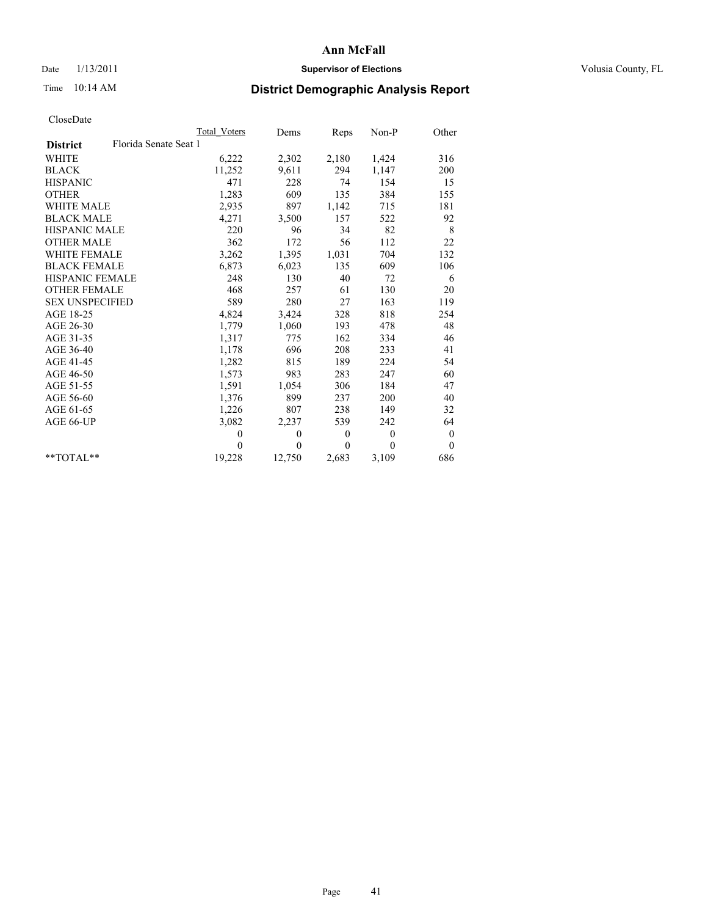## Date  $1/13/2011$  **Supervisor of Elections** Volusia County, FL

# Time 10:14 AM **District Demographic Analysis Report**

|                                          | <b>Total Voters</b> | Dems     | Reps         | Non-P        | Other            |
|------------------------------------------|---------------------|----------|--------------|--------------|------------------|
| Florida Senate Seat 1<br><b>District</b> |                     |          |              |              |                  |
| <b>WHITE</b>                             | 6,222               | 2,302    | 2,180        | 1,424        | 316              |
| <b>BLACK</b>                             | 11,252              | 9,611    | 294          | 1,147        | 200              |
| <b>HISPANIC</b>                          | 471                 | 228      | 74           | 154          | 15               |
| <b>OTHER</b>                             | 1,283               | 609      | 135          | 384          | 155              |
| <b>WHITE MALE</b>                        | 2,935               | 897      | 1,142        | 715          | 181              |
| <b>BLACK MALE</b>                        | 4,271               | 3,500    | 157          | 522          | 92               |
| <b>HISPANIC MALE</b>                     | 220                 | 96       | 34           | 82           | 8                |
| <b>OTHER MALE</b>                        | 362                 | 172      | 56           | 112          | 22               |
| <b>WHITE FEMALE</b>                      | 3,262               | 1,395    | 1,031        | 704          | 132              |
| <b>BLACK FEMALE</b>                      | 6,873               | 6,023    | 135          | 609          | 106              |
| HISPANIC FEMALE                          | 248                 | 130      | 40           | 72           | 6                |
| <b>OTHER FEMALE</b>                      | 468                 | 257      | 61           | 130          | 20               |
| <b>SEX UNSPECIFIED</b>                   | 589                 | 280      | 27           | 163          | 119              |
| AGE 18-25                                | 4,824               | 3,424    | 328          | 818          | 254              |
| AGE 26-30                                | 1,779               | 1,060    | 193          | 478          | 48               |
| AGE 31-35                                | 1,317               | 775      | 162          | 334          | 46               |
| AGE 36-40                                | 1,178               | 696      | 208          | 233          | 41               |
| AGE 41-45                                | 1,282               | 815      | 189          | 224          | 54               |
| AGE 46-50                                | 1,573               | 983      | 283          | 247          | 60               |
| AGE 51-55                                | 1,591               | 1,054    | 306          | 184          | 47               |
| AGE 56-60                                | 1,376               | 899      | 237          | 200          | 40               |
| AGE 61-65                                | 1,226               | 807      | 238          | 149          | 32               |
| AGE 66-UP                                | 3,082               | 2,237    | 539          | 242          | 64               |
|                                          | $\mathbf{0}$        | $\theta$ | $\mathbf{0}$ | $\mathbf{0}$ | $\boldsymbol{0}$ |
|                                          | $\theta$            | $\theta$ | $\Omega$     | $\theta$     | $\mathbf{0}$     |
| $*$ $TOTAI.**$                           | 19,228              | 12,750   | 2,683        | 3,109        | 686              |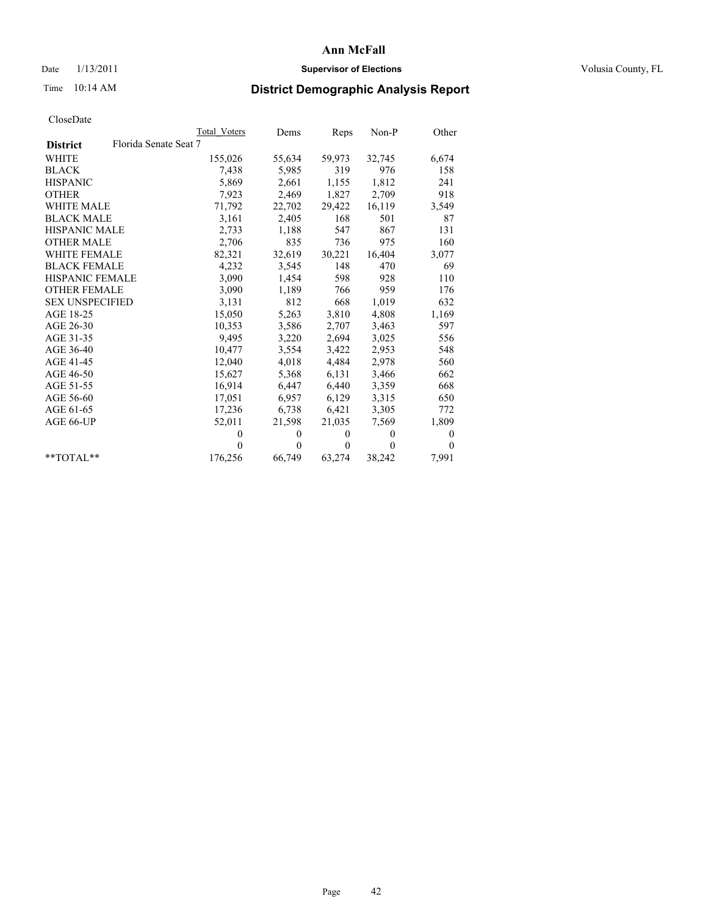## Date  $1/13/2011$  **Supervisor of Elections** Volusia County, FL

# Time 10:14 AM **District Demographic Analysis Report**

|                                          | Total Voters | Dems     | Reps         | $Non-P$  | Other        |
|------------------------------------------|--------------|----------|--------------|----------|--------------|
| Florida Senate Seat 7<br><b>District</b> |              |          |              |          |              |
| <b>WHITE</b>                             | 155,026      | 55,634   | 59,973       | 32,745   | 6,674        |
| <b>BLACK</b>                             | 7,438        | 5,985    | 319          | 976      | 158          |
| <b>HISPANIC</b>                          | 5,869        | 2,661    | 1,155        | 1,812    | 241          |
| <b>OTHER</b>                             | 7,923        | 2,469    | 1,827        | 2,709    | 918          |
| <b>WHITE MALE</b>                        | 71,792       | 22,702   | 29,422       | 16,119   | 3,549        |
| <b>BLACK MALE</b>                        | 3,161        | 2,405    | 168          | 501      | 87           |
| <b>HISPANIC MALE</b>                     | 2,733        | 1,188    | 547          | 867      | 131          |
| <b>OTHER MALE</b>                        | 2,706        | 835      | 736          | 975      | 160          |
| <b>WHITE FEMALE</b>                      | 82,321       | 32,619   | 30,221       | 16,404   | 3,077        |
| <b>BLACK FEMALE</b>                      | 4,232        | 3,545    | 148          | 470      | 69           |
| HISPANIC FEMALE                          | 3,090        | 1,454    | 598          | 928      | 110          |
| <b>OTHER FEMALE</b>                      | 3,090        | 1,189    | 766          | 959      | 176          |
| <b>SEX UNSPECIFIED</b>                   | 3,131        | 812      | 668          | 1,019    | 632          |
| AGE 18-25                                | 15,050       | 5,263    | 3,810        | 4,808    | 1,169        |
| AGE 26-30                                | 10,353       | 3,586    | 2,707        | 3,463    | 597          |
| AGE 31-35                                | 9,495        | 3,220    | 2,694        | 3,025    | 556          |
| AGE 36-40                                | 10,477       | 3,554    | 3,422        | 2,953    | 548          |
| AGE 41-45                                | 12,040       | 4,018    | 4,484        | 2,978    | 560          |
| AGE 46-50                                | 15,627       | 5,368    | 6,131        | 3,466    | 662          |
| AGE 51-55                                | 16,914       | 6,447    | 6,440        | 3,359    | 668          |
| AGE 56-60                                | 17,051       | 6,957    | 6,129        | 3,315    | 650          |
| AGE 61-65                                | 17,236       | 6,738    | 6,421        | 3,305    | 772          |
| AGE 66-UP                                | 52,011       | 21,598   | 21,035       | 7.569    | 1,809        |
|                                          | $\theta$     | $\theta$ | $\mathbf{0}$ | $\theta$ | $\mathbf{0}$ |
|                                          | $\theta$     | $\theta$ | $\mathbf{0}$ | $\theta$ | $\theta$     |
| $*$ $TOTAI.**$                           | 176,256      | 66,749   | 63,274       | 38,242   | 7,991        |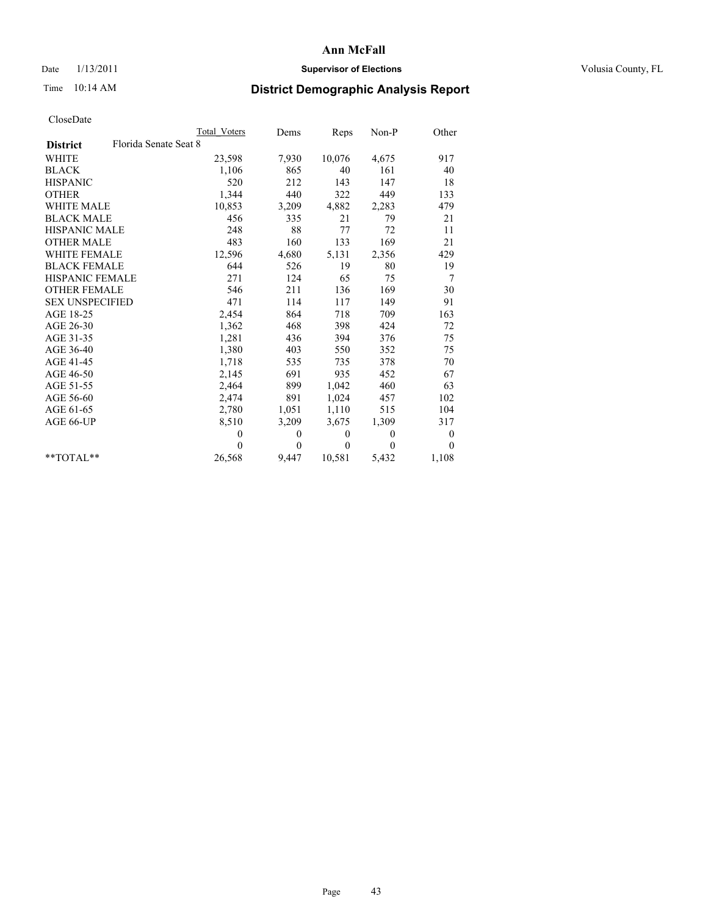## Date  $1/13/2011$  **Supervisor of Elections** Volusia County, FL

# Time 10:14 AM **District Demographic Analysis Report**

|                                          | <b>Total Voters</b> | Dems         | Reps     | $Non-P$      | Other            |
|------------------------------------------|---------------------|--------------|----------|--------------|------------------|
| Florida Senate Seat 8<br><b>District</b> |                     |              |          |              |                  |
| <b>WHITE</b>                             | 23,598              | 7,930        | 10,076   | 4,675        | 917              |
| <b>BLACK</b>                             | 1,106               | 865          | 40       | 161          | 40               |
| <b>HISPANIC</b>                          | 520                 | 212          | 143      | 147          | 18               |
| <b>OTHER</b>                             | 1,344               | 440          | 322      | 449          | 133              |
| <b>WHITE MALE</b>                        | 10,853              | 3,209        | 4,882    | 2,283        | 479              |
| <b>BLACK MALE</b>                        | 456                 | 335          | 21       | 79           | 21               |
| <b>HISPANIC MALE</b>                     | 248                 | 88           | $77 \,$  | 72           | 11               |
| <b>OTHER MALE</b>                        | 483                 | 160          | 133      | 169          | 21               |
| <b>WHITE FEMALE</b>                      | 12,596              | 4,680        | 5,131    | 2,356        | 429              |
| <b>BLACK FEMALE</b>                      | 644                 | 526          | 19       | 80           | 19               |
| HISPANIC FEMALE                          | 271                 | 124          | 65       | 75           | 7                |
| <b>OTHER FEMALE</b>                      | 546                 | 211          | 136      | 169          | 30               |
| <b>SEX UNSPECIFIED</b>                   | 471                 | 114          | 117      | 149          | 91               |
| AGE 18-25                                | 2,454               | 864          | 718      | 709          | 163              |
| AGE 26-30                                | 1,362               | 468          | 398      | 424          | 72               |
| AGE 31-35                                | 1,281               | 436          | 394      | 376          | 75               |
| AGE 36-40                                | 1,380               | 403          | 550      | 352          | 75               |
| AGE 41-45                                | 1,718               | 535          | 735      | 378          | 70               |
| AGE 46-50                                | 2,145               | 691          | 935      | 452          | 67               |
| AGE 51-55                                | 2,464               | 899          | 1,042    | 460          | 63               |
| AGE 56-60                                | 2,474               | 891          | 1,024    | 457          | 102              |
| AGE 61-65                                | 2,780               | 1,051        | 1,110    | 515          | 104              |
| AGE 66-UP                                | 8,510               | 3,209        | 3,675    | 1,309        | 317              |
|                                          | $\theta$            | $\mathbf{0}$ | $\theta$ | $\mathbf{0}$ | $\boldsymbol{0}$ |
|                                          | $\theta$            | $\theta$     | $\theta$ | $\theta$     | $\theta$         |
| $*$ $TOTAI.**$                           | 26,568              | 9,447        | 10,581   | 5,432        | 1,108            |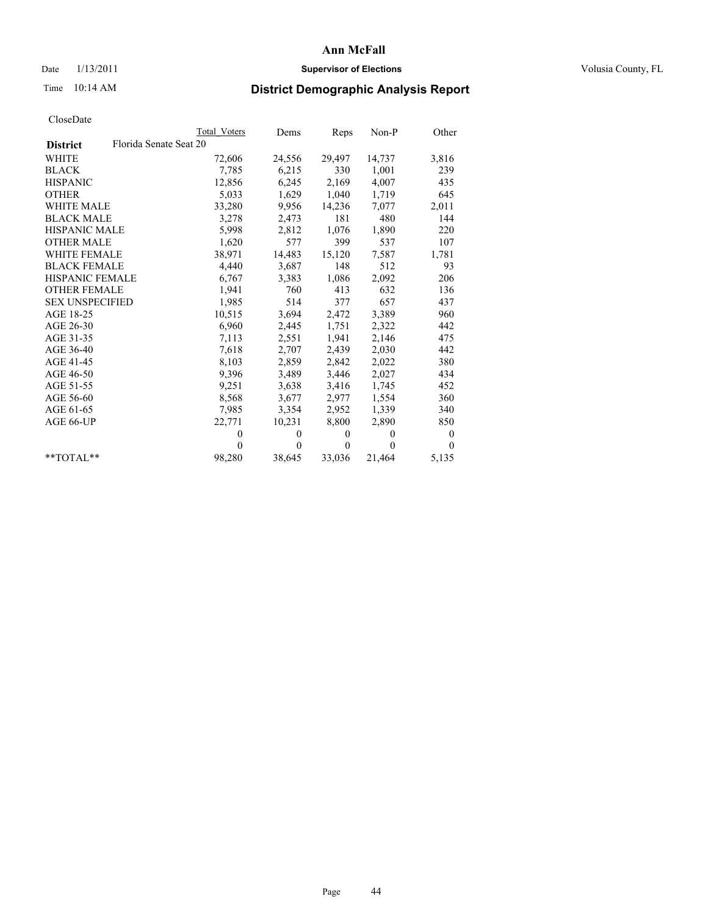## Date  $1/13/2011$  **Supervisor of Elections** Volusia County, FL

# Time 10:14 AM **District Demographic Analysis Report**

|                                           | <b>Total Voters</b> | Dems     | Reps         | $Non-P$  | Other            |
|-------------------------------------------|---------------------|----------|--------------|----------|------------------|
| Florida Senate Seat 20<br><b>District</b> |                     |          |              |          |                  |
| WHITE                                     | 72,606              | 24,556   | 29,497       | 14,737   | 3,816            |
| <b>BLACK</b>                              | 7.785               | 6,215    | 330          | 1,001    | 239              |
| <b>HISPANIC</b>                           | 12,856              | 6,245    | 2,169        | 4,007    | 435              |
| <b>OTHER</b>                              | 5,033               | 1,629    | 1,040        | 1,719    | 645              |
| WHITE MALE                                | 33,280              | 9.956    | 14,236       | 7,077    | 2,011            |
| <b>BLACK MALE</b>                         | 3,278               | 2,473    | 181          | 480      | 144              |
| <b>HISPANIC MALE</b>                      | 5,998               | 2,812    | 1,076        | 1,890    | 220              |
| <b>OTHER MALE</b>                         | 1,620               | 577      | 399          | 537      | 107              |
| <b>WHITE FEMALE</b>                       | 38,971              | 14,483   | 15,120       | 7,587    | 1,781            |
| <b>BLACK FEMALE</b>                       | 4,440               | 3,687    | 148          | 512      | 93               |
| HISPANIC FEMALE                           | 6,767               | 3,383    | 1,086        | 2,092    | 206              |
| <b>OTHER FEMALE</b>                       | 1,941               | 760      | 413          | 632      | 136              |
| <b>SEX UNSPECIFIED</b>                    | 1,985               | 514      | 377          | 657      | 437              |
| AGE 18-25                                 | 10,515              | 3,694    | 2,472        | 3,389    | 960              |
| AGE 26-30                                 | 6,960               | 2,445    | 1,751        | 2,322    | 442              |
| AGE 31-35                                 | 7,113               | 2,551    | 1,941        | 2,146    | 475              |
| AGE 36-40                                 | 7,618               | 2,707    | 2,439        | 2,030    | 442              |
| AGE 41-45                                 | 8,103               | 2,859    | 2,842        | 2,022    | 380              |
| AGE 46-50                                 | 9,396               | 3,489    | 3,446        | 2,027    | 434              |
| AGE 51-55                                 | 9,251               | 3,638    | 3,416        | 1,745    | 452              |
| AGE 56-60                                 | 8,568               | 3,677    | 2,977        | 1,554    | 360              |
| AGE 61-65                                 | 7,985               | 3,354    | 2,952        | 1,339    | 340              |
| AGE 66-UP                                 | 22,771              | 10,231   | 8,800        | 2,890    | 850              |
|                                           | $\mathbf{0}$        | $\theta$ | $\mathbf{0}$ | $\theta$ | $\boldsymbol{0}$ |
|                                           | $\Omega$            | $\theta$ | $\theta$     | $\theta$ | $\Omega$         |
| $*$ $TOTAI.**$                            | 98,280              | 38,645   | 33,036       | 21,464   | 5,135            |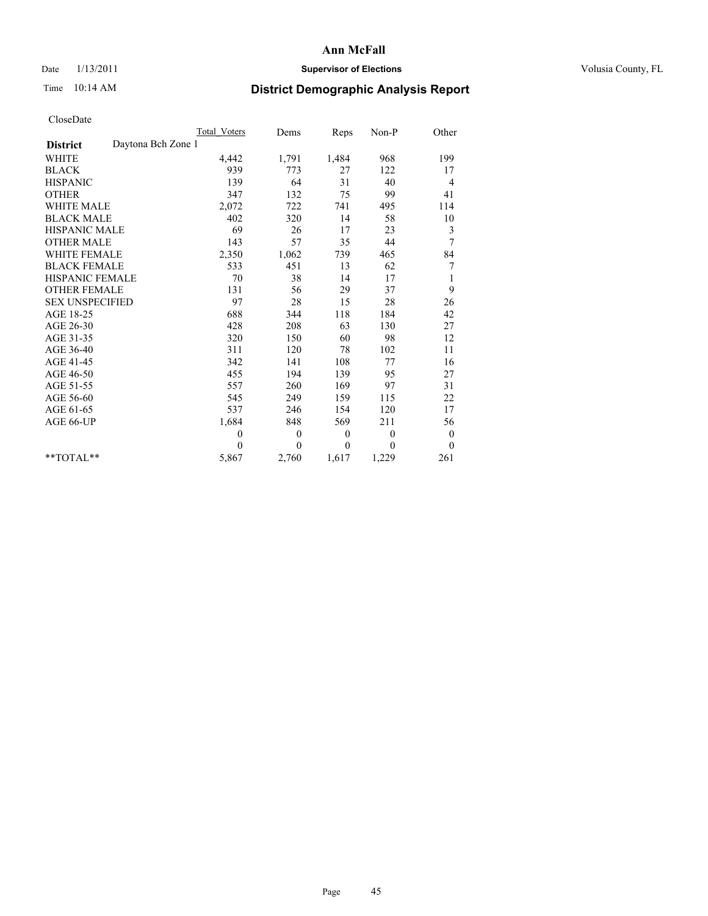## Date  $1/13/2011$  **Supervisor of Elections** Volusia County, FL

# Time 10:14 AM **District Demographic Analysis Report**

|                                       | <b>Total Voters</b> | Dems         | Reps         | $Non-P$      | Other            |
|---------------------------------------|---------------------|--------------|--------------|--------------|------------------|
| Daytona Bch Zone 1<br><b>District</b> |                     |              |              |              |                  |
| WHITE                                 | 4,442               | 1,791        | 1,484        | 968          | 199              |
| <b>BLACK</b>                          | 939                 | 773          | 27           | 122          | 17               |
| <b>HISPANIC</b>                       | 139                 | 64           | 31           | 40           | 4                |
| <b>OTHER</b>                          | 347                 | 132          | 75           | 99           | 41               |
| <b>WHITE MALE</b>                     | 2,072               | 722          | 741          | 495          | 114              |
| <b>BLACK MALE</b>                     | 402                 | 320          | 14           | 58           | 10               |
| <b>HISPANIC MALE</b>                  | 69                  | 26           | 17           | 23           | 3                |
| <b>OTHER MALE</b>                     | 143                 | 57           | 35           | 44           | $\overline{7}$   |
| WHITE FEMALE                          | 2,350               | 1,062        | 739          | 465          | 84               |
| <b>BLACK FEMALE</b>                   | 533                 | 451          | 13           | 62           | 7                |
| HISPANIC FEMALE                       | 70                  | 38           | 14           | 17           | $\mathbf{1}$     |
| <b>OTHER FEMALE</b>                   | 131                 | 56           | 29           | 37           | 9                |
| <b>SEX UNSPECIFIED</b>                | 97                  | $28\,$       | 15           | 28           | 26               |
| AGE 18-25                             | 688                 | 344          | 118          | 184          | 42               |
| AGE 26-30                             | 428                 | 208          | 63           | 130          | 27               |
| AGE 31-35                             | 320                 | 150          | 60           | 98           | 12               |
| AGE 36-40                             | 311                 | 120          | 78           | 102          | 11               |
| AGE 41-45                             | 342                 | 141          | 108          | 77           | 16               |
| AGE 46-50                             | 455                 | 194          | 139          | 95           | 27               |
| AGE 51-55                             | 557                 | 260          | 169          | 97           | 31               |
| AGE 56-60                             | 545                 | 249          | 159          | 115          | 22               |
| AGE 61-65                             | 537                 | 246          | 154          | 120          | 17               |
| AGE 66-UP                             | 1,684               | 848          | 569          | 211          | 56               |
|                                       | $\theta$            | $\mathbf{0}$ | $\mathbf{0}$ | $\mathbf{0}$ | $\boldsymbol{0}$ |
|                                       | $\theta$            | $\theta$     | $\theta$     | $\theta$     | $\theta$         |
| $*$ TOTAL $*$                         | 5,867               | 2,760        | 1,617        | 1,229        | 261              |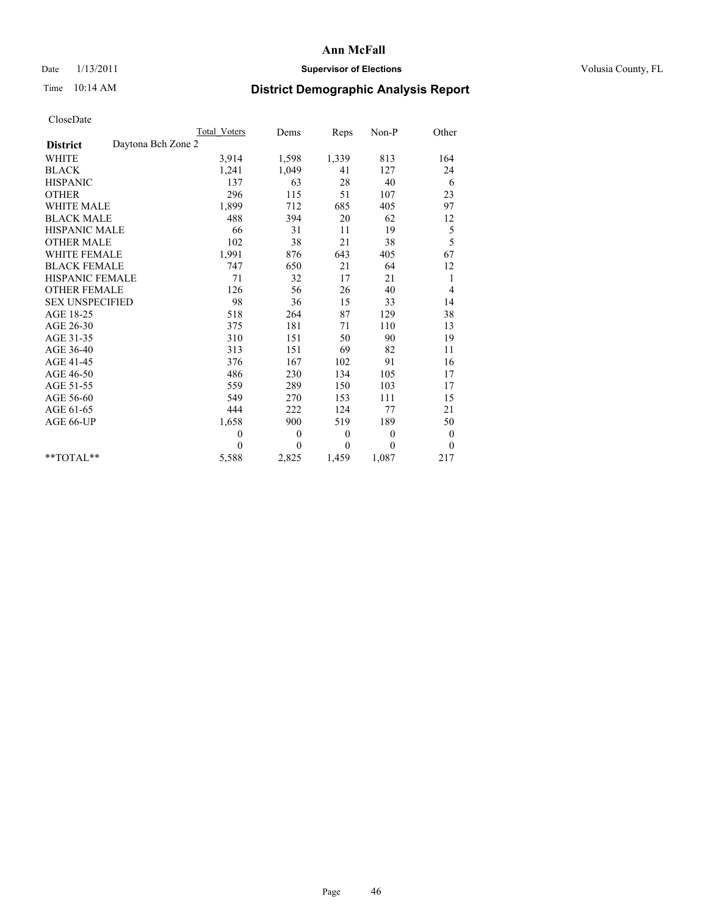## Date  $1/13/2011$  **Supervisor of Elections** Volusia County, FL

# Time 10:14 AM **District Demographic Analysis Report**

|                                       | <b>Total Voters</b> | Dems         | Reps         | $Non-P$  | Other            |
|---------------------------------------|---------------------|--------------|--------------|----------|------------------|
| Daytona Bch Zone 2<br><b>District</b> |                     |              |              |          |                  |
| <b>WHITE</b>                          | 3,914               | 1,598        | 1,339        | 813      | 164              |
| <b>BLACK</b>                          | 1,241               | 1,049        | 41           | 127      | 24               |
| <b>HISPANIC</b>                       | 137                 | 63           | 28           | 40       | 6                |
| <b>OTHER</b>                          | 296                 | 115          | 51           | 107      | 23               |
| <b>WHITE MALE</b>                     | 1,899               | 712          | 685          | 405      | 97               |
| <b>BLACK MALE</b>                     | 488                 | 394          | 20           | 62       | 12               |
| <b>HISPANIC MALE</b>                  | 66                  | 31           | 11           | 19       | 5                |
| <b>OTHER MALE</b>                     | 102                 | 38           | 21           | 38       | 5                |
| <b>WHITE FEMALE</b>                   | 1,991               | 876          | 643          | 405      | 67               |
| <b>BLACK FEMALE</b>                   | 747                 | 650          | 21           | 64       | 12               |
| HISPANIC FEMALE                       | 71                  | 32           | 17           | 21       | 1                |
| <b>OTHER FEMALE</b>                   | 126                 | 56           | 26           | 40       | 4                |
| <b>SEX UNSPECIFIED</b>                | 98                  | 36           | 15           | 33       | 14               |
| AGE 18-25                             | 518                 | 264          | 87           | 129      | 38               |
| AGE 26-30                             | 375                 | 181          | 71           | 110      | 13               |
| AGE 31-35                             | 310                 | 151          | 50           | 90       | 19               |
| AGE 36-40                             | 313                 | 151          | 69           | 82       | 11               |
| AGE 41-45                             | 376                 | 167          | 102          | 91       | 16               |
| AGE 46-50                             | 486                 | 230          | 134          | 105      | 17               |
| AGE 51-55                             | 559                 | 289          | 150          | 103      | 17               |
| AGE 56-60                             | 549                 | 270          | 153          | 111      | 15               |
| AGE 61-65                             | 444                 | 222          | 124          | 77       | 21               |
| AGE 66-UP                             | 1,658               | 900          | 519          | 189      | 50               |
|                                       | $\mathbf{0}$        | $\mathbf{0}$ | $\mathbf{0}$ | $\theta$ | $\boldsymbol{0}$ |
|                                       | $\theta$            | $\theta$     | $\theta$     | $\theta$ | $\boldsymbol{0}$ |
| $*$ TOTAL $*$                         | 5,588               | 2,825        | 1,459        | 1,087    | 217              |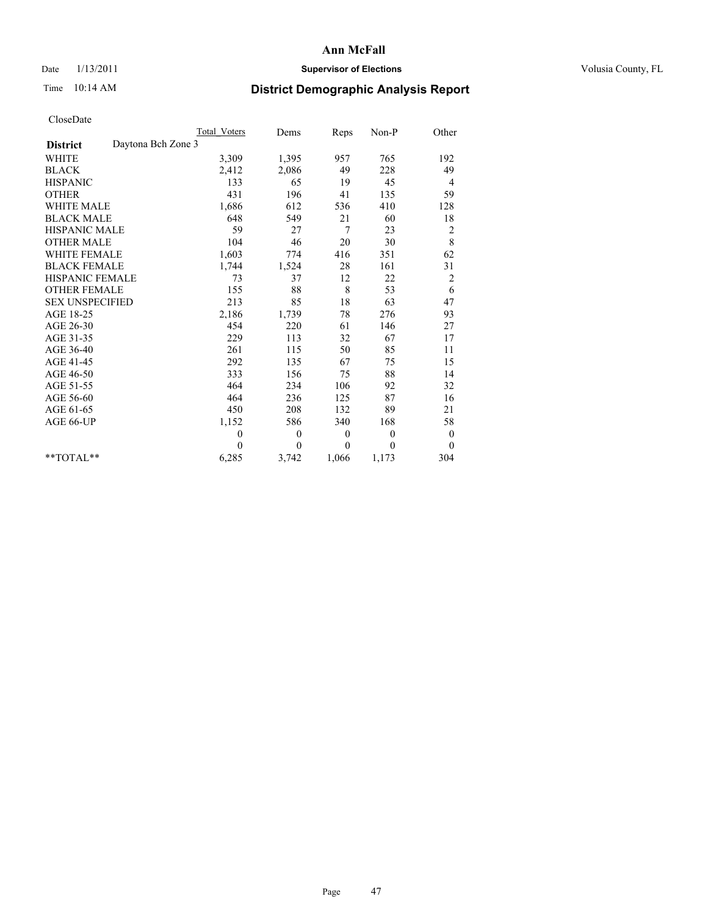## Date  $1/13/2011$  **Supervisor of Elections** Volusia County, FL

# Time 10:14 AM **District Demographic Analysis Report**

|                                       | <b>Total Voters</b> | Dems         | Reps         | Non-P        | Other            |
|---------------------------------------|---------------------|--------------|--------------|--------------|------------------|
| Daytona Bch Zone 3<br><b>District</b> |                     |              |              |              |                  |
| <b>WHITE</b>                          | 3,309               | 1,395        | 957          | 765          | 192              |
| <b>BLACK</b>                          | 2,412               | 2,086        | 49           | 228          | 49               |
| <b>HISPANIC</b>                       | 133                 | 65           | 19           | 45           | 4                |
| <b>OTHER</b>                          | 431                 | 196          | 41           | 135          | 59               |
| <b>WHITE MALE</b>                     | 1,686               | 612          | 536          | 410          | 128              |
| <b>BLACK MALE</b>                     | 648                 | 549          | 21           | 60           | 18               |
| <b>HISPANIC MALE</b>                  | 59                  | 27           | 7            | 23           | $\overline{c}$   |
| <b>OTHER MALE</b>                     | 104                 | 46           | 20           | 30           | 8                |
| <b>WHITE FEMALE</b>                   | 1,603               | 774          | 416          | 351          | 62               |
| <b>BLACK FEMALE</b>                   | 1,744               | 1,524        | 28           | 161          | 31               |
| HISPANIC FEMALE                       | 73                  | 37           | 12           | 22           | $\overline{c}$   |
| <b>OTHER FEMALE</b>                   | 155                 | 88           | 8            | 53           | 6                |
| <b>SEX UNSPECIFIED</b>                | 213                 | 85           | 18           | 63           | 47               |
| AGE 18-25                             | 2,186               | 1,739        | 78           | 276          | 93               |
| AGE 26-30                             | 454                 | 220          | 61           | 146          | 27               |
| AGE 31-35                             | 229                 | 113          | 32           | 67           | 17               |
| AGE 36-40                             | 261                 | 115          | 50           | 85           | 11               |
| AGE 41-45                             | 292                 | 135          | 67           | 75           | 15               |
| AGE 46-50                             | 333                 | 156          | 75           | 88           | 14               |
| AGE 51-55                             | 464                 | 234          | 106          | 92           | 32               |
| AGE 56-60                             | 464                 | 236          | 125          | 87           | 16               |
| AGE 61-65                             | 450                 | 208          | 132          | 89           | 21               |
| AGE 66-UP                             | 1,152               | 586          | 340          | 168          | 58               |
|                                       | $\mathbf{0}$        | $\mathbf{0}$ | $\mathbf{0}$ | $\mathbf{0}$ | $\boldsymbol{0}$ |
|                                       | $\theta$            | $\theta$     | $\theta$     | $\theta$     | $\theta$         |
| $*$ TOTAL $*$                         | 6,285               | 3,742        | 1,066        | 1,173        | 304              |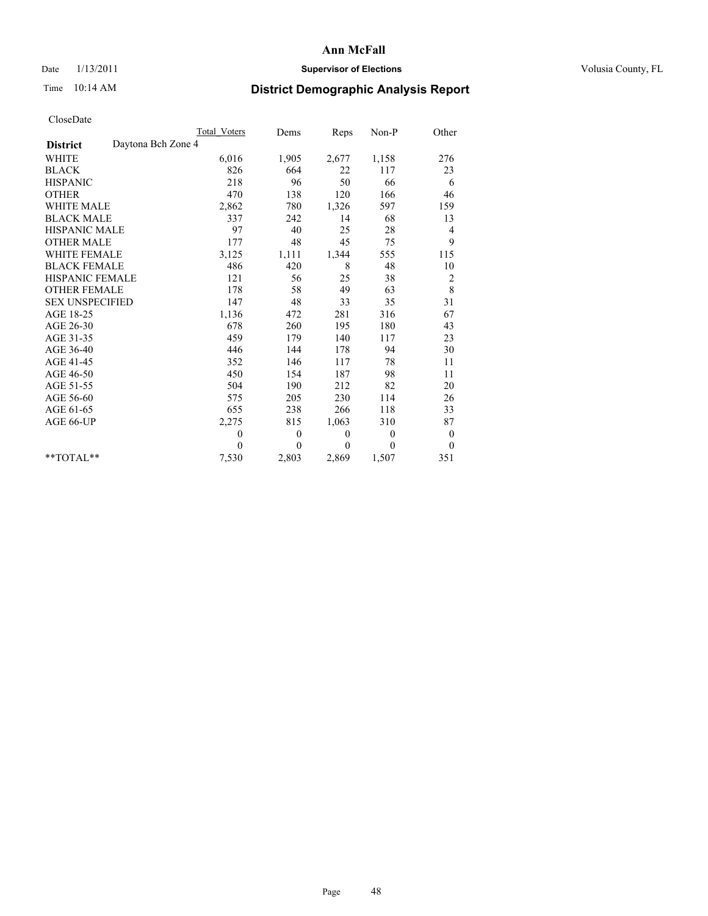## Date  $1/13/2011$  **Supervisor of Elections** Volusia County, FL

# Time 10:14 AM **District Demographic Analysis Report**

|                                       | <b>Total Voters</b> | Dems     | Reps     | $Non-P$      | Other            |
|---------------------------------------|---------------------|----------|----------|--------------|------------------|
| Daytona Bch Zone 4<br><b>District</b> |                     |          |          |              |                  |
| <b>WHITE</b>                          | 6,016               | 1,905    | 2,677    | 1,158        | 276              |
| <b>BLACK</b>                          | 826                 | 664      | 22       | 117          | 23               |
| <b>HISPANIC</b>                       | 218                 | 96       | 50       | 66           | 6                |
| <b>OTHER</b>                          | 470                 | 138      | 120      | 166          | 46               |
| <b>WHITE MALE</b>                     | 2,862               | 780      | 1,326    | 597          | 159              |
| <b>BLACK MALE</b>                     | 337                 | 242      | 14       | 68           | 13               |
| <b>HISPANIC MALE</b>                  | 97                  | 40       | 25       | 28           | 4                |
| <b>OTHER MALE</b>                     | 177                 | 48       | 45       | 75           | 9                |
| <b>WHITE FEMALE</b>                   | 3,125               | 1,111    | 1,344    | 555          | 115              |
| <b>BLACK FEMALE</b>                   | 486                 | 420      | 8        | 48           | 10               |
| HISPANIC FEMALE                       | 121                 | 56       | 25       | 38           | 2                |
| <b>OTHER FEMALE</b>                   | 178                 | 58       | 49       | 63           | $\,8\,$          |
| <b>SEX UNSPECIFIED</b>                | 147                 | 48       | 33       | 35           | 31               |
| AGE 18-25                             | 1,136               | 472      | 281      | 316          | 67               |
| AGE 26-30                             | 678                 | 260      | 195      | 180          | 43               |
| AGE 31-35                             | 459                 | 179      | 140      | 117          | 23               |
| AGE 36-40                             | 446                 | 144      | 178      | 94           | 30               |
| AGE 41-45                             | 352                 | 146      | 117      | 78           | 11               |
| AGE 46-50                             | 450                 | 154      | 187      | 98           | 11               |
| AGE 51-55                             | 504                 | 190      | 212      | 82           | 20               |
| AGE 56-60                             | 575                 | 205      | 230      | 114          | 26               |
| AGE 61-65                             | 655                 | 238      | 266      | 118          | 33               |
| AGE 66-UP                             | 2,275               | 815      | 1,063    | 310          | 87               |
|                                       | $\theta$            | $\theta$ | $\theta$ | $\mathbf{0}$ | $\boldsymbol{0}$ |
|                                       | $\theta$            | $\theta$ | $\theta$ | $\theta$     | $\theta$         |
| $*$ TOTAL $*$                         | 7,530               | 2,803    | 2,869    | 1,507        | 351              |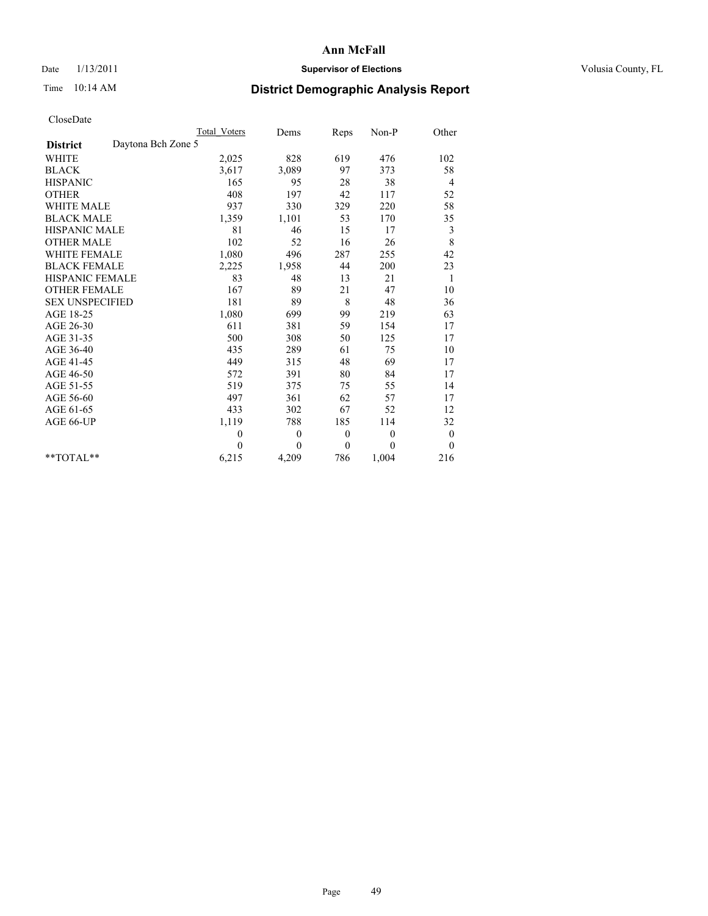## Date  $1/13/2011$  **Supervisor of Elections** Volusia County, FL

# Time 10:14 AM **District Demographic Analysis Report**

|                                       | <b>Total Voters</b> | Dems         | Reps             | Non-P        | Other            |
|---------------------------------------|---------------------|--------------|------------------|--------------|------------------|
| Daytona Bch Zone 5<br><b>District</b> |                     |              |                  |              |                  |
| <b>WHITE</b>                          | 2,025               | 828          | 619              | 476          | 102              |
| <b>BLACK</b>                          | 3,617               | 3,089        | 97               | 373          | 58               |
| <b>HISPANIC</b>                       | 165                 | 95           | 28               | 38           | 4                |
| <b>OTHER</b>                          | 408                 | 197          | 42               | 117          | 52               |
| <b>WHITE MALE</b>                     | 937                 | 330          | 329              | 220          | 58               |
| <b>BLACK MALE</b>                     | 1,359               | 1,101        | 53               | 170          | 35               |
| <b>HISPANIC MALE</b>                  | 81                  | 46           | 15               | 17           | 3                |
| <b>OTHER MALE</b>                     | 102                 | 52           | 16               | 26           | 8                |
| <b>WHITE FEMALE</b>                   | 1,080               | 496          | 287              | 255          | 42               |
| <b>BLACK FEMALE</b>                   | 2,225               | 1,958        | 44               | 200          | 23               |
| HISPANIC FEMALE                       | 83                  | 48           | 13               | 21           | 1                |
| <b>OTHER FEMALE</b>                   | 167                 | 89           | 21               | 47           | 10               |
| <b>SEX UNSPECIFIED</b>                | 181                 | 89           | 8                | 48           | 36               |
| AGE 18-25                             | 1,080               | 699          | 99               | 219          | 63               |
| AGE 26-30                             | 611                 | 381          | 59               | 154          | 17               |
| AGE 31-35                             | 500                 | 308          | 50               | 125          | 17               |
| AGE 36-40                             | 435                 | 289          | 61               | 75           | 10               |
| AGE 41-45                             | 449                 | 315          | 48               | 69           | 17               |
| AGE 46-50                             | 572                 | 391          | 80               | 84           | 17               |
| AGE 51-55                             | 519                 | 375          | 75               | 55           | 14               |
| AGE 56-60                             | 497                 | 361          | 62               | 57           | 17               |
| AGE 61-65                             | 433                 | 302          | 67               | 52           | 12               |
| AGE 66-UP                             | 1,119               | 788          | 185              | 114          | 32               |
|                                       | $\mathbf{0}$        | $\mathbf{0}$ | $\boldsymbol{0}$ | $\mathbf{0}$ | $\boldsymbol{0}$ |
|                                       | $\theta$            | $\theta$     | $\theta$         | $\theta$     | $\theta$         |
| $*$ TOTAL $*$                         | 6,215               | 4,209        | 786              | 1,004        | 216              |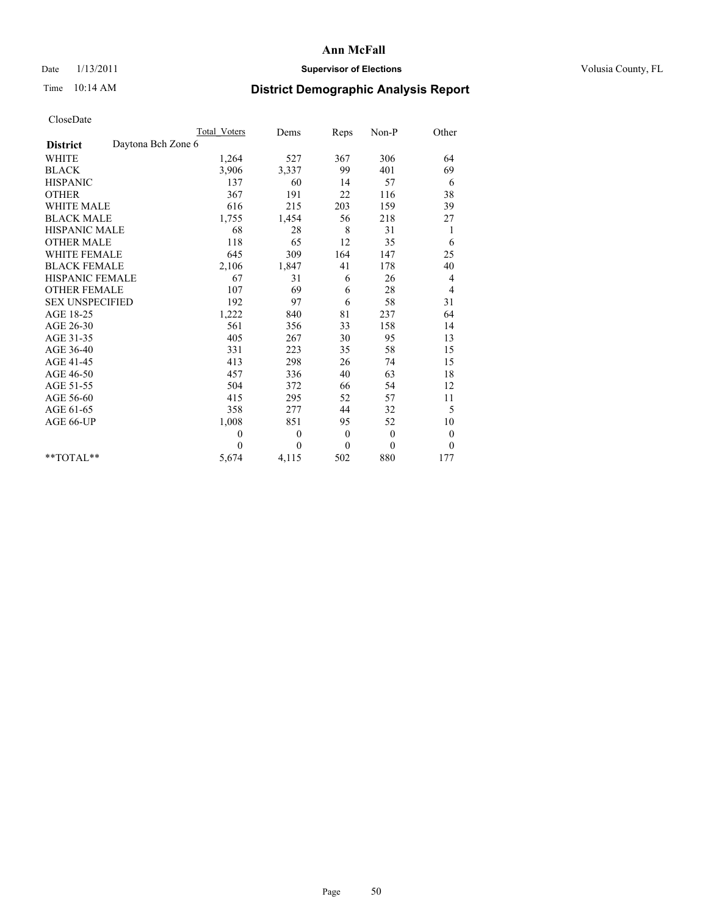## Date  $1/13/2011$  **Supervisor of Elections** Volusia County, FL

# Time 10:14 AM **District Demographic Analysis Report**

|                                       | <b>Total Voters</b> | Dems         | Reps     | $Non-P$      | Other            |
|---------------------------------------|---------------------|--------------|----------|--------------|------------------|
| Daytona Bch Zone 6<br><b>District</b> |                     |              |          |              |                  |
| WHITE                                 | 1,264               | 527          | 367      | 306          | 64               |
| <b>BLACK</b>                          | 3,906               | 3,337        | 99       | 401          | 69               |
| <b>HISPANIC</b>                       | 137                 | 60           | 14       | 57           | 6                |
| <b>OTHER</b>                          | 367                 | 191          | 22       | 116          | 38               |
| <b>WHITE MALE</b>                     | 616                 | 215          | 203      | 159          | 39               |
| <b>BLACK MALE</b>                     | 1,755               | 1,454        | 56       | 218          | 27               |
| <b>HISPANIC MALE</b>                  | 68                  | 28           | 8        | 31           | 1                |
| <b>OTHER MALE</b>                     | 118                 | 65           | 12       | 35           | 6                |
| WHITE FEMALE                          | 645                 | 309          | 164      | 147          | 25               |
| <b>BLACK FEMALE</b>                   | 2,106               | 1,847        | 41       | 178          | 40               |
| HISPANIC FEMALE                       | 67                  | 31           | 6        | 26           | 4                |
| <b>OTHER FEMALE</b>                   | 107                 | 69           | 6        | 28           | 4                |
| <b>SEX UNSPECIFIED</b>                | 192                 | 97           | 6        | 58           | 31               |
| AGE 18-25                             | 1,222               | 840          | 81       | 237          | 64               |
| AGE 26-30                             | 561                 | 356          | 33       | 158          | 14               |
| AGE 31-35                             | 405                 | 267          | 30       | 95           | 13               |
| AGE 36-40                             | 331                 | 223          | 35       | 58           | 15               |
| AGE 41-45                             | 413                 | 298          | 26       | 74           | 15               |
| AGE 46-50                             | 457                 | 336          | 40       | 63           | 18               |
| AGE 51-55                             | 504                 | 372          | 66       | 54           | 12               |
| AGE 56-60                             | 415                 | 295          | 52       | 57           | 11               |
| AGE 61-65                             | 358                 | 277          | 44       | 32           | 5                |
| AGE 66-UP                             | 1,008               | 851          | 95       | 52           | 10               |
|                                       | $\theta$            | $\mathbf{0}$ | $\theta$ | $\mathbf{0}$ | $\boldsymbol{0}$ |
|                                       | $\theta$            | $\theta$     | $\theta$ | $\theta$     | $\theta$         |
| $*$ TOTAL $*$                         | 5,674               | 4,115        | 502      | 880          | 177              |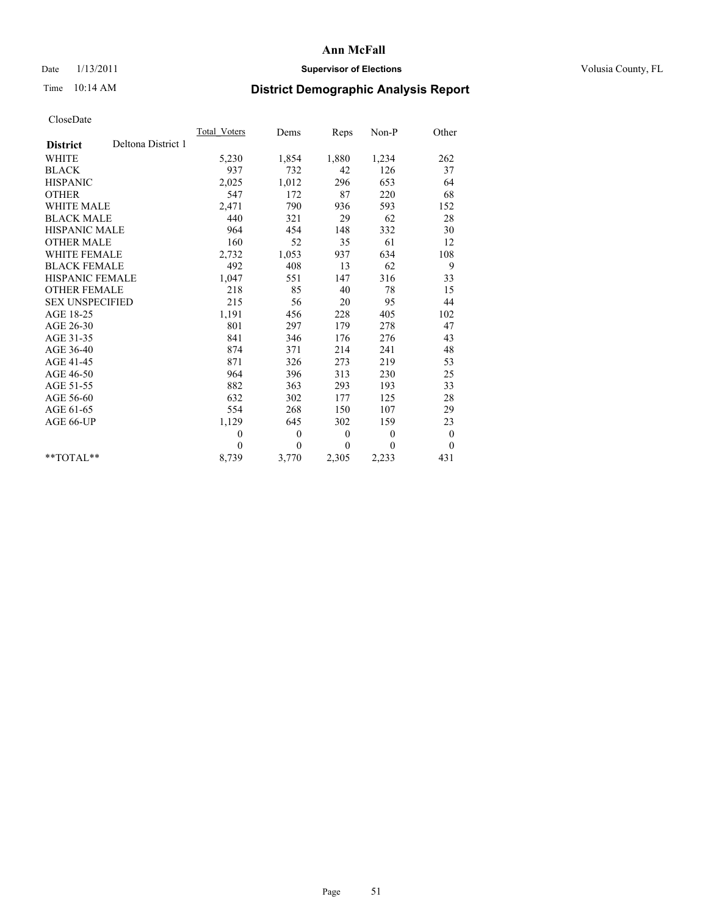## Date  $1/13/2011$  **Supervisor of Elections** Volusia County, FL

# Time 10:14 AM **District Demographic Analysis Report**

|                                       | <b>Total Voters</b> | Dems         | Reps         | Non-P          | Other            |  |
|---------------------------------------|---------------------|--------------|--------------|----------------|------------------|--|
| Deltona District 1<br><b>District</b> |                     |              |              |                |                  |  |
| <b>WHITE</b>                          | 5,230               | 1,854        | 1,880        | 1,234          | 262              |  |
| <b>BLACK</b>                          | 937                 | 732          | 42           | 126            | 37               |  |
| <b>HISPANIC</b>                       | 2,025               | 1,012        | 296          | 653            | 64               |  |
| <b>OTHER</b>                          | 547                 | 172          | 87           | 220            | 68               |  |
| <b>WHITE MALE</b>                     | 2,471               | 790          | 936          | 593            | 152              |  |
| <b>BLACK MALE</b>                     | 440                 | 321          | 29           | 62             | 28               |  |
| <b>HISPANIC MALE</b>                  | 964                 | 454          | 148          | 332            | 30               |  |
| <b>OTHER MALE</b>                     | 160                 | 52           | 35           | 61             | 12               |  |
| WHITE FEMALE                          | 2,732               | 1,053        | 937          | 634            | 108              |  |
| <b>BLACK FEMALE</b>                   | 492                 | 408          | 13           | 62             | 9                |  |
| HISPANIC FEMALE                       | 1,047               | 551          | 147          | 316            | 33               |  |
| <b>OTHER FEMALE</b>                   | 218                 | 85           | 40           | 78             | 15               |  |
| <b>SEX UNSPECIFIED</b>                | 215                 | 56           | 20           | 95             | 44               |  |
| AGE 18-25                             | 1,191               | 456          | 228          | 405            | 102              |  |
| AGE 26-30                             | 801                 | 297          | 179          | 278            | 47               |  |
| AGE 31-35                             | 841                 | 346          | 176          | 276            | 43               |  |
| AGE 36-40                             | 874                 | 371          | 214          | 241            | 48               |  |
| AGE 41-45                             | 871                 | 326          | 273          | 219            | 53               |  |
| AGE 46-50                             | 964                 | 396          | 313          | 230            | 25               |  |
| AGE 51-55                             | 882                 | 363          | 293          | 193            | 33               |  |
| AGE 56-60                             | 632                 | 302          | 177          | 125            | 28               |  |
| AGE 61-65                             | 554                 | 268          | 150          | 107            | 29               |  |
| AGE 66-UP                             | 1,129               | 645          | 302          | 159            | 23               |  |
|                                       | $\theta$            | $\mathbf{0}$ | $\mathbf{0}$ | $\overline{0}$ | $\boldsymbol{0}$ |  |
|                                       | $\Omega$            | $\theta$     | $\mathbf{0}$ | $\theta$       | $\theta$         |  |
| $*$ TOTAL $*$                         | 8,739               | 3,770        | 2,305        | 2,233          | 431              |  |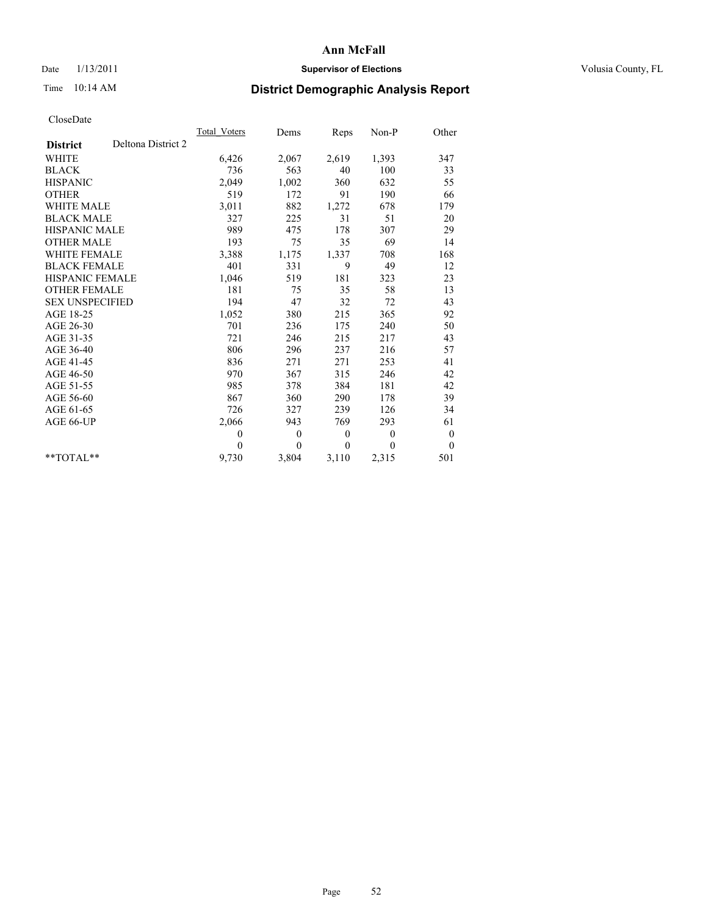## Date  $1/13/2011$  **Supervisor of Elections** Volusia County, FL

# Time 10:14 AM **District Demographic Analysis Report**

|                        |                    | Total Voters | Dems         | <b>Reps</b> | Non-P    | Other            |  |
|------------------------|--------------------|--------------|--------------|-------------|----------|------------------|--|
| <b>District</b>        | Deltona District 2 |              |              |             |          |                  |  |
| <b>WHITE</b>           |                    | 6,426        | 2,067        | 2,619       | 1,393    | 347              |  |
| <b>BLACK</b>           |                    | 736          | 563          | 40          | 100      | 33               |  |
| <b>HISPANIC</b>        |                    | 2,049        | 1,002        | 360         | 632      | 55               |  |
| <b>OTHER</b>           |                    | 519          | 172          | 91          | 190      | 66               |  |
| <b>WHITE MALE</b>      |                    | 3,011        | 882          | 1,272       | 678      | 179              |  |
| <b>BLACK MALE</b>      |                    | 327          | 225          | 31          | 51       | 20               |  |
| <b>HISPANIC MALE</b>   |                    | 989          | 475          | 178         | 307      | 29               |  |
| <b>OTHER MALE</b>      |                    | 193          | 75           | 35          | 69       | 14               |  |
| <b>WHITE FEMALE</b>    |                    | 3,388        | 1,175        | 1,337       | 708      | 168              |  |
| <b>BLACK FEMALE</b>    |                    | 401          | 331          | 9           | 49       | 12               |  |
| HISPANIC FEMALE        |                    | 1,046        | 519          | 181         | 323      | 23               |  |
| <b>OTHER FEMALE</b>    |                    | 181          | 75           | 35          | 58       | 13               |  |
| <b>SEX UNSPECIFIED</b> |                    | 194          | 47           | 32          | 72       | 43               |  |
| AGE 18-25              |                    | 1,052        | 380          | 215         | 365      | 92               |  |
| AGE 26-30              |                    | 701          | 236          | 175         | 240      | 50               |  |
| AGE 31-35              |                    | 721          | 246          | 215         | 217      | 43               |  |
| AGE 36-40              |                    | 806          | 296          | 237         | 216      | 57               |  |
| AGE 41-45              |                    | 836          | 271          | 271         | 253      | 41               |  |
| AGE 46-50              |                    | 970          | 367          | 315         | 246      | 42               |  |
| AGE 51-55              |                    | 985          | 378          | 384         | 181      | 42               |  |
| AGE 56-60              |                    | 867          | 360          | 290         | 178      | 39               |  |
| AGE 61-65              |                    | 726          | 327          | 239         | 126      | 34               |  |
| AGE 66-UP              |                    | 2,066        | 943          | 769         | 293      | 61               |  |
|                        |                    | $\mathbf{0}$ | $\mathbf{0}$ | $\theta$    | $\theta$ | $\boldsymbol{0}$ |  |
|                        |                    | $\Omega$     | $\theta$     | $\theta$    | $\theta$ | $\theta$         |  |
| $*$ $TOTAI.**$         |                    | 9,730        | 3,804        | 3,110       | 2,315    | 501              |  |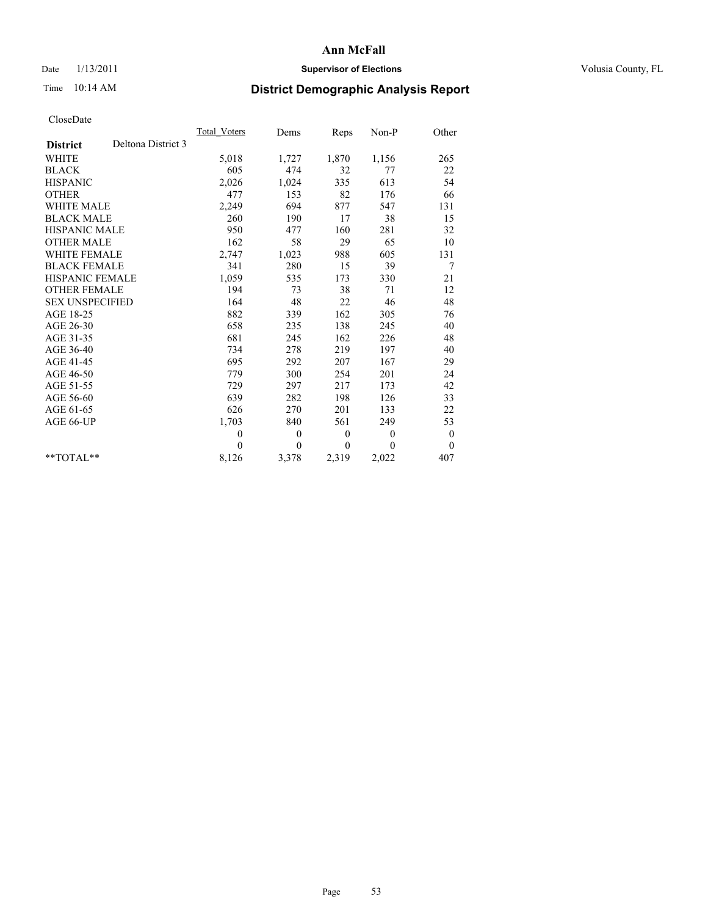## Date  $1/13/2011$  **Supervisor of Elections** Volusia County, FL

# Time 10:14 AM **District Demographic Analysis Report**

|                                       | Total Voters | Dems         | Reps         | Non-P          | Other            |  |
|---------------------------------------|--------------|--------------|--------------|----------------|------------------|--|
| Deltona District 3<br><b>District</b> |              |              |              |                |                  |  |
| <b>WHITE</b>                          | 5,018        | 1,727        | 1,870        | 1,156          | 265              |  |
| <b>BLACK</b>                          | 605          | 474          | 32           | 77             | 22               |  |
| <b>HISPANIC</b>                       | 2,026        | 1,024        | 335          | 613            | 54               |  |
| <b>OTHER</b>                          | 477          | 153          | 82           | 176            | 66               |  |
| <b>WHITE MALE</b>                     | 2,249        | 694          | 877          | 547            | 131              |  |
| <b>BLACK MALE</b>                     | 260          | 190          | 17           | 38             | 15               |  |
| <b>HISPANIC MALE</b>                  | 950          | 477          | 160          | 281            | 32               |  |
| <b>OTHER MALE</b>                     | 162          | 58           | 29           | 65             | 10               |  |
| WHITE FEMALE                          | 2,747        | 1,023        | 988          | 605            | 131              |  |
| <b>BLACK FEMALE</b>                   | 341          | 280          | 15           | 39             | 7                |  |
| HISPANIC FEMALE                       | 1,059        | 535          | 173          | 330            | 21               |  |
| <b>OTHER FEMALE</b>                   | 194          | 73           | 38           | 71             | 12               |  |
| <b>SEX UNSPECIFIED</b>                | 164          | 48           | 22           | 46             | 48               |  |
| AGE 18-25                             | 882          | 339          | 162          | 305            | 76               |  |
| AGE 26-30                             | 658          | 235          | 138          | 245            | 40               |  |
| AGE 31-35                             | 681          | 245          | 162          | 226            | 48               |  |
| AGE 36-40                             | 734          | 278          | 219          | 197            | 40               |  |
| AGE 41-45                             | 695          | 292          | 207          | 167            | 29               |  |
| AGE 46-50                             | 779          | 300          | 254          | 201            | 24               |  |
| AGE 51-55                             | 729          | 297          | 217          | 173            | 42               |  |
| AGE 56-60                             | 639          | 282          | 198          | 126            | 33               |  |
| AGE 61-65                             | 626          | 270          | 201          | 133            | 22               |  |
| AGE 66-UP                             | 1,703        | 840          | 561          | 249            | 53               |  |
|                                       | $\theta$     | $\mathbf{0}$ | $\mathbf{0}$ | $\overline{0}$ | $\boldsymbol{0}$ |  |
|                                       | $\Omega$     | $\theta$     | $\mathbf{0}$ | $\theta$       | $\theta$         |  |
| $*$ TOTAL $*$                         | 8,126        | 3,378        | 2,319        | 2,022          | 407              |  |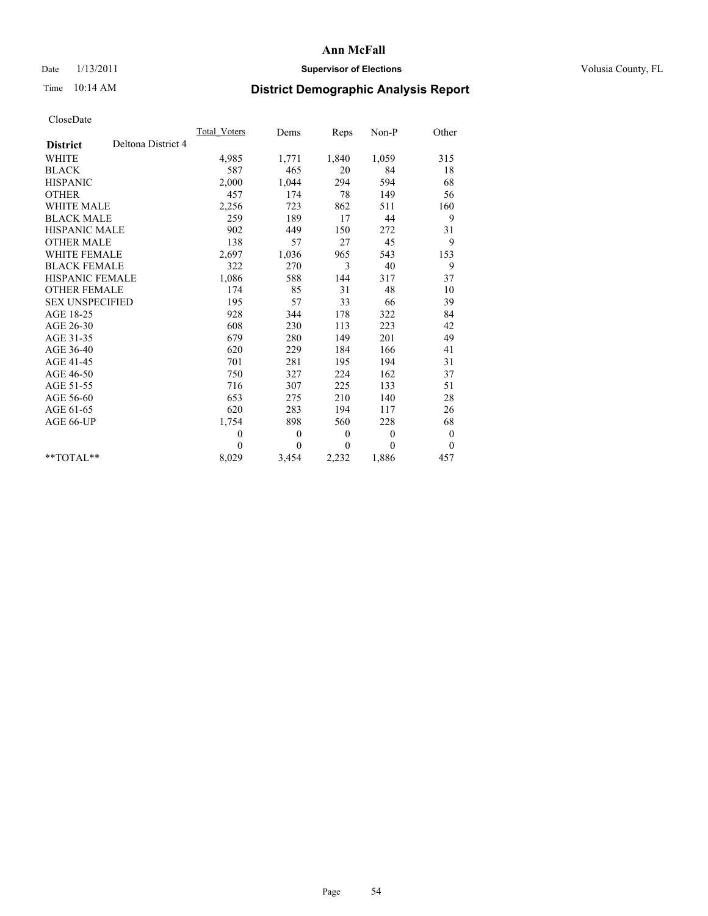## Date  $1/13/2011$  **Supervisor of Elections** Volusia County, FL

# Time 10:14 AM **District Demographic Analysis Report**

|                                       | Total Voters | Dems         | Reps         | Non-P        | Other            |
|---------------------------------------|--------------|--------------|--------------|--------------|------------------|
| Deltona District 4<br><b>District</b> |              |              |              |              |                  |
| <b>WHITE</b>                          | 4,985        | 1,771        | 1,840        | 1,059        | 315              |
| <b>BLACK</b>                          | 587          | 465          | 20           | 84           | 18               |
| <b>HISPANIC</b>                       | 2,000        | 1,044        | 294          | 594          | 68               |
| <b>OTHER</b>                          | 457          | 174          | 78           | 149          | 56               |
| <b>WHITE MALE</b>                     | 2,256        | 723          | 862          | 511          | 160              |
| <b>BLACK MALE</b>                     | 259          | 189          | 17           | 44           | 9                |
| <b>HISPANIC MALE</b>                  | 902          | 449          | 150          | 272          | 31               |
| <b>OTHER MALE</b>                     | 138          | 57           | 27           | 45           | 9                |
| <b>WHITE FEMALE</b>                   | 2,697        | 1,036        | 965          | 543          | 153              |
| <b>BLACK FEMALE</b>                   | 322          | 270          | 3            | 40           | 9                |
| HISPANIC FEMALE                       | 1,086        | 588          | 144          | 317          | 37               |
| <b>OTHER FEMALE</b>                   | 174          | 85           | 31           | 48           | 10               |
| <b>SEX UNSPECIFIED</b>                | 195          | 57           | 33           | 66           | 39               |
| AGE 18-25                             | 928          | 344          | 178          | 322          | 84               |
| AGE 26-30                             | 608          | 230          | 113          | 223          | 42               |
| AGE 31-35                             | 679          | 280          | 149          | 201          | 49               |
| AGE 36-40                             | 620          | 229          | 184          | 166          | 41               |
| AGE 41-45                             | 701          | 281          | 195          | 194          | 31               |
| AGE 46-50                             | 750          | 327          | 224          | 162          | 37               |
| AGE 51-55                             | 716          | 307          | 225          | 133          | 51               |
| AGE 56-60                             | 653          | 275          | 210          | 140          | 28               |
| AGE 61-65                             | 620          | 283          | 194          | 117          | 26               |
| AGE 66-UP                             | 1,754        | 898          | 560          | 228          | 68               |
|                                       | $\mathbf{0}$ | $\mathbf{0}$ | $\mathbf{0}$ | $\mathbf{0}$ | $\boldsymbol{0}$ |
|                                       | $\theta$     | $\theta$     | $\theta$     | $\theta$     | $\boldsymbol{0}$ |
| $*$ TOTAL $*$                         | 8,029        | 3,454        | 2,232        | 1,886        | 457              |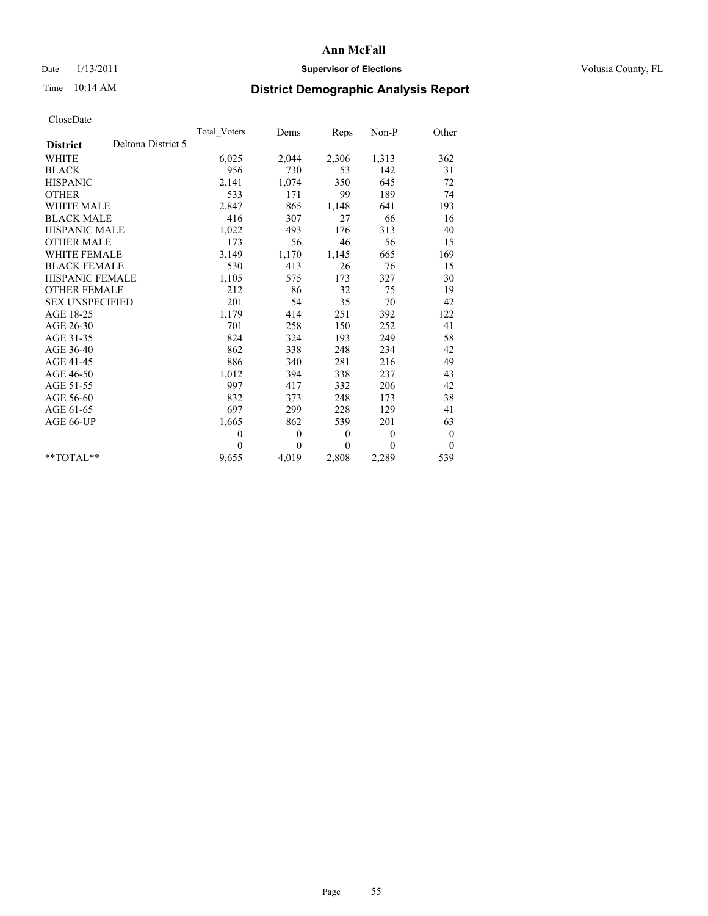## Date  $1/13/2011$  **Supervisor of Elections** Volusia County, FL

# Time 10:14 AM **District Demographic Analysis Report**

|                        |                    | Total Voters | Dems         | <b>Reps</b>  | $Non-P$  | Other            |  |
|------------------------|--------------------|--------------|--------------|--------------|----------|------------------|--|
| <b>District</b>        | Deltona District 5 |              |              |              |          |                  |  |
| <b>WHITE</b>           |                    | 6,025        | 2,044        | 2,306        | 1,313    | 362              |  |
| <b>BLACK</b>           |                    | 956          | 730          | 53           | 142      | 31               |  |
| <b>HISPANIC</b>        |                    | 2,141        | 1,074        | 350          | 645      | 72               |  |
| <b>OTHER</b>           |                    | 533          | 171          | 99           | 189      | 74               |  |
| <b>WHITE MALE</b>      |                    | 2,847        | 865          | 1,148        | 641      | 193              |  |
| <b>BLACK MALE</b>      |                    | 416          | 307          | 27           | 66       | 16               |  |
| HISPANIC MALE          |                    | 1,022        | 493          | 176          | 313      | 40               |  |
| <b>OTHER MALE</b>      |                    | 173          | 56           | 46           | 56       | 15               |  |
| WHITE FEMALE           |                    | 3,149        | 1,170        | 1,145        | 665      | 169              |  |
| <b>BLACK FEMALE</b>    |                    | 530          | 413          | 26           | 76       | 15               |  |
| HISPANIC FEMALE        |                    | 1,105        | 575          | 173          | 327      | 30               |  |
| <b>OTHER FEMALE</b>    |                    | 212          | 86           | 32           | 75       | 19               |  |
| <b>SEX UNSPECIFIED</b> |                    | 201          | 54           | 35           | 70       | 42               |  |
| AGE 18-25              |                    | 1,179        | 414          | 251          | 392      | 122              |  |
| AGE 26-30              |                    | 701          | 258          | 150          | 252      | 41               |  |
| AGE 31-35              |                    | 824          | 324          | 193          | 249      | 58               |  |
| AGE 36-40              |                    | 862          | 338          | 248          | 234      | 42               |  |
| AGE 41-45              |                    | 886          | 340          | 281          | 216      | 49               |  |
| AGE 46-50              |                    | 1,012        | 394          | 338          | 237      | 43               |  |
| AGE 51-55              |                    | 997          | 417          | 332          | 206      | 42               |  |
| AGE 56-60              |                    | 832          | 373          | 248          | 173      | 38               |  |
| AGE 61-65              |                    | 697          | 299          | 228          | 129      | 41               |  |
| AGE 66-UP              |                    | 1,665        | 862          | 539          | 201      | 63               |  |
|                        |                    | $\mathbf{0}$ | $\mathbf{0}$ | $\mathbf{0}$ | $\theta$ | $\boldsymbol{0}$ |  |
|                        |                    | $\Omega$     | $\theta$     | $\theta$     | $\theta$ | $\theta$         |  |
| $*$ $TOTAI.**$         |                    | 9,655        | 4,019        | 2,808        | 2,289    | 539              |  |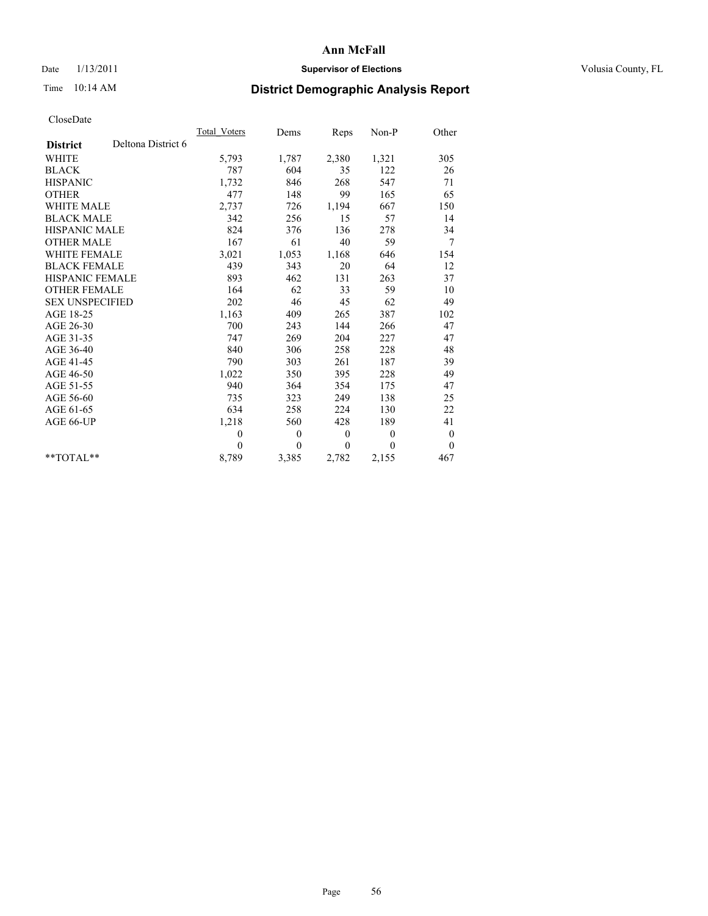## Date  $1/13/2011$  **Supervisor of Elections** Volusia County, FL

# Time 10:14 AM **District Demographic Analysis Report**

|                                       | Total Voters | Dems         | Reps         | Non-P    | Other            |  |
|---------------------------------------|--------------|--------------|--------------|----------|------------------|--|
| Deltona District 6<br><b>District</b> |              |              |              |          |                  |  |
| <b>WHITE</b>                          | 5,793        | 1,787        | 2,380        | 1,321    | 305              |  |
| <b>BLACK</b>                          | 787          | 604          | 35           | 122      | 26               |  |
| <b>HISPANIC</b>                       | 1,732        | 846          | 268          | 547      | 71               |  |
| <b>OTHER</b>                          | 477          | 148          | 99           | 165      | 65               |  |
| <b>WHITE MALE</b>                     | 2,737        | 726          | 1,194        | 667      | 150              |  |
| <b>BLACK MALE</b>                     | 342          | 256          | 15           | 57       | 14               |  |
| <b>HISPANIC MALE</b>                  | 824          | 376          | 136          | 278      | 34               |  |
| <b>OTHER MALE</b>                     | 167          | 61           | 40           | 59       | 7                |  |
| <b>WHITE FEMALE</b>                   | 3,021        | 1,053        | 1,168        | 646      | 154              |  |
| <b>BLACK FEMALE</b>                   | 439          | 343          | 20           | 64       | 12               |  |
| HISPANIC FEMALE                       | 893          | 462          | 131          | 263      | 37               |  |
| <b>OTHER FEMALE</b>                   | 164          | 62           | 33           | 59       | 10               |  |
| <b>SEX UNSPECIFIED</b>                | 202          | 46           | 45           | 62       | 49               |  |
| AGE 18-25                             | 1,163        | 409          | 265          | 387      | 102              |  |
| AGE 26-30                             | 700          | 243          | 144          | 266      | 47               |  |
| AGE 31-35                             | 747          | 269          | 204          | 227      | 47               |  |
| AGE 36-40                             | 840          | 306          | 258          | 228      | 48               |  |
| AGE 41-45                             | 790          | 303          | 261          | 187      | 39               |  |
| AGE 46-50                             | 1,022        | 350          | 395          | 228      | 49               |  |
| AGE 51-55                             | 940          | 364          | 354          | 175      | 47               |  |
| AGE 56-60                             | 735          | 323          | 249          | 138      | 25               |  |
| AGE 61-65                             | 634          | 258          | 224          | 130      | 22               |  |
| AGE 66-UP                             | 1,218        | 560          | 428          | 189      | 41               |  |
|                                       | $\mathbf{0}$ | $\mathbf{0}$ | $\mathbf{0}$ | $\theta$ | $\boldsymbol{0}$ |  |
|                                       | $\theta$     | $\theta$     | $\theta$     | $\theta$ | $\mathbf{0}$     |  |
| $*$ TOTAL $*$                         | 8,789        | 3,385        | 2,782        | 2,155    | 467              |  |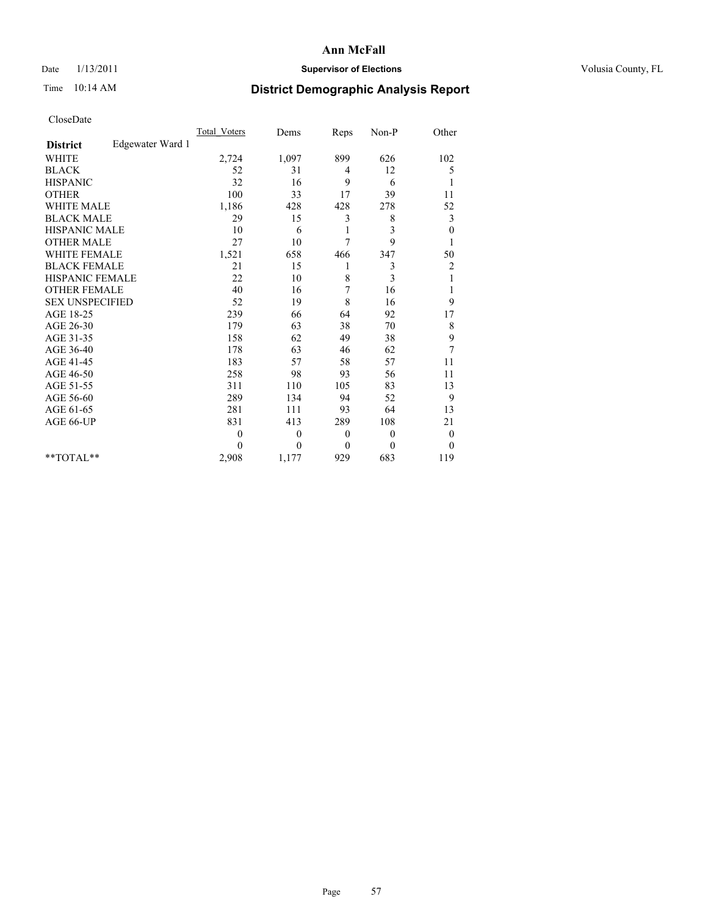## Date  $1/13/2011$  **Supervisor of Elections** Volusia County, FL

# Time 10:14 AM **District Demographic Analysis Report**

|                                     | <b>Total Voters</b> | Dems     | Reps           | Non-P          | Other            |  |
|-------------------------------------|---------------------|----------|----------------|----------------|------------------|--|
| Edgewater Ward 1<br><b>District</b> |                     |          |                |                |                  |  |
| <b>WHITE</b>                        | 2,724               | 1,097    | 899            | 626            | 102              |  |
| <b>BLACK</b>                        | 52                  | 31       | $\overline{4}$ | 12             | 5                |  |
| <b>HISPANIC</b>                     | 32                  | 16       | 9              | 6              | 1                |  |
| <b>OTHER</b>                        | 100                 | 33       | 17             | 39             | 11               |  |
| WHITE MALE                          | 1,186               | 428      | 428            | 278            | 52               |  |
| <b>BLACK MALE</b>                   | 29                  | 15       | 3              | 8              | 3                |  |
| HISPANIC MALE                       | 10                  | 6        | 1              | 3              | $\boldsymbol{0}$ |  |
| <b>OTHER MALE</b>                   | 27                  | 10       | 7              | 9              |                  |  |
| <b>WHITE FEMALE</b>                 | 1,521               | 658      | 466            | 347            | 50               |  |
| <b>BLACK FEMALE</b>                 | 21                  | 15       | 1              | 3              | 2                |  |
| <b>HISPANIC FEMALE</b>              | 22                  | 10       | 8              | 3              | 1                |  |
| <b>OTHER FEMALE</b>                 | 40                  | 16       | 7              | 16             | 1                |  |
| <b>SEX UNSPECIFIED</b>              | 52                  | 19       | 8              | 16             | 9                |  |
| AGE 18-25                           | 239                 | 66       | 64             | 92             | 17               |  |
| AGE 26-30                           | 179                 | 63       | 38             | 70             | 8                |  |
| AGE 31-35                           | 158                 | 62       | 49             | 38             | 9                |  |
| AGE 36-40                           | 178                 | 63       | 46             | 62             | $\overline{7}$   |  |
| AGE 41-45                           | 183                 | 57       | 58             | 57             | 11               |  |
| AGE 46-50                           | 258                 | 98       | 93             | 56             | 11               |  |
| AGE 51-55                           | 311                 | 110      | 105            | 83             | 13               |  |
| AGE 56-60                           | 289                 | 134      | 94             | 52             | 9                |  |
| AGE 61-65                           | 281                 | 111      | 93             | 64             | 13               |  |
| AGE 66-UP                           | 831                 | 413      | 289            | 108            | 21               |  |
|                                     | $\mathbf{0}$        | $\theta$ | $\theta$       | $\overline{0}$ | $\boldsymbol{0}$ |  |
|                                     | $\Omega$            | $\theta$ | $\mathbf{0}$   | $\theta$       | $\mathbf{0}$     |  |
| $*$ TOTAL $*$                       | 2,908               | 1,177    | 929            | 683            | 119              |  |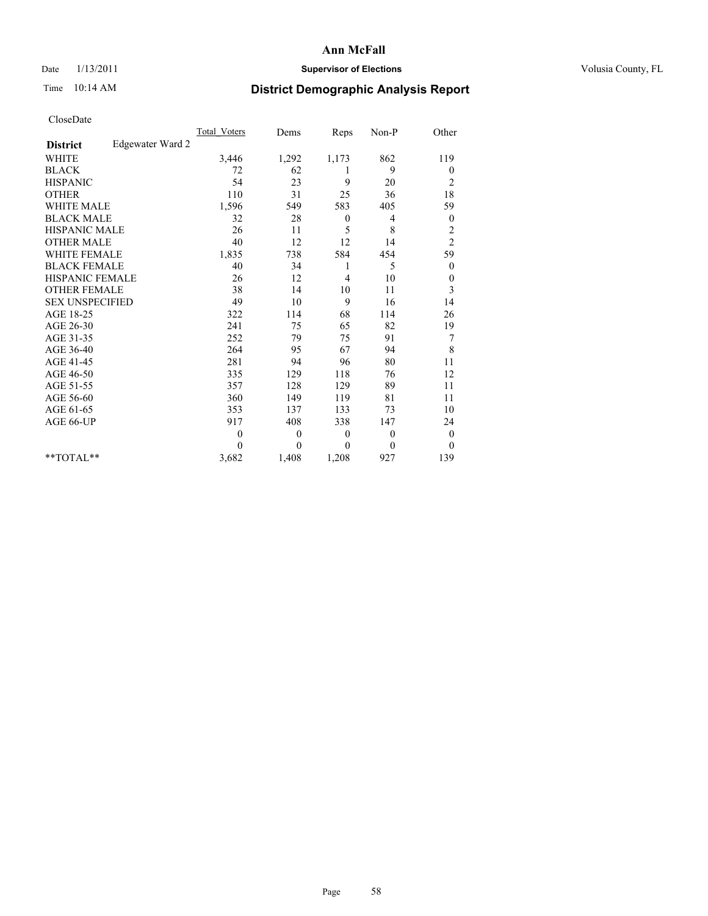## Date  $1/13/2011$  **Supervisor of Elections** Volusia County, FL

# Time 10:14 AM **District Demographic Analysis Report**

|                                     | <b>Total Voters</b> | Dems         | Reps         | Non-P    | Other            |
|-------------------------------------|---------------------|--------------|--------------|----------|------------------|
| Edgewater Ward 2<br><b>District</b> |                     |              |              |          |                  |
| <b>WHITE</b>                        | 3,446               | 1,292        | 1,173        | 862      | 119              |
| <b>BLACK</b>                        | 72                  | 62           | 1            | 9        | $\boldsymbol{0}$ |
| <b>HISPANIC</b>                     | 54                  | 23           | 9            | 20       | $\overline{c}$   |
| <b>OTHER</b>                        | 110                 | 31           | 25           | 36       | 18               |
| <b>WHITE MALE</b>                   | 1,596               | 549          | 583          | 405      | 59               |
| <b>BLACK MALE</b>                   | 32                  | 28           | $\mathbf{0}$ | 4        | $\boldsymbol{0}$ |
| HISPANIC MALE                       | 26                  | 11           | 5            | 8        | $\overline{c}$   |
| <b>OTHER MALE</b>                   | 40                  | 12           | 12           | 14       | $\overline{c}$   |
| <b>WHITE FEMALE</b>                 | 1,835               | 738          | 584          | 454      | 59               |
| <b>BLACK FEMALE</b>                 | 40                  | 34           | 1            | 5        | $\boldsymbol{0}$ |
| HISPANIC FEMALE                     | 26                  | 12           | 4            | 10       | $\boldsymbol{0}$ |
| <b>OTHER FEMALE</b>                 | 38                  | 14           | 10           | 11       | 3                |
| <b>SEX UNSPECIFIED</b>              | 49                  | 10           | 9            | 16       | 14               |
| AGE 18-25                           | 322                 | 114          | 68           | 114      | 26               |
| AGE 26-30                           | 241                 | 75           | 65           | 82       | 19               |
| AGE 31-35                           | 252                 | 79           | 75           | 91       | $\boldsymbol{7}$ |
| AGE 36-40                           | 264                 | 95           | 67           | 94       | 8                |
| AGE 41-45                           | 281                 | 94           | 96           | 80       | 11               |
| AGE 46-50                           | 335                 | 129          | 118          | 76       | 12               |
| AGE 51-55                           | 357                 | 128          | 129          | 89       | 11               |
| AGE 56-60                           | 360                 | 149          | 119          | 81       | 11               |
| AGE 61-65                           | 353                 | 137          | 133          | 73       | 10               |
| AGE 66-UP                           | 917                 | 408          | 338          | 147      | 24               |
|                                     | $\theta$            | $\mathbf{0}$ | $\theta$     | $\theta$ | $\boldsymbol{0}$ |
|                                     | $\theta$            | $\theta$     | $\theta$     | $\theta$ | $\theta$         |
| $*$ TOTAL $*$                       | 3,682               | 1,408        | 1,208        | 927      | 139              |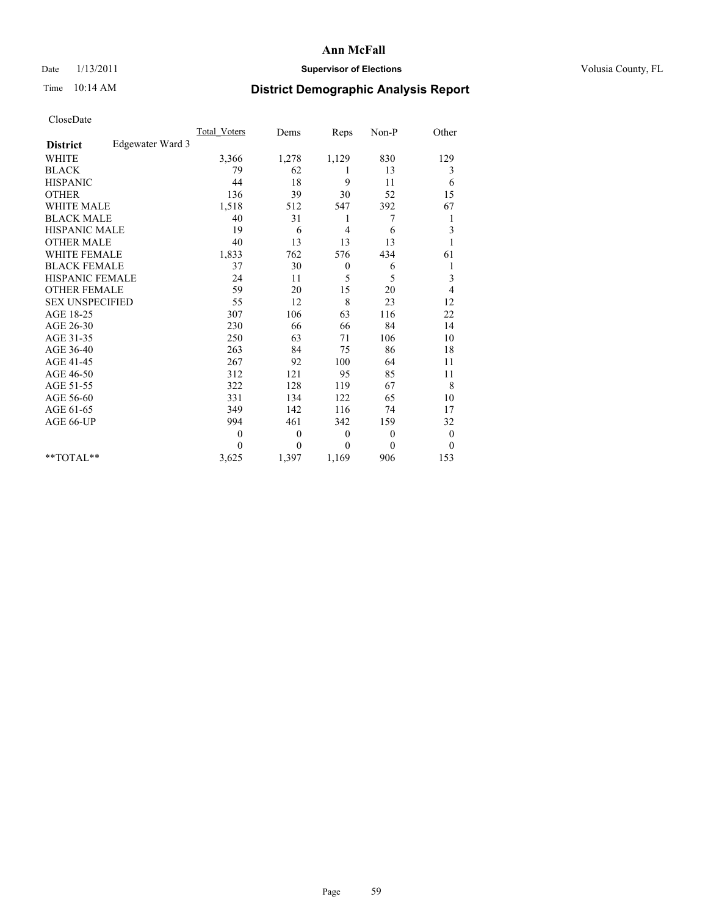## Date  $1/13/2011$  **Supervisor of Elections** Volusia County, FL

# Time 10:14 AM **District Demographic Analysis Report**

|                                     | <b>Total Voters</b> | Dems         | Reps             | Non-P          | Other            |
|-------------------------------------|---------------------|--------------|------------------|----------------|------------------|
| Edgewater Ward 3<br><b>District</b> |                     |              |                  |                |                  |
| <b>WHITE</b>                        | 3,366               | 1,278        | 1,129            | 830            | 129              |
| <b>BLACK</b>                        | 79                  | 62           | 1                | 13             | 3                |
| <b>HISPANIC</b>                     | 44                  | 18           | 9                | 11             | 6                |
| <b>OTHER</b>                        | 136                 | 39           | 30               | 52             | 15               |
| <b>WHITE MALE</b>                   | 1,518               | 512          | 547              | 392            | 67               |
| <b>BLACK MALE</b>                   | 40                  | 31           | 1                | 7              | 1                |
| <b>HISPANIC MALE</b>                | 19                  | 6            | 4                | 6              | 3                |
| <b>OTHER MALE</b>                   | 40                  | 13           | 13               | 13             |                  |
| <b>WHITE FEMALE</b>                 | 1,833               | 762          | 576              | 434            | 61               |
| <b>BLACK FEMALE</b>                 | 37                  | 30           | $\boldsymbol{0}$ | 6              | 1                |
| HISPANIC FEMALE                     | 24                  | 11           | 5                | 5              | 3                |
| <b>OTHER FEMALE</b>                 | 59                  | 20           | 15               | 20             | 4                |
| <b>SEX UNSPECIFIED</b>              | 55                  | 12           | 8                | 23             | 12               |
| AGE 18-25                           | 307                 | 106          | 63               | 116            | 22               |
| AGE 26-30                           | 230                 | 66           | 66               | 84             | 14               |
| AGE 31-35                           | 250                 | 63           | 71               | 106            | 10               |
| AGE 36-40                           | 263                 | 84           | 75               | 86             | 18               |
| AGE 41-45                           | 267                 | 92           | 100              | 64             | 11               |
| AGE 46-50                           | 312                 | 121          | 95               | 85             | 11               |
| AGE 51-55                           | 322                 | 128          | 119              | 67             | 8                |
| AGE 56-60                           | 331                 | 134          | 122              | 65             | 10               |
| AGE 61-65                           | 349                 | 142          | 116              | 74             | 17               |
| AGE 66-UP                           | 994                 | 461          | 342              | 159            | 32               |
|                                     | $\theta$            | $\mathbf{0}$ | $\theta$         | $\overline{0}$ | $\boldsymbol{0}$ |
|                                     | $\Omega$            | $\mathbf{0}$ | $\theta$         | $\theta$       | $\theta$         |
| $*$ TOTAL $*$                       | 3,625               | 1,397        | 1,169            | 906            | 153              |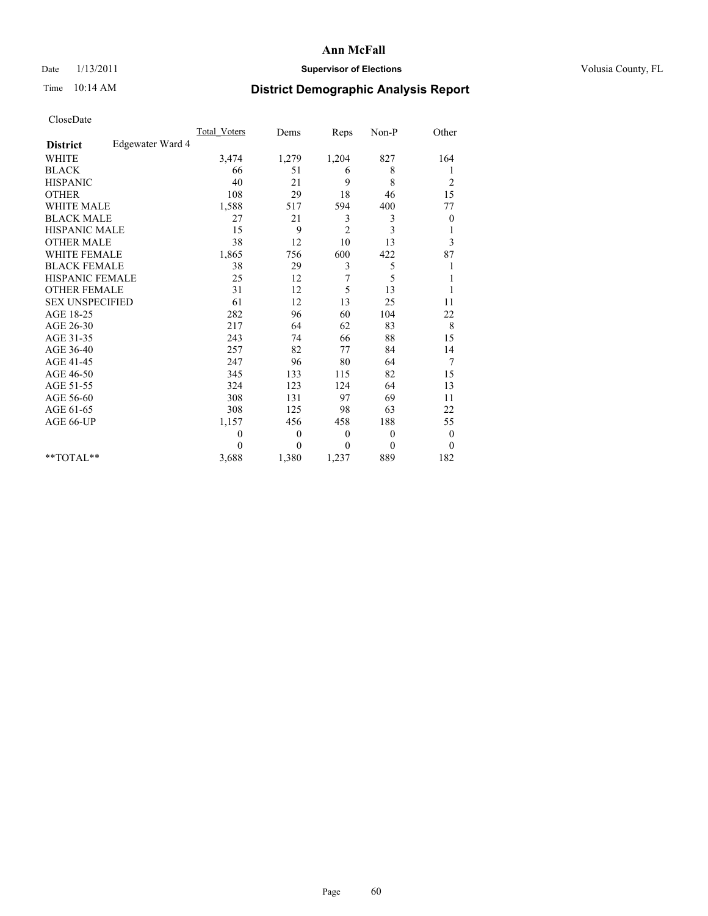### Date  $1/13/2011$  **Supervisor of Elections Supervisor of Elections** Volusia County, FL

# Time 10:14 AM **District Demographic Analysis Report**

|                                     | <b>Total Voters</b> | Dems         | Reps           | Non-P          | Other            |
|-------------------------------------|---------------------|--------------|----------------|----------------|------------------|
| Edgewater Ward 4<br><b>District</b> |                     |              |                |                |                  |
| <b>WHITE</b>                        | 3,474               | 1,279        | 1,204          | 827            | 164              |
| <b>BLACK</b>                        | 66                  | 51           | 6              | 8              | 1                |
| <b>HISPANIC</b>                     | 40                  | 21           | 9              | 8              | $\overline{c}$   |
| <b>OTHER</b>                        | 108                 | 29           | 18             | 46             | 15               |
| <b>WHITE MALE</b>                   | 1,588               | 517          | 594            | 400            | 77               |
| <b>BLACK MALE</b>                   | 27                  | 21           | 3              | 3              | $\boldsymbol{0}$ |
| <b>HISPANIC MALE</b>                | 15                  | 9            | $\overline{c}$ | 3              | 1                |
| <b>OTHER MALE</b>                   | 38                  | 12           | 10             | 13             | 3                |
| <b>WHITE FEMALE</b>                 | 1,865               | 756          | 600            | 422            | 87               |
| <b>BLACK FEMALE</b>                 | 38                  | 29           | 3              | 5              |                  |
| HISPANIC FEMALE                     | 25                  | 12           | 7              | 5              |                  |
| <b>OTHER FEMALE</b>                 | 31                  | 12           | 5              | 13             |                  |
| <b>SEX UNSPECIFIED</b>              | 61                  | 12           | 13             | 25             | 11               |
| AGE 18-25                           | 282                 | 96           | 60             | 104            | 22               |
| AGE 26-30                           | 217                 | 64           | 62             | 83             | $\,$ 8 $\,$      |
| AGE 31-35                           | 243                 | 74           | 66             | 88             | 15               |
| AGE 36-40                           | 257                 | 82           | 77             | 84             | 14               |
| AGE 41-45                           | 247                 | 96           | 80             | 64             | 7                |
| AGE 46-50                           | 345                 | 133          | 115            | 82             | 15               |
| AGE 51-55                           | 324                 | 123          | 124            | 64             | 13               |
| AGE 56-60                           | 308                 | 131          | 97             | 69             | 11               |
| AGE 61-65                           | 308                 | 125          | 98             | 63             | 22               |
| AGE 66-UP                           | 1,157               | 456          | 458            | 188            | 55               |
|                                     | $\theta$            | $\mathbf{0}$ | $\theta$       | $\overline{0}$ | $\boldsymbol{0}$ |
|                                     | $\Omega$            | $\mathbf{0}$ | $\mathbf{0}$   | $\theta$       | $\theta$         |
| $*$ TOTAL $*$                       | 3,688               | 1,380        | 1,237          | 889            | 182              |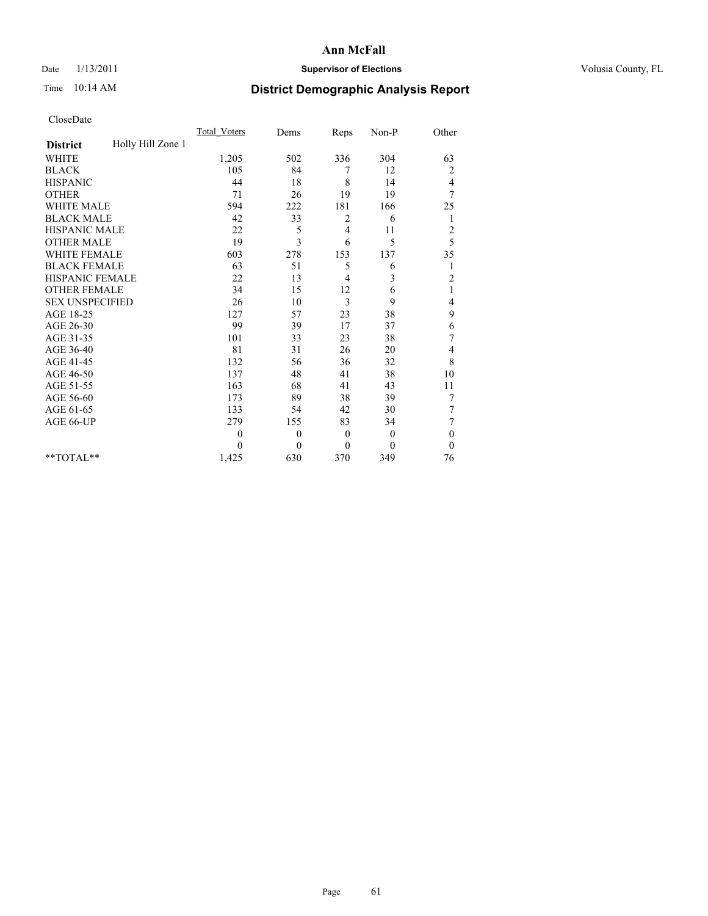## Date  $1/13/2011$  **Supervisor of Elections** Volusia County, FL

# Time 10:14 AM **District Demographic Analysis Report**

|                                      | <b>Total Voters</b> | Dems         | Reps           | Non-P        | Other          |
|--------------------------------------|---------------------|--------------|----------------|--------------|----------------|
| Holly Hill Zone 1<br><b>District</b> |                     |              |                |              |                |
| <b>WHITE</b>                         | 1,205               | 502          | 336            | 304          | 63             |
| <b>BLACK</b>                         | 105                 | 84           | 7              | 12           | 2              |
| <b>HISPANIC</b>                      | 44                  | 18           | 8              | 14           | 4              |
| <b>OTHER</b>                         | 71                  | 26           | 19             | 19           | 7              |
| <b>WHITE MALE</b>                    | 594                 | 222          | 181            | 166          | 25             |
| <b>BLACK MALE</b>                    | 42                  | 33           | 2              | 6            | 1              |
| HISPANIC MALE                        | 22                  | 5            | $\overline{4}$ | 11           | $\overline{c}$ |
| <b>OTHER MALE</b>                    | 19                  | 3            | 6              | 5            | 5              |
| <b>WHITE FEMALE</b>                  | 603                 | 278          | 153            | 137          | 35             |
| <b>BLACK FEMALE</b>                  | 63                  | 51           | 5              | 6            | 1              |
| HISPANIC FEMALE                      | 22                  | 13           | 4              | 3            | $\overline{c}$ |
| <b>OTHER FEMALE</b>                  | 34                  | 15           | 12             | 6            | $\mathbf{1}$   |
| <b>SEX UNSPECIFIED</b>               | 26                  | 10           | 3              | 9            | 4              |
| AGE 18-25                            | 127                 | 57           | 23             | 38           | 9              |
| AGE 26-30                            | 99                  | 39           | 17             | 37           | 6              |
| AGE 31-35                            | 101                 | 33           | 23             | 38           | 7              |
| AGE 36-40                            | 81                  | 31           | 26             | 20           | 4              |
| AGE 41-45                            | 132                 | 56           | 36             | 32           | $\,$ 8 $\,$    |
| AGE 46-50                            | 137                 | 48           | 41             | 38           | 10             |
| AGE 51-55                            | 163                 | 68           | 41             | 43           | 11             |
| AGE 56-60                            | 173                 | 89           | 38             | 39           | $\tau$         |
| AGE 61-65                            | 133                 | 54           | 42             | 30           | $\tau$         |
| AGE 66-UP                            | 279                 | 155          | 83             | 34           | 7              |
|                                      | $\theta$            | $\mathbf{0}$ | $\mathbf{0}$   | $\mathbf{0}$ | $\mathbf{0}$   |
|                                      | $\Omega$            | $\theta$     | $\theta$       | $\theta$     | $\theta$       |
| **TOTAL**                            | 1,425               | 630          | 370            | 349          | 76             |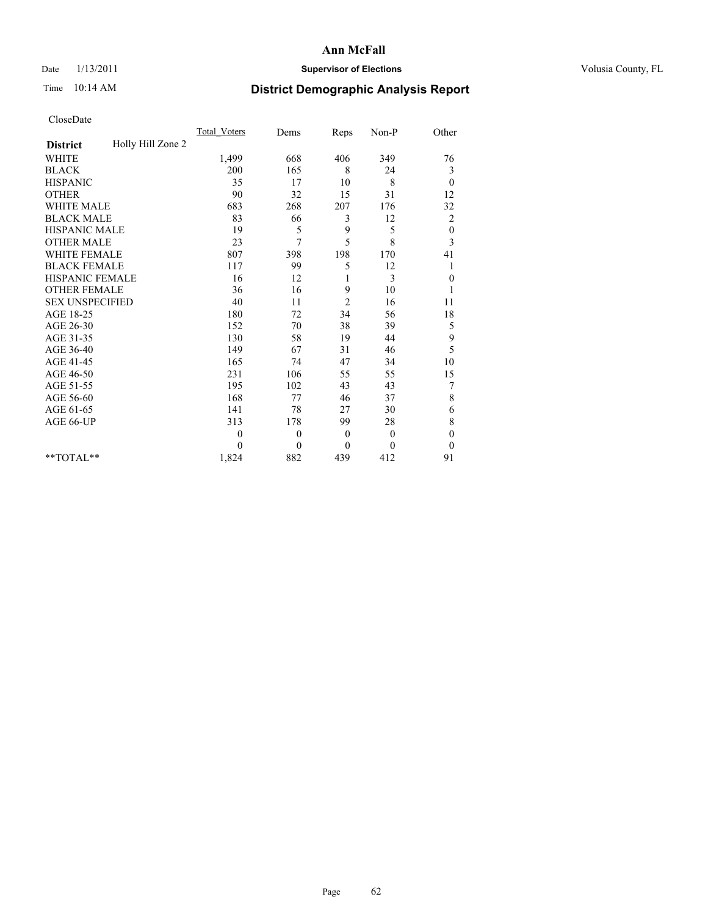## Date  $1/13/2011$  **Supervisor of Elections** Volusia County, FL

# Time 10:14 AM **District Demographic Analysis Report**

|                                      | <b>Total Voters</b> | Dems         | Reps           | Non-P        | Other            |  |
|--------------------------------------|---------------------|--------------|----------------|--------------|------------------|--|
| Holly Hill Zone 2<br><b>District</b> |                     |              |                |              |                  |  |
| <b>WHITE</b>                         | 1,499               | 668          | 406            | 349          | 76               |  |
| <b>BLACK</b>                         | 200                 | 165          | 8              | 24           | 3                |  |
| <b>HISPANIC</b>                      | 35                  | 17           | 10             | 8            | $\overline{0}$   |  |
| <b>OTHER</b>                         | 90                  | 32           | 15             | 31           | 12               |  |
| <b>WHITE MALE</b>                    | 683                 | 268          | 207            | 176          | 32               |  |
| <b>BLACK MALE</b>                    | 83                  | 66           | 3              | 12           | $\overline{c}$   |  |
| HISPANIC MALE                        | 19                  | 5            | 9              | 5            | $\boldsymbol{0}$ |  |
| <b>OTHER MALE</b>                    | 23                  | 7            | 5              | 8            | 3                |  |
| <b>WHITE FEMALE</b>                  | 807                 | 398          | 198            | 170          | 41               |  |
| <b>BLACK FEMALE</b>                  | 117                 | 99           | 5              | 12           | 1                |  |
| HISPANIC FEMALE                      | 16                  | 12           |                | 3            | $\boldsymbol{0}$ |  |
| <b>OTHER FEMALE</b>                  | 36                  | 16           | 9              | 10           |                  |  |
| <b>SEX UNSPECIFIED</b>               | 40                  | 11           | $\overline{2}$ | 16           | 11               |  |
| AGE 18-25                            | 180                 | 72           | 34             | 56           | 18               |  |
| AGE 26-30                            | 152                 | 70           | 38             | 39           | 5                |  |
| AGE 31-35                            | 130                 | 58           | 19             | 44           | 9                |  |
| AGE 36-40                            | 149                 | 67           | 31             | 46           | 5                |  |
| AGE 41-45                            | 165                 | 74           | 47             | 34           | 10               |  |
| AGE 46-50                            | 231                 | 106          | 55             | 55           | 15               |  |
| AGE 51-55                            | 195                 | 102          | 43             | 43           | 7                |  |
| AGE 56-60                            | 168                 | 77           | 46             | 37           | 8                |  |
| AGE 61-65                            | 141                 | 78           | 27             | 30           | 6                |  |
| AGE 66-UP                            | 313                 | 178          | 99             | 28           | 8                |  |
|                                      | $\overline{0}$      | $\mathbf{0}$ | $\mathbf{0}$   | $\mathbf{0}$ | $\boldsymbol{0}$ |  |
|                                      | $\theta$            | $\theta$     | $\mathbf{0}$   | $\theta$     | $\theta$         |  |
| $*$ $TOTAI.**$                       | 1,824               | 882          | 439            | 412          | 91               |  |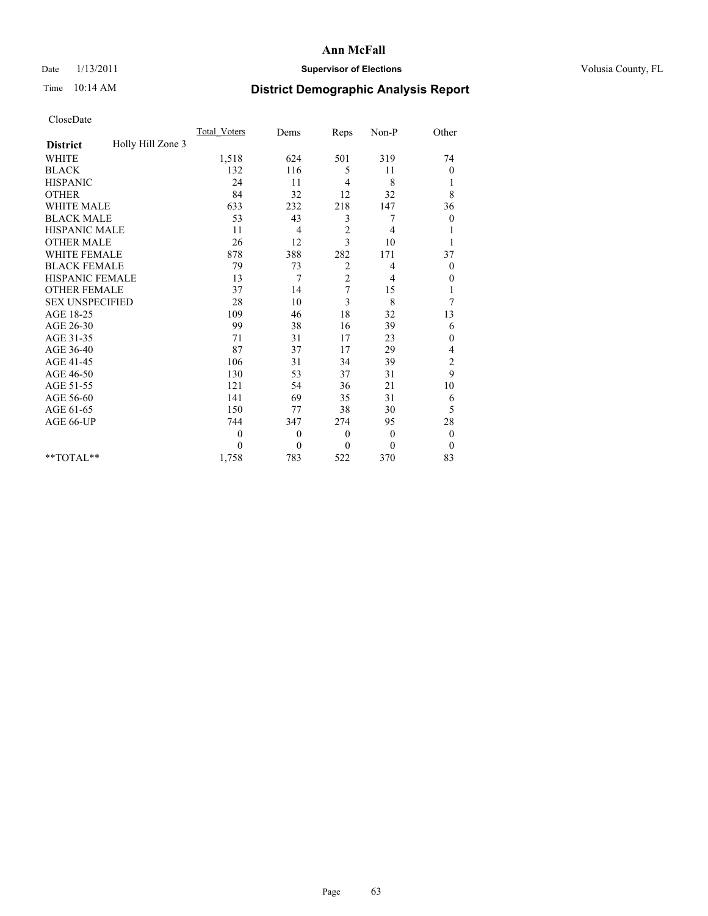## Date  $1/13/2011$  **Supervisor of Elections** Volusia County, FL

# Time 10:14 AM **District Demographic Analysis Report**

|                                      | <b>Total Voters</b> | Dems     | Reps           | Non-P        | Other            |
|--------------------------------------|---------------------|----------|----------------|--------------|------------------|
| Holly Hill Zone 3<br><b>District</b> |                     |          |                |              |                  |
| <b>WHITE</b>                         | 1,518               | 624      | 501            | 319          | 74               |
| <b>BLACK</b>                         | 132                 | 116      | 5              | 11           | 0                |
| <b>HISPANIC</b>                      | 24                  | 11       | $\overline{4}$ | 8            | 1                |
| <b>OTHER</b>                         | 84                  | 32       | 12             | 32           | 8                |
| <b>WHITE MALE</b>                    | 633                 | 232      | 218            | 147          | 36               |
| <b>BLACK MALE</b>                    | 53                  | 43       | 3              | 7            | $\mathbf{0}$     |
| HISPANIC MALE                        | 11                  | 4        | $\sqrt{2}$     | 4            |                  |
| <b>OTHER MALE</b>                    | 26                  | 12       | 3              | 10           |                  |
| <b>WHITE FEMALE</b>                  | 878                 | 388      | 282            | 171          | 37               |
| <b>BLACK FEMALE</b>                  | 79                  | 73       | 2              | 4            | $\boldsymbol{0}$ |
| HISPANIC FEMALE                      | 13                  | 7        | $\overline{c}$ | 4            | 0                |
| <b>OTHER FEMALE</b>                  | 37                  | 14       | 7              | 15           | 1                |
| <b>SEX UNSPECIFIED</b>               | 28                  | 10       | 3              | 8            | 7                |
| AGE 18-25                            | 109                 | 46       | 18             | 32           | 13               |
| AGE 26-30                            | 99                  | 38       | 16             | 39           | 6                |
| AGE 31-35                            | 71                  | 31       | 17             | 23           | $\boldsymbol{0}$ |
| AGE 36-40                            | 87                  | 37       | 17             | 29           | 4                |
| AGE 41-45                            | 106                 | 31       | 34             | 39           | $\overline{c}$   |
| AGE 46-50                            | 130                 | 53       | 37             | 31           | 9                |
| AGE 51-55                            | 121                 | 54       | 36             | 21           | 10               |
| AGE 56-60                            | 141                 | 69       | 35             | 31           | 6                |
| AGE 61-65                            | 150                 | 77       | 38             | 30           | 5                |
| AGE 66-UP                            | 744                 | 347      | 274            | 95           | 28               |
|                                      | $\mathbf{0}$        | $\theta$ | $\theta$       | $\mathbf{0}$ | $\boldsymbol{0}$ |
|                                      | $\theta$            | $\theta$ | $\mathbf{0}$   | $\theta$     | $\boldsymbol{0}$ |
| $*$ TOTAL $*$                        | 1,758               | 783      | 522            | 370          | 83               |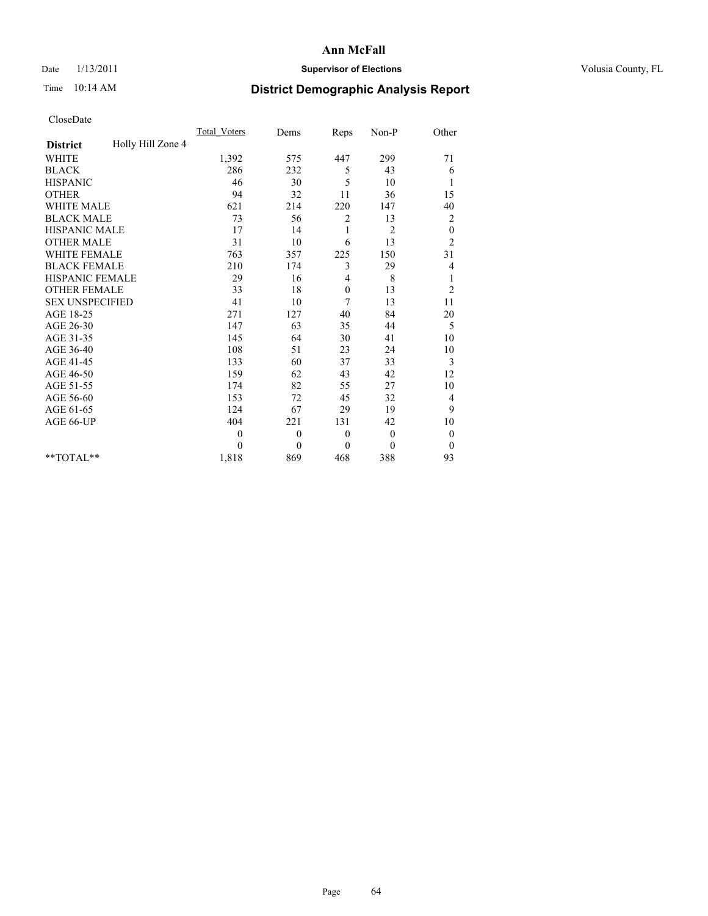## Date  $1/13/2011$  **Supervisor of Elections** Volusia County, FL

# Time 10:14 AM **District Demographic Analysis Report**

|                                      | <b>Total Voters</b> | Dems         | Reps           | Non-P          | Other            |  |
|--------------------------------------|---------------------|--------------|----------------|----------------|------------------|--|
| Holly Hill Zone 4<br><b>District</b> |                     |              |                |                |                  |  |
| <b>WHITE</b>                         | 1,392               | 575          | 447            | 299            | 71               |  |
| <b>BLACK</b>                         | 286                 | 232          | 5              | 43             | 6                |  |
| <b>HISPANIC</b>                      | 46                  | 30           | 5              | 10             | 1                |  |
| <b>OTHER</b>                         | 94                  | 32           | 11             | 36             | 15               |  |
| <b>WHITE MALE</b>                    | 621                 | 214          | 220            | 147            | 40               |  |
| <b>BLACK MALE</b>                    | 73                  | 56           | $\overline{2}$ | 13             | $\overline{c}$   |  |
| <b>HISPANIC MALE</b>                 | 17                  | 14           | 1              | $\overline{2}$ | $\boldsymbol{0}$ |  |
| <b>OTHER MALE</b>                    | 31                  | 10           | 6              | 13             | $\overline{c}$   |  |
| WHITE FEMALE                         | 763                 | 357          | 225            | 150            | 31               |  |
| <b>BLACK FEMALE</b>                  | 210                 | 174          | 3              | 29             | 4                |  |
| HISPANIC FEMALE                      | 29                  | 16           | 4              | 8              | $\mathbf{1}$     |  |
| <b>OTHER FEMALE</b>                  | 33                  | 18           | $\mathbf{0}$   | 13             | $\overline{c}$   |  |
| <b>SEX UNSPECIFIED</b>               | 41                  | 10           | 7              | 13             | 11               |  |
| AGE 18-25                            | 271                 | 127          | 40             | 84             | $20\,$           |  |
| AGE 26-30                            | 147                 | 63           | 35             | 44             | 5                |  |
| AGE 31-35                            | 145                 | 64           | 30             | 41             | 10               |  |
| AGE 36-40                            | 108                 | 51           | 23             | 24             | 10               |  |
| AGE 41-45                            | 133                 | 60           | 37             | 33             | 3                |  |
| AGE 46-50                            | 159                 | 62           | 43             | 42             | 12               |  |
| AGE 51-55                            | 174                 | 82           | 55             | 27             | 10               |  |
| AGE 56-60                            | 153                 | 72           | 45             | 32             | 4                |  |
| AGE 61-65                            | 124                 | 67           | 29             | 19             | 9                |  |
| AGE 66-UP                            | 404                 | 221          | 131            | 42             | 10               |  |
|                                      | $\theta$            | $\mathbf{0}$ | $\theta$       | $\mathbf{0}$   | $\boldsymbol{0}$ |  |
|                                      | $\Omega$            | $\theta$     | $\theta$       | $\theta$       | $\theta$         |  |
| **TOTAL**                            | 1,818               | 869          | 468            | 388            | 93               |  |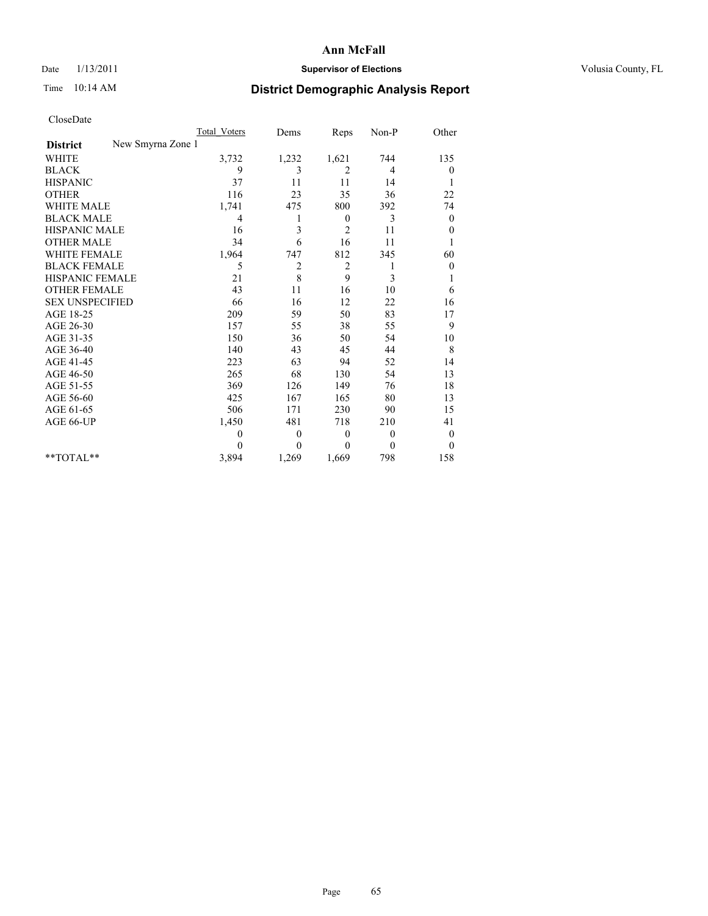## Date  $1/13/2011$  **Supervisor of Elections** Volusia County, FL

# Time 10:14 AM **District Demographic Analysis Report**

|                                      | <b>Total Voters</b> | Dems           | Reps           | Non-P          | Other            |
|--------------------------------------|---------------------|----------------|----------------|----------------|------------------|
| New Smyrna Zone 1<br><b>District</b> |                     |                |                |                |                  |
| <b>WHITE</b>                         | 3,732               | 1,232          | 1,621          | 744            | 135              |
| <b>BLACK</b>                         | 9                   | 3              | 2              | 4              | 0                |
| <b>HISPANIC</b>                      | 37                  | 11             | 11             | 14             | 1                |
| <b>OTHER</b>                         | 116                 | 23             | 35             | 36             | 22               |
| <b>WHITE MALE</b>                    | 1,741               | 475            | 800            | 392            | 74               |
| <b>BLACK MALE</b>                    | 4                   | 1              | $\mathbf{0}$   | 3              | $\boldsymbol{0}$ |
| HISPANIC MALE                        | 16                  | 3              | $\overline{2}$ | 11             | $\boldsymbol{0}$ |
| <b>OTHER MALE</b>                    | 34                  | 6              | 16             | 11             |                  |
| <b>WHITE FEMALE</b>                  | 1,964               | 747            | 812            | 345            | 60               |
| <b>BLACK FEMALE</b>                  | 5                   | $\overline{c}$ | $\overline{2}$ | 1              | $\boldsymbol{0}$ |
| HISPANIC FEMALE                      | 21                  | 8              | 9              | 3              | 1                |
| <b>OTHER FEMALE</b>                  | 43                  | 11             | 16             | 10             | 6                |
| <b>SEX UNSPECIFIED</b>               | 66                  | 16             | 12             | 22             | 16               |
| AGE 18-25                            | 209                 | 59             | 50             | 83             | 17               |
| AGE 26-30                            | 157                 | 55             | 38             | 55             | 9                |
| AGE 31-35                            | 150                 | 36             | 50             | 54             | 10               |
| AGE 36-40                            | 140                 | 43             | 45             | 44             | 8                |
| AGE 41-45                            | 223                 | 63             | 94             | 52             | 14               |
| AGE 46-50                            | 265                 | 68             | 130            | 54             | 13               |
| AGE 51-55                            | 369                 | 126            | 149            | 76             | 18               |
| AGE 56-60                            | 425                 | 167            | 165            | 80             | 13               |
| AGE 61-65                            | 506                 | 171            | 230            | 90             | 15               |
| AGE 66-UP                            | 1,450               | 481            | 718            | 210            | 41               |
|                                      | $\theta$            | $\mathbf{0}$   | $\theta$       | $\overline{0}$ | $\boldsymbol{0}$ |
|                                      | $\theta$            | $\theta$       | $\Omega$       | $\theta$       | $\theta$         |
| $*$ TOTAL $*$                        | 3,894               | 1,269          | 1,669          | 798            | 158              |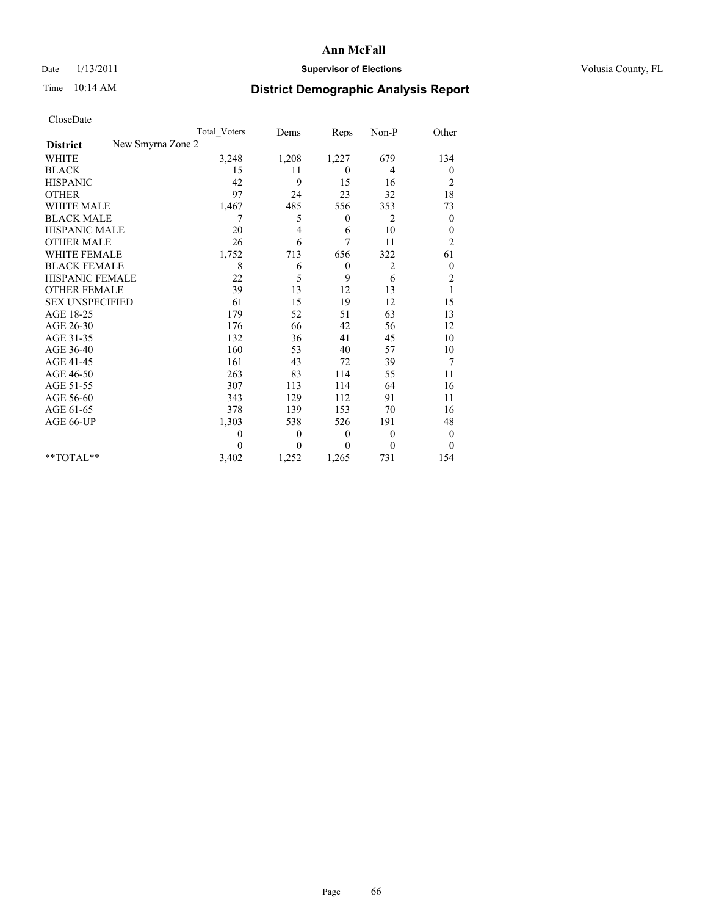## Date  $1/13/2011$  **Supervisor of Elections** Volusia County, FL

# Time 10:14 AM **District Demographic Analysis Report**

|                                      | <b>Total Voters</b> | Dems             | Reps           | $Non-P$        | Other            |
|--------------------------------------|---------------------|------------------|----------------|----------------|------------------|
| New Smyrna Zone 2<br><b>District</b> |                     |                  |                |                |                  |
| <b>WHITE</b>                         | 3,248               | 1,208            | 1,227          | 679            | 134              |
| <b>BLACK</b>                         | 15                  | 11               | $\overline{0}$ | 4              | 0                |
| <b>HISPANIC</b>                      | 42                  | 9                | 15             | 16             | $\overline{c}$   |
| <b>OTHER</b>                         | 97                  | 24               | 23             | 32             | 18               |
| <b>WHITE MALE</b>                    | 1,467               | 485              | 556            | 353            | 73               |
| <b>BLACK MALE</b>                    | 7                   | 5                | $\theta$       | 2              | $\boldsymbol{0}$ |
| <b>HISPANIC MALE</b>                 | 20                  | 4                | 6              | 10             | $\boldsymbol{0}$ |
| <b>OTHER MALE</b>                    | 26                  | 6                | 7              | 11             | $\overline{c}$   |
| <b>WHITE FEMALE</b>                  | 1,752               | 713              | 656            | 322            | 61               |
| <b>BLACK FEMALE</b>                  | 8                   | 6                | $\mathbf{0}$   | $\overline{c}$ | $\boldsymbol{0}$ |
| HISPANIC FEMALE                      | 22                  | 5                | 9              | 6              | $\overline{c}$   |
| <b>OTHER FEMALE</b>                  | 39                  | 13               | 12             | 13             | $\mathbf{1}$     |
| <b>SEX UNSPECIFIED</b>               | 61                  | 15               | 19             | 12             | 15               |
| AGE 18-25                            | 179                 | 52               | 51             | 63             | 13               |
| AGE 26-30                            | 176                 | 66               | 42             | 56             | 12               |
| AGE 31-35                            | 132                 | 36               | 41             | 45             | 10               |
| AGE 36-40                            | 160                 | 53               | 40             | 57             | 10               |
| AGE 41-45                            | 161                 | 43               | 72             | 39             | 7                |
| AGE 46-50                            | 263                 | 83               | 114            | 55             | 11               |
| AGE 51-55                            | 307                 | 113              | 114            | 64             | 16               |
| AGE 56-60                            | 343                 | 129              | 112            | 91             | 11               |
| AGE 61-65                            | 378                 | 139              | 153            | 70             | 16               |
| AGE 66-UP                            | 1,303               | 538              | 526            | 191            | 48               |
|                                      | $\theta$            | $\boldsymbol{0}$ | $\mathbf{0}$   | $\theta$       | $\boldsymbol{0}$ |
|                                      | $\Omega$            | $\mathbf{0}$     | $\mathbf{0}$   | $\mathbf{0}$   | $\mathbf{0}$     |
| **TOTAL**                            | 3,402               | 1,252            | 1,265          | 731            | 154              |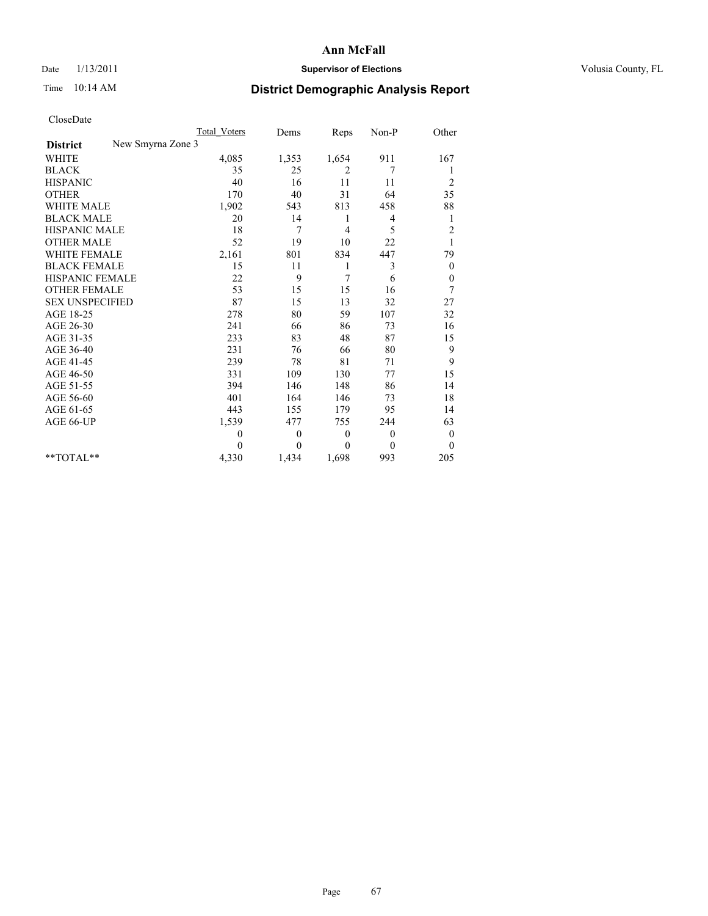## Date  $1/13/2011$  **Supervisor of Elections** Volusia County, FL

# Time 10:14 AM **District Demographic Analysis Report**

|                                      | <b>Total Voters</b> | Dems     | Reps         | Non-P        | Other            |
|--------------------------------------|---------------------|----------|--------------|--------------|------------------|
| New Smyrna Zone 3<br><b>District</b> |                     |          |              |              |                  |
| <b>WHITE</b>                         | 4,085               | 1,353    | 1,654        | 911          | 167              |
| <b>BLACK</b>                         | 35                  | 25       | 2            | 7            |                  |
| <b>HISPANIC</b>                      | 40                  | 16       | 11           | 11           | $\overline{c}$   |
| <b>OTHER</b>                         | 170                 | 40       | 31           | 64           | 35               |
| <b>WHITE MALE</b>                    | 1,902               | 543      | 813          | 458          | 88               |
| <b>BLACK MALE</b>                    | 20                  | 14       | 1            | 4            | 1                |
| <b>HISPANIC MALE</b>                 | 18                  | 7        | 4            | 5            | $\overline{c}$   |
| <b>OTHER MALE</b>                    | 52                  | 19       | 10           | 22           |                  |
| <b>WHITE FEMALE</b>                  | 2,161               | 801      | 834          | 447          | 79               |
| <b>BLACK FEMALE</b>                  | 15                  | 11       | 1            | 3            | $\theta$         |
| HISPANIC FEMALE                      | 22                  | 9        | 7            | 6            | $\boldsymbol{0}$ |
| <b>OTHER FEMALE</b>                  | 53                  | 15       | 15           | 16           | 7                |
| <b>SEX UNSPECIFIED</b>               | 87                  | 15       | 13           | 32           | 27               |
| AGE 18-25                            | 278                 | 80       | 59           | 107          | 32               |
| AGE 26-30                            | 241                 | 66       | 86           | 73           | 16               |
| AGE 31-35                            | 233                 | 83       | 48           | 87           | 15               |
| AGE 36-40                            | 231                 | 76       | 66           | 80           | 9                |
| AGE 41-45                            | 239                 | 78       | 81           | 71           | 9                |
| AGE 46-50                            | 331                 | 109      | 130          | 77           | 15               |
| AGE 51-55                            | 394                 | 146      | 148          | 86           | 14               |
| AGE 56-60                            | 401                 | 164      | 146          | 73           | 18               |
| AGE 61-65                            | 443                 | 155      | 179          | 95           | 14               |
| AGE 66-UP                            | 1,539               | 477      | 755          | 244          | 63               |
|                                      | $\mathbf{0}$        | $\theta$ | $\theta$     | $\theta$     | $\theta$         |
|                                      | $\theta$            | $\theta$ | $\mathbf{0}$ | $\mathbf{0}$ | $\overline{0}$   |
| **TOTAL**                            | 4,330               | 1,434    | 1,698        | 993          | 205              |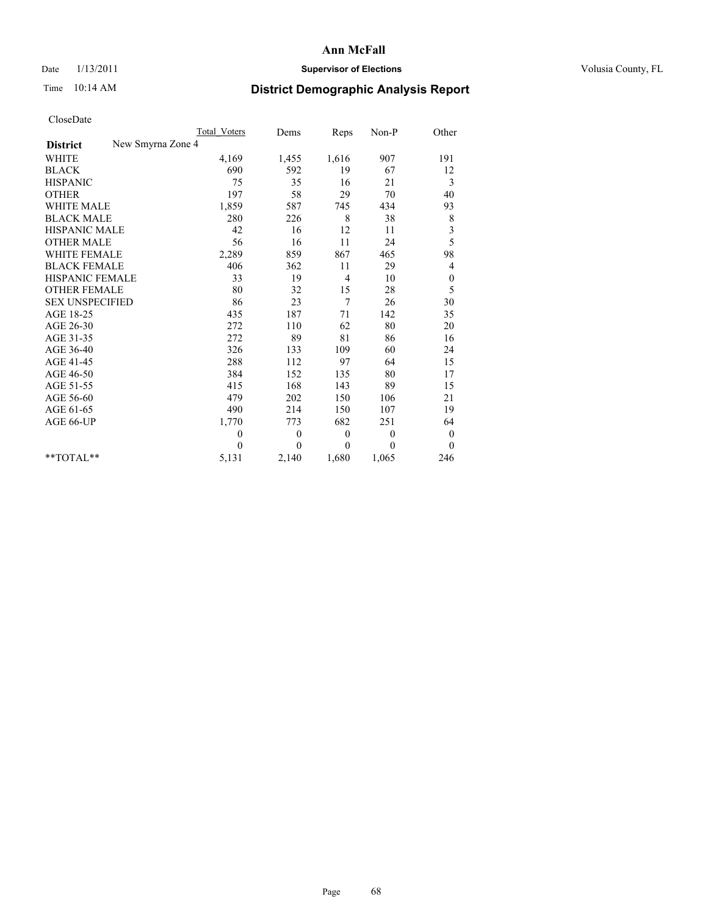## Date  $1/13/2011$  **Supervisor of Elections** Volusia County, FL

# Time 10:14 AM **District Demographic Analysis Report**

|                                      | Total Voters | Dems         | Reps           | Non-P        | Other            |
|--------------------------------------|--------------|--------------|----------------|--------------|------------------|
| New Smyrna Zone 4<br><b>District</b> |              |              |                |              |                  |
| <b>WHITE</b>                         | 4,169        | 1,455        | 1,616          | 907          | 191              |
| <b>BLACK</b>                         | 690          | 592          | 19             | 67           | 12               |
| <b>HISPANIC</b>                      | 75           | 35           | 16             | 21           | 3                |
| <b>OTHER</b>                         | 197          | 58           | 29             | 70           | 40               |
| <b>WHITE MALE</b>                    | 1,859        | 587          | 745            | 434          | 93               |
| <b>BLACK MALE</b>                    | 280          | 226          | 8              | 38           | $\,$ $\,$        |
| HISPANIC MALE                        | 42           | 16           | 12             | 11           | 3                |
| <b>OTHER MALE</b>                    | 56           | 16           | 11             | 24           | 5                |
| <b>WHITE FEMALE</b>                  | 2,289        | 859          | 867            | 465          | 98               |
| <b>BLACK FEMALE</b>                  | 406          | 362          | 11             | 29           | 4                |
| HISPANIC FEMALE                      | 33           | 19           | $\overline{4}$ | 10           | $\boldsymbol{0}$ |
| <b>OTHER FEMALE</b>                  | 80           | 32           | 15             | 28           | 5                |
| <b>SEX UNSPECIFIED</b>               | 86           | 23           | 7              | 26           | 30               |
| AGE 18-25                            | 435          | 187          | 71             | 142          | 35               |
| AGE 26-30                            | 272          | 110          | 62             | 80           | 20               |
| AGE 31-35                            | 272          | 89           | 81             | 86           | 16               |
| AGE 36-40                            | 326          | 133          | 109            | 60           | 24               |
| AGE 41-45                            | 288          | 112          | 97             | 64           | 15               |
| AGE 46-50                            | 384          | 152          | 135            | 80           | 17               |
| AGE 51-55                            | 415          | 168          | 143            | 89           | 15               |
| AGE 56-60                            | 479          | 202          | 150            | 106          | 21               |
| AGE 61-65                            | 490          | 214          | 150            | 107          | 19               |
| AGE 66-UP                            | 1,770        | 773          | 682            | 251          | 64               |
|                                      | $\theta$     | $\mathbf{0}$ | $\theta$       | $\mathbf{0}$ | $\boldsymbol{0}$ |
|                                      | $\theta$     | $\theta$     | $\theta$       | $\theta$     | $\theta$         |
| $*$ TOTAL $*$                        | 5,131        | 2,140        | 1,680          | 1,065        | 246              |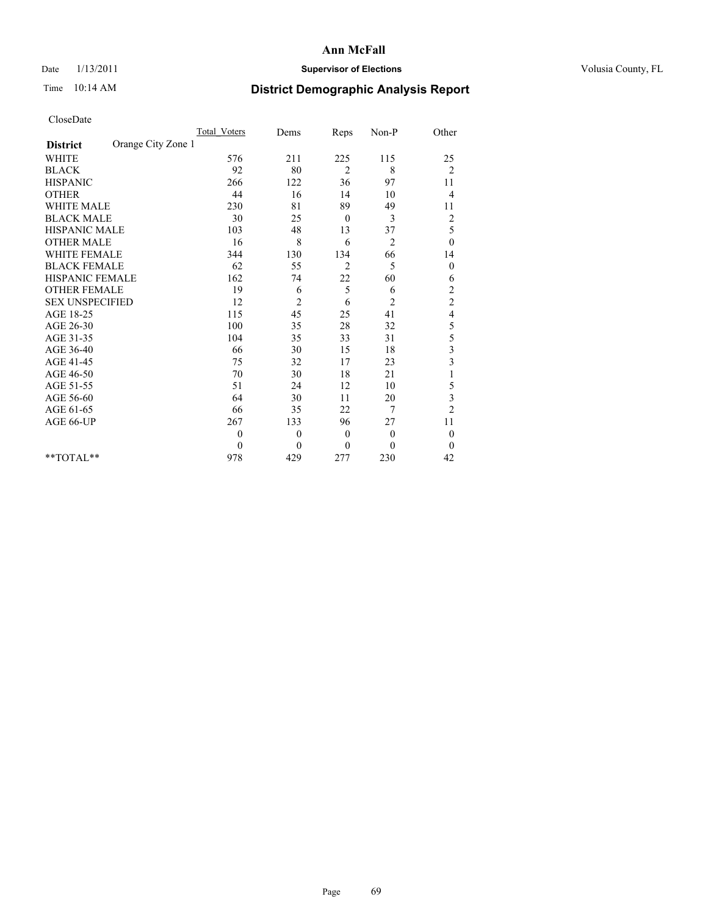## Date  $1/13/2011$  **Supervisor of Elections** Volusia County, FL

# Time 10:14 AM **District Demographic Analysis Report**

|                                       | <b>Total Voters</b> | Dems           | Reps           | $Non-P$        | Other                   |  |
|---------------------------------------|---------------------|----------------|----------------|----------------|-------------------------|--|
| Orange City Zone 1<br><b>District</b> |                     |                |                |                |                         |  |
| <b>WHITE</b>                          | 576                 | 211            | 225            | 115            | 25                      |  |
| <b>BLACK</b>                          | 92                  | 80             | 2              | 8              | $\overline{2}$          |  |
| <b>HISPANIC</b>                       | 266                 | 122            | 36             | 97             | 11                      |  |
| <b>OTHER</b>                          | 44                  | 16             | 14             | 10             | 4                       |  |
| <b>WHITE MALE</b>                     | 230                 | 81             | 89             | 49             | 11                      |  |
| <b>BLACK MALE</b>                     | 30                  | 25             | $\theta$       | 3              | $\overline{c}$          |  |
| <b>HISPANIC MALE</b>                  | 103                 | 48             | 13             | 37             | 5                       |  |
| <b>OTHER MALE</b>                     | 16                  | 8              | 6              | 2              | $\boldsymbol{0}$        |  |
| <b>WHITE FEMALE</b>                   | 344                 | 130            | 134            | 66             | 14                      |  |
| <b>BLACK FEMALE</b>                   | 62                  | 55             | $\overline{2}$ | 5              | $\theta$                |  |
| HISPANIC FEMALE                       | 162                 | 74             | 22             | 60             | 6                       |  |
| <b>OTHER FEMALE</b>                   | 19                  | 6              | 5              | 6              | $\sqrt{2}$              |  |
| <b>SEX UNSPECIFIED</b>                | 12                  | 2              | 6              | $\overline{c}$ | $\sqrt{2}$              |  |
| AGE 18-25                             | 115                 | 45             | 25             | 41             | $\overline{\mathbf{4}}$ |  |
| AGE 26-30                             | 100                 | 35             | 28             | 32             | 5                       |  |
| AGE 31-35                             | 104                 | 35             | 33             | 31             | 5                       |  |
| AGE 36-40                             | 66                  | 30             | 15             | 18             | 3                       |  |
| AGE 41-45                             | 75                  | 32             | 17             | 23             | $\overline{\mathbf{3}}$ |  |
| AGE 46-50                             | 70                  | 30             | 18             | 21             |                         |  |
| AGE 51-55                             | 51                  | 24             | 12             | 10             | 5                       |  |
| AGE 56-60                             | 64                  | 30             | 11             | 20             | 3                       |  |
| AGE 61-65                             | 66                  | 35             | 22             | 7              | $\overline{c}$          |  |
| AGE 66-UP                             | 267                 | 133            | 96             | 27             | 11                      |  |
|                                       | $\mathbf{0}$        | $\overline{0}$ | $\mathbf{0}$   | $\overline{0}$ | $\boldsymbol{0}$        |  |
|                                       | $\theta$            | $\theta$       | $\theta$       | $\theta$       | $\theta$                |  |
| $*$ $TOTAI.**$                        | 978                 | 429            | 277            | 230            | 42                      |  |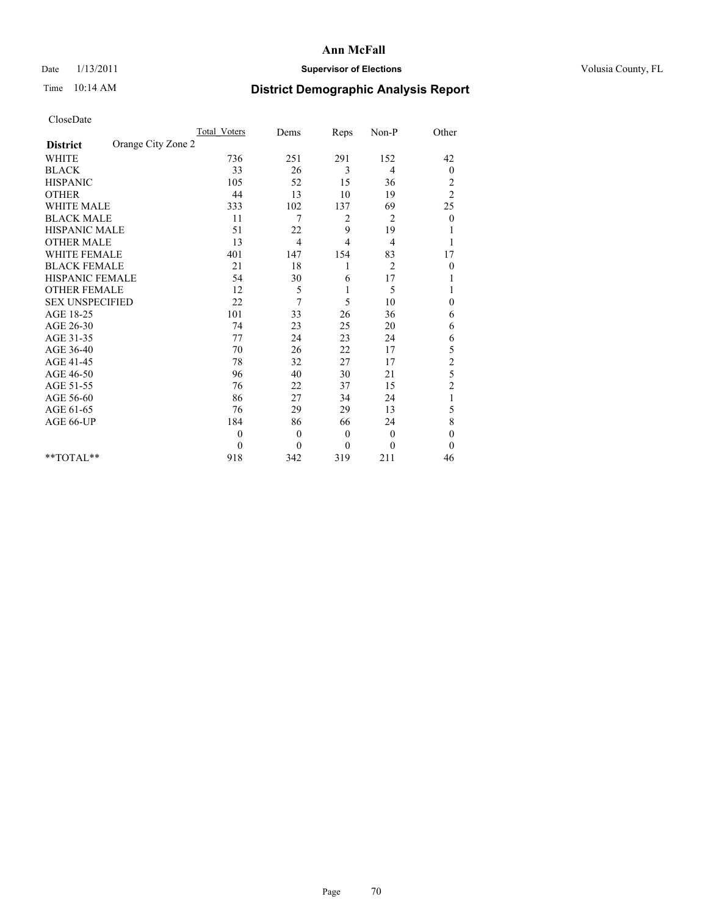## Date  $1/13/2011$  **Supervisor of Elections** Volusia County, FL

# Time 10:14 AM **District Demographic Analysis Report**

|                                       | <b>Total Voters</b> | Dems     | Reps           | Non-P          | Other                   |  |
|---------------------------------------|---------------------|----------|----------------|----------------|-------------------------|--|
| Orange City Zone 2<br><b>District</b> |                     |          |                |                |                         |  |
| <b>WHITE</b>                          | 736                 | 251      | 291            | 152            | 42                      |  |
| <b>BLACK</b>                          | 33                  | 26       | 3              | 4              | $\boldsymbol{0}$        |  |
| <b>HISPANIC</b>                       | 105                 | 52       | 15             | 36             | $\overline{\mathbf{c}}$ |  |
| <b>OTHER</b>                          | 44                  | 13       | 10             | 19             | $\overline{2}$          |  |
| <b>WHITE MALE</b>                     | 333                 | 102      | 137            | 69             | 25                      |  |
| <b>BLACK MALE</b>                     | 11                  | 7        | 2              | 2              | $\theta$                |  |
| <b>HISPANIC MALE</b>                  | 51                  | 22       | 9              | 19             |                         |  |
| <b>OTHER MALE</b>                     | 13                  | 4        | $\overline{4}$ | 4              |                         |  |
| <b>WHITE FEMALE</b>                   | 401                 | 147      | 154            | 83             | 17                      |  |
| <b>BLACK FEMALE</b>                   | 21                  | 18       | 1              | $\overline{2}$ | $\boldsymbol{0}$        |  |
| HISPANIC FEMALE                       | 54                  | 30       | 6              | 17             |                         |  |
| <b>OTHER FEMALE</b>                   | 12                  | 5        | 1              | 5              |                         |  |
| <b>SEX UNSPECIFIED</b>                | 22                  | 7        | 5              | 10             | $\mathbf{0}$            |  |
| AGE 18-25                             | 101                 | 33       | 26             | 36             | 6                       |  |
| AGE 26-30                             | 74                  | 23       | 25             | 20             | 6                       |  |
| AGE 31-35                             | 77                  | 24       | 23             | 24             | 6                       |  |
| AGE 36-40                             | 70                  | 26       | 22             | 17             | 5                       |  |
| AGE 41-45                             | 78                  | 32       | 27             | 17             | $\overline{c}$          |  |
| AGE 46-50                             | 96                  | 40       | 30             | 21             | 5                       |  |
| AGE 51-55                             | 76                  | 22       | 37             | 15             | $\overline{c}$          |  |
| AGE 56-60                             | 86                  | 27       | 34             | 24             | 1                       |  |
| AGE 61-65                             | 76                  | 29       | 29             | 13             | 5                       |  |
| AGE 66-UP                             | 184                 | 86       | 66             | 24             | 8                       |  |
|                                       | $\theta$            | $\theta$ | $\theta$       | $\mathbf{0}$   | $\boldsymbol{0}$        |  |
|                                       | $\theta$            | $\theta$ | $\mathbf{0}$   | $\theta$       | $\mathbf{0}$            |  |
| $*$ TOTAL $*$                         | 918                 | 342      | 319            | 211            | 46                      |  |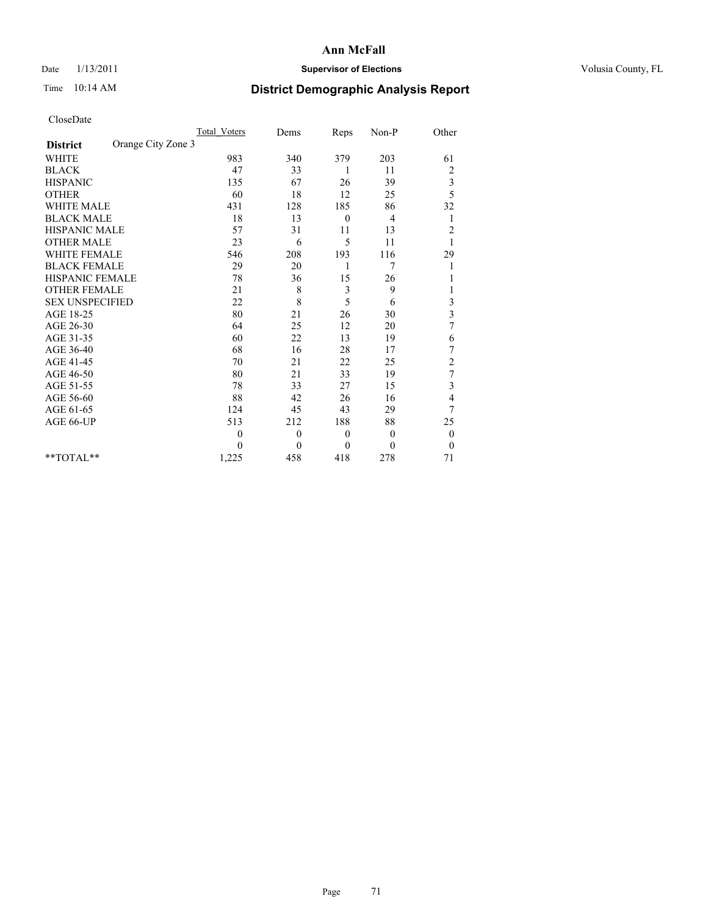## Date  $1/13/2011$  **Supervisor of Elections** Volusia County, FL

# Time 10:14 AM **District Demographic Analysis Report**

|                                       | <b>Total Voters</b> | Dems     | Reps         | Non-P        | Other                   |  |
|---------------------------------------|---------------------|----------|--------------|--------------|-------------------------|--|
| Orange City Zone 3<br><b>District</b> |                     |          |              |              |                         |  |
| <b>WHITE</b>                          | 983                 | 340      | 379          | 203          | 61                      |  |
| <b>BLACK</b>                          | 47                  | 33       | 1            | 11           | $\overline{\mathbf{c}}$ |  |
| <b>HISPANIC</b>                       | 135                 | 67       | 26           | 39           | 3                       |  |
| <b>OTHER</b>                          | 60                  | 18       | 12           | 25           | 5                       |  |
| <b>WHITE MALE</b>                     | 431                 | 128      | 185          | 86           | 32                      |  |
| <b>BLACK MALE</b>                     | 18                  | 13       | $\mathbf{0}$ | 4            | 1                       |  |
| <b>HISPANIC MALE</b>                  | 57                  | 31       | 11           | 13           | $\overline{c}$          |  |
| <b>OTHER MALE</b>                     | 23                  | 6        | 5            | 11           |                         |  |
| <b>WHITE FEMALE</b>                   | 546                 | 208      | 193          | 116          | 29                      |  |
| <b>BLACK FEMALE</b>                   | 29                  | 20       | 1            | 7            |                         |  |
| HISPANIC FEMALE                       | 78                  | 36       | 15           | 26           |                         |  |
| <b>OTHER FEMALE</b>                   | 21                  | 8        | 3            | 9            |                         |  |
| <b>SEX UNSPECIFIED</b>                | 22                  | 8        | 5            | 6            | 3                       |  |
| AGE 18-25                             | 80                  | 21       | 26           | 30           | $\overline{\mathbf{3}}$ |  |
| AGE 26-30                             | 64                  | 25       | 12           | 20           | 7                       |  |
| AGE 31-35                             | 60                  | 22       | 13           | 19           | 6                       |  |
| AGE 36-40                             | 68                  | 16       | 28           | 17           | 7                       |  |
| AGE 41-45                             | 70                  | 21       | 22           | 25           | $\overline{c}$          |  |
| AGE 46-50                             | 80                  | 21       | 33           | 19           | $\overline{7}$          |  |
| AGE 51-55                             | 78                  | 33       | 27           | 15           | 3                       |  |
| AGE 56-60                             | 88                  | 42       | 26           | 16           | 4                       |  |
| AGE 61-65                             | 124                 | 45       | 43           | 29           | $\overline{7}$          |  |
| AGE 66-UP                             | 513                 | 212      | 188          | 88           | 25                      |  |
|                                       | 0                   | $\theta$ | $\mathbf{0}$ | $\theta$     | $\boldsymbol{0}$        |  |
|                                       | $\theta$            | $\theta$ | $\mathbf{0}$ | $\mathbf{0}$ | $\boldsymbol{0}$        |  |
| **TOTAL**                             | 1,225               | 458      | 418          | 278          | 71                      |  |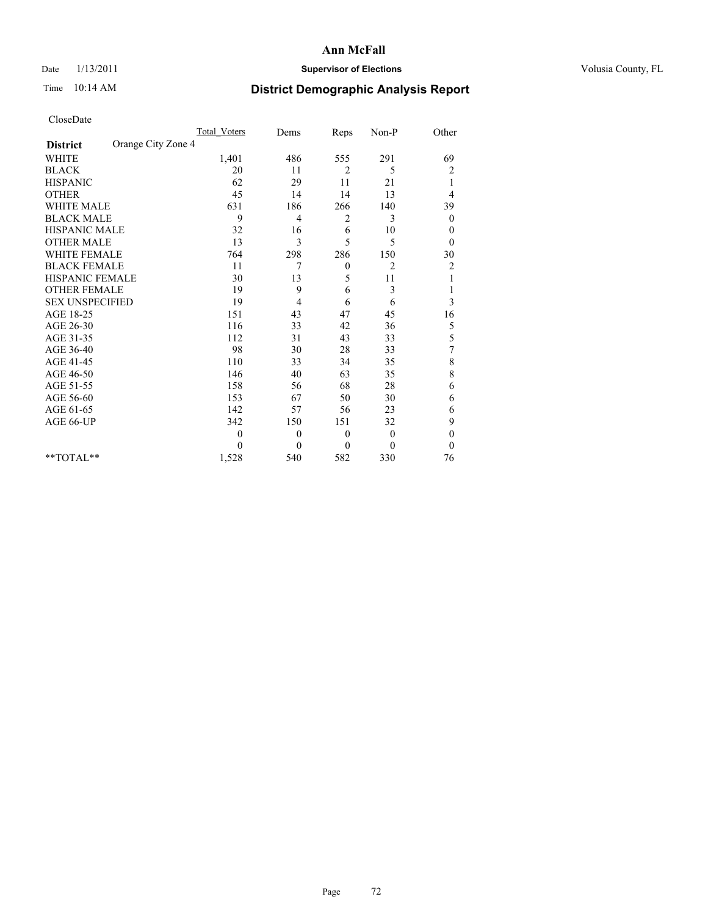## Date  $1/13/2011$  **Supervisor of Elections** Volusia County, FL

# Time 10:14 AM **District Demographic Analysis Report**

|                                       | <b>Total Voters</b> | Dems     | Reps             | Non-P        | Other            |
|---------------------------------------|---------------------|----------|------------------|--------------|------------------|
| Orange City Zone 4<br><b>District</b> |                     |          |                  |              |                  |
| <b>WHITE</b>                          | 1,401               | 486      | 555              | 291          | 69               |
| <b>BLACK</b>                          | 20                  | 11       | $\overline{2}$   | 5            | $\overline{c}$   |
| <b>HISPANIC</b>                       | 62                  | 29       | 11               | 21           | 1                |
| <b>OTHER</b>                          | 45                  | 14       | 14               | 13           | 4                |
| <b>WHITE MALE</b>                     | 631                 | 186      | 266              | 140          | 39               |
| <b>BLACK MALE</b>                     | 9                   | 4        | 2                | 3            | $\mathbf{0}$     |
| HISPANIC MALE                         | 32                  | 16       | 6                | 10           | $\boldsymbol{0}$ |
| <b>OTHER MALE</b>                     | 13                  | 3        | 5                | 5            | $\mathbf{0}$     |
| <b>WHITE FEMALE</b>                   | 764                 | 298      | 286              | 150          | 30               |
| <b>BLACK FEMALE</b>                   | 11                  | 7        | $\boldsymbol{0}$ | 2            | $\overline{c}$   |
| HISPANIC FEMALE                       | 30                  | 13       | 5                | 11           |                  |
| <b>OTHER FEMALE</b>                   | 19                  | 9        | 6                | 3            |                  |
| <b>SEX UNSPECIFIED</b>                | 19                  | 4        | 6                | 6            | 3                |
| AGE 18-25                             | 151                 | 43       | 47               | 45           | 16               |
| AGE 26-30                             | 116                 | 33       | 42               | 36           | 5                |
| AGE 31-35                             | 112                 | 31       | 43               | 33           | 5                |
| AGE 36-40                             | 98                  | 30       | 28               | 33           | 7                |
| AGE 41-45                             | 110                 | 33       | 34               | 35           | 8                |
| AGE 46-50                             | 146                 | 40       | 63               | 35           | 8                |
| AGE 51-55                             | 158                 | 56       | 68               | 28           | 6                |
| AGE 56-60                             | 153                 | 67       | 50               | 30           | 6                |
| AGE 61-65                             | 142                 | 57       | 56               | 23           | 6                |
| AGE 66-UP                             | 342                 | 150      | 151              | 32           | 9                |
|                                       | $\mathbf{0}$        | $\theta$ | $\mathbf{0}$     | $\mathbf{0}$ | $\boldsymbol{0}$ |
|                                       | $\theta$            | $\theta$ | $\mathbf{0}$     | $\theta$     | $\mathbf{0}$     |
| $*$ TOTAL $*$                         | 1,528               | 540      | 582              | 330          | 76               |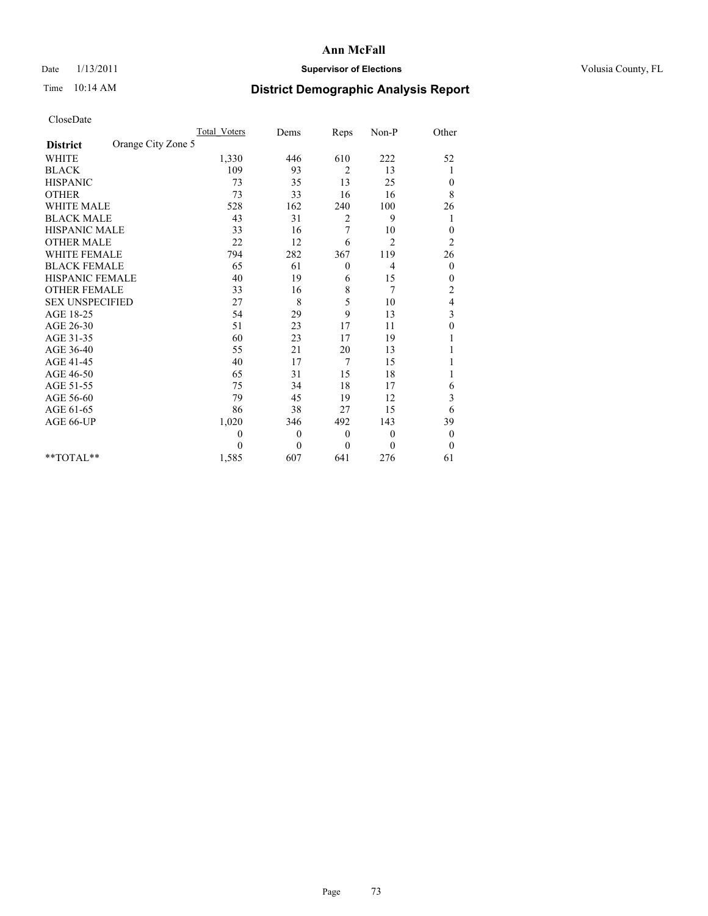## Date  $1/13/2011$  **Supervisor of Elections** Volusia County, FL

## Time 10:14 AM **District Demographic Analysis Report**

|                                       | <b>Total Voters</b> | Dems     | Reps             | Non-P        | Other                   |
|---------------------------------------|---------------------|----------|------------------|--------------|-------------------------|
| Orange City Zone 5<br><b>District</b> |                     |          |                  |              |                         |
| <b>WHITE</b>                          | 1,330               | 446      | 610              | 222          | 52                      |
| <b>BLACK</b>                          | 109                 | 93       | $\overline{2}$   | 13           |                         |
| <b>HISPANIC</b>                       | 73                  | 35       | 13               | 25           | $\boldsymbol{0}$        |
| <b>OTHER</b>                          | 73                  | 33       | 16               | 16           | 8                       |
| <b>WHITE MALE</b>                     | 528                 | 162      | 240              | 100          | 26                      |
| <b>BLACK MALE</b>                     | 43                  | 31       | 2                | 9            | 1                       |
| <b>HISPANIC MALE</b>                  | 33                  | 16       | 7                | 10           | $\boldsymbol{0}$        |
| <b>OTHER MALE</b>                     | 22                  | 12       | 6                | 2            | $\overline{c}$          |
| <b>WHITE FEMALE</b>                   | 794                 | 282      | 367              | 119          | 26                      |
| <b>BLACK FEMALE</b>                   | 65                  | 61       | $\boldsymbol{0}$ | 4            | $\boldsymbol{0}$        |
| HISPANIC FEMALE                       | 40                  | 19       | 6                | 15           | 0                       |
| <b>OTHER FEMALE</b>                   | 33                  | 16       | 8                | 7            | $\overline{c}$          |
| <b>SEX UNSPECIFIED</b>                | 27                  | 8        | 5                | 10           | 4                       |
| AGE 18-25                             | 54                  | 29       | 9                | 13           | $\overline{\mathbf{3}}$ |
| AGE 26-30                             | 51                  | 23       | 17               | 11           | $\mathbf{0}$            |
| AGE 31-35                             | 60                  | 23       | 17               | 19           |                         |
| AGE 36-40                             | 55                  | 21       | 20               | 13           |                         |
| AGE 41-45                             | 40                  | 17       | 7                | 15           |                         |
| AGE 46-50                             | 65                  | 31       | 15               | 18           |                         |
| AGE 51-55                             | 75                  | 34       | 18               | 17           | 6                       |
| AGE 56-60                             | 79                  | 45       | 19               | 12           | 3                       |
| AGE 61-65                             | 86                  | 38       | 27               | 15           | 6                       |
| AGE 66-UP                             | 1,020               | 346      | 492              | 143          | 39                      |
|                                       | 0                   | $\theta$ | $\mathbf{0}$     | $\mathbf{0}$ | $\boldsymbol{0}$        |
|                                       | 0                   | $\theta$ | $\mathbf{0}$     | $\Omega$     | $\boldsymbol{0}$        |
| $*$ TOTAL $*$                         | 1,585               | 607      | 641              | 276          | 61                      |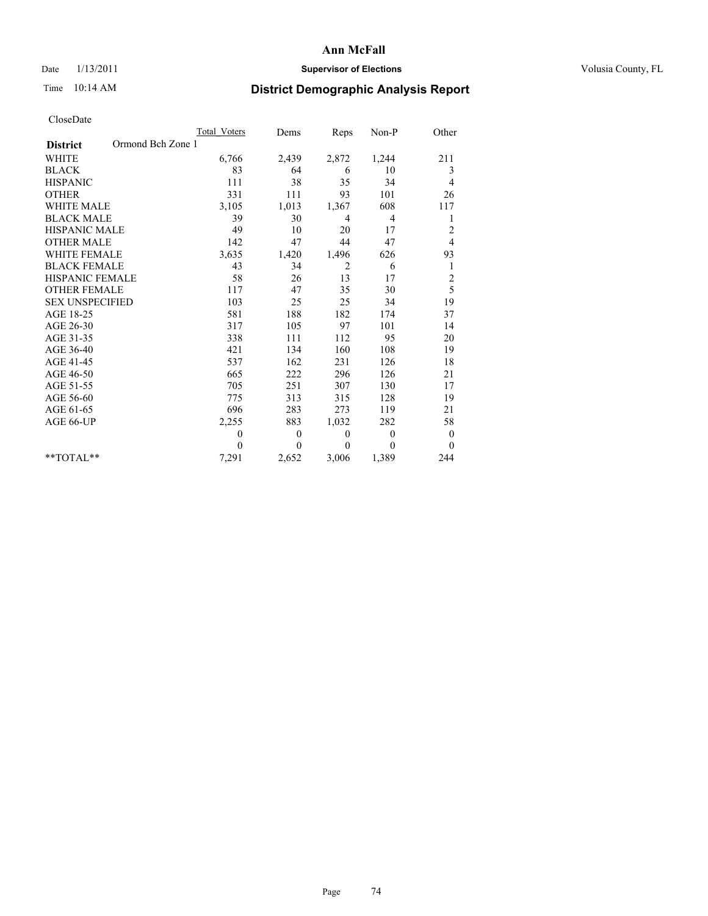## Date  $1/13/2011$  **Supervisor of Elections** Volusia County, FL

## Time 10:14 AM **District Demographic Analysis Report**

|                                      | <b>Total Voters</b> | Dems         | Reps           | Non-P        | Other                   |
|--------------------------------------|---------------------|--------------|----------------|--------------|-------------------------|
| Ormond Bch Zone 1<br><b>District</b> |                     |              |                |              |                         |
| <b>WHITE</b>                         | 6,766               | 2,439        | 2,872          | 1,244        | 211                     |
| <b>BLACK</b>                         | 83                  | 64           | 6              | 10           | 3                       |
| <b>HISPANIC</b>                      | 111                 | 38           | 35             | 34           | 4                       |
| <b>OTHER</b>                         | 331                 | 111          | 93             | 101          | 26                      |
| <b>WHITE MALE</b>                    | 3,105               | 1,013        | 1,367          | 608          | 117                     |
| <b>BLACK MALE</b>                    | 39                  | 30           | $\overline{4}$ | 4            | 1                       |
| <b>HISPANIC MALE</b>                 | 49                  | 10           | 20             | 17           | $\overline{c}$          |
| <b>OTHER MALE</b>                    | 142                 | 47           | 44             | 47           | 4                       |
| <b>WHITE FEMALE</b>                  | 3,635               | 1,420        | 1,496          | 626          | 93                      |
| <b>BLACK FEMALE</b>                  | 43                  | 34           | $\overline{2}$ | 6            | 1                       |
| HISPANIC FEMALE                      | 58                  | 26           | 13             | 17           | $\overline{\mathbf{c}}$ |
| <b>OTHER FEMALE</b>                  | 117                 | 47           | 35             | 30           | 5                       |
| <b>SEX UNSPECIFIED</b>               | 103                 | 25           | 25             | 34           | 19                      |
| AGE 18-25                            | 581                 | 188          | 182            | 174          | 37                      |
| AGE 26-30                            | 317                 | 105          | 97             | 101          | 14                      |
| AGE 31-35                            | 338                 | 111          | 112            | 95           | 20                      |
| AGE 36-40                            | 421                 | 134          | 160            | 108          | 19                      |
| AGE 41-45                            | 537                 | 162          | 231            | 126          | 18                      |
| AGE 46-50                            | 665                 | 222          | 296            | 126          | 21                      |
| AGE 51-55                            | 705                 | 251          | 307            | 130          | 17                      |
| AGE 56-60                            | 775                 | 313          | 315            | 128          | 19                      |
| AGE 61-65                            | 696                 | 283          | 273            | 119          | 21                      |
| AGE 66-UP                            | 2,255               | 883          | 1,032          | 282          | 58                      |
|                                      | 0                   | $\theta$     | $\mathbf{0}$   | $\mathbf{0}$ | $\boldsymbol{0}$        |
|                                      | $\theta$            | $\mathbf{0}$ | $\theta$       | $\mathbf{0}$ | $\mathbf{0}$            |
| $*$ $TOTAI.**$                       | 7,291               | 2,652        | 3,006          | 1,389        | 244                     |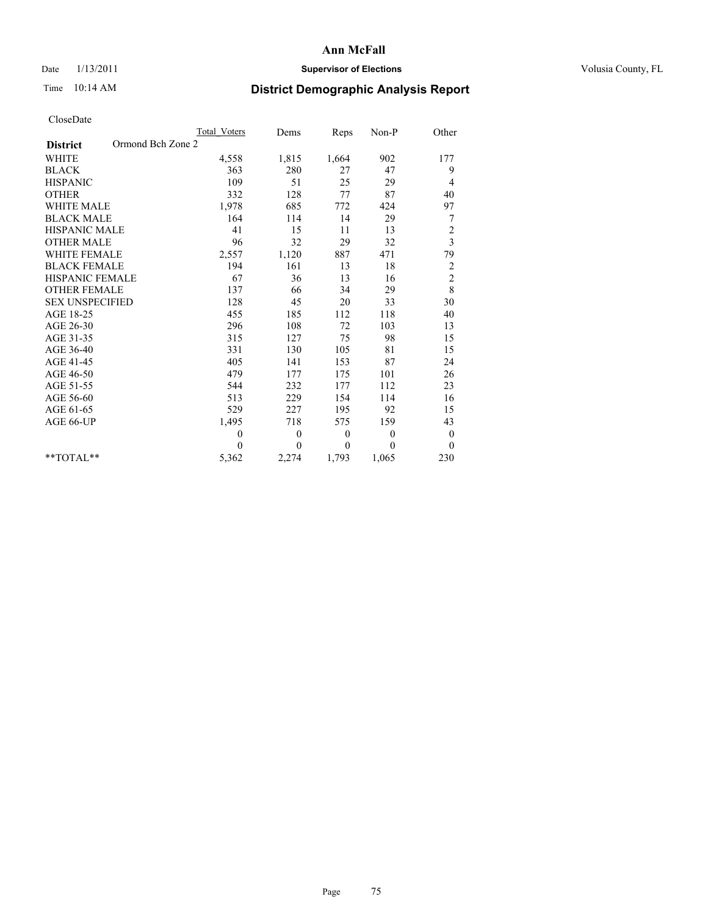## Date  $1/13/2011$  **Supervisor of Elections** Volusia County, FL

## Time 10:14 AM **District Demographic Analysis Report**

|                                      | <b>Total Voters</b> | Dems         | Reps     | Non-P        | Other                   |
|--------------------------------------|---------------------|--------------|----------|--------------|-------------------------|
| Ormond Bch Zone 2<br><b>District</b> |                     |              |          |              |                         |
| <b>WHITE</b>                         | 4,558               | 1,815        | 1,664    | 902          | 177                     |
| <b>BLACK</b>                         | 363                 | 280          | 27       | 47           | 9                       |
| <b>HISPANIC</b>                      | 109                 | 51           | 25       | 29           | 4                       |
| <b>OTHER</b>                         | 332                 | 128          | 77       | 87           | 40                      |
| <b>WHITE MALE</b>                    | 1,978               | 685          | 772      | 424          | 97                      |
| <b>BLACK MALE</b>                    | 164                 | 114          | 14       | 29           | 7                       |
| <b>HISPANIC MALE</b>                 | 41                  | 15           | 11       | 13           | $\overline{c}$          |
| <b>OTHER MALE</b>                    | 96                  | 32           | 29       | 32           | $\overline{\mathbf{3}}$ |
| WHITE FEMALE                         | 2,557               | 1,120        | 887      | 471          | 79                      |
| <b>BLACK FEMALE</b>                  | 194                 | 161          | 13       | 18           | $\overline{c}$          |
| <b>HISPANIC FEMALE</b>               | 67                  | 36           | 13       | 16           | $\overline{c}$          |
| <b>OTHER FEMALE</b>                  | 137                 | 66           | 34       | 29           | 8                       |
| <b>SEX UNSPECIFIED</b>               | 128                 | 45           | 20       | 33           | 30                      |
| AGE 18-25                            | 455                 | 185          | 112      | 118          | 40                      |
| AGE 26-30                            | 296                 | 108          | 72       | 103          | 13                      |
| AGE 31-35                            | 315                 | 127          | 75       | 98           | 15                      |
| AGE 36-40                            | 331                 | 130          | 105      | 81           | 15                      |
| AGE 41-45                            | 405                 | 141          | 153      | 87           | 24                      |
| AGE 46-50                            | 479                 | 177          | 175      | 101          | 26                      |
| AGE 51-55                            | 544                 | 232          | 177      | 112          | 23                      |
| AGE 56-60                            | 513                 | 229          | 154      | 114          | 16                      |
| AGE 61-65                            | 529                 | 227          | 195      | 92           | 15                      |
| AGE 66-UP                            | 1,495               | 718          | 575      | 159          | 43                      |
|                                      | $\theta$            | $\mathbf{0}$ | $\theta$ | $\mathbf{0}$ | $\boldsymbol{0}$        |
|                                      | $\theta$            | $\theta$     | $\theta$ | $\theta$     | $\theta$                |
| $*$ TOTAL $*$                        | 5,362               | 2,274        | 1,793    | 1,065        | 230                     |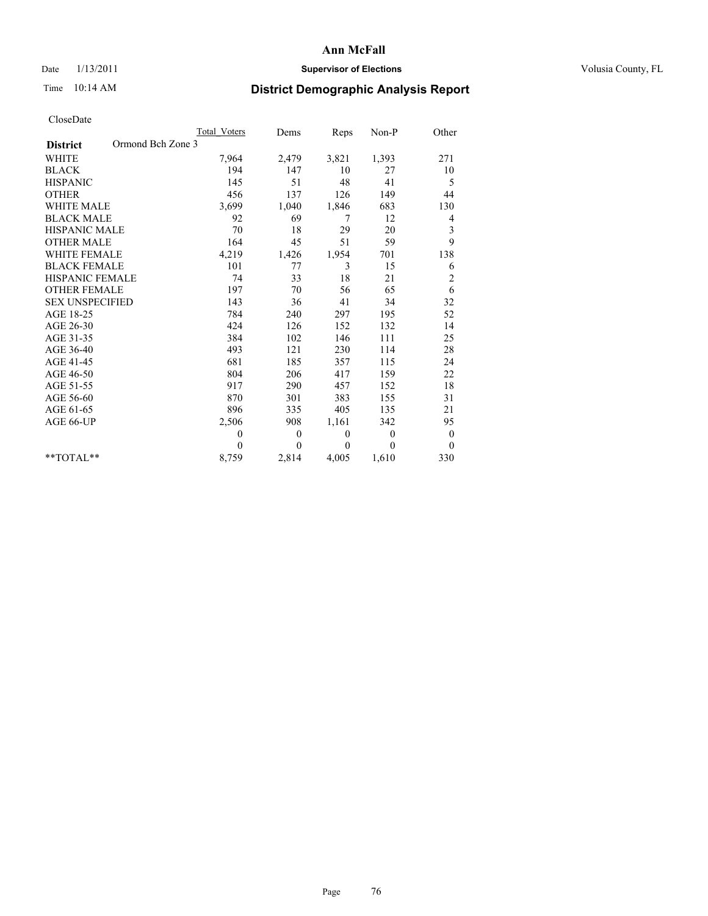## Date  $1/13/2011$  **Supervisor of Elections** Volusia County, FL

## Time 10:14 AM **District Demographic Analysis Report**

|                                      | <b>Total Voters</b> | Dems         | Reps     | Non-P        | Other            |
|--------------------------------------|---------------------|--------------|----------|--------------|------------------|
| Ormond Bch Zone 3<br><b>District</b> |                     |              |          |              |                  |
| <b>WHITE</b>                         | 7,964               | 2,479        | 3,821    | 1,393        | 271              |
| <b>BLACK</b>                         | 194                 | 147          | 10       | 27           | 10               |
| <b>HISPANIC</b>                      | 145                 | 51           | 48       | 41           | 5                |
| <b>OTHER</b>                         | 456                 | 137          | 126      | 149          | 44               |
| <b>WHITE MALE</b>                    | 3,699               | 1,040        | 1,846    | 683          | 130              |
| <b>BLACK MALE</b>                    | 92                  | 69           | 7        | 12           | 4                |
| <b>HISPANIC MALE</b>                 | 70                  | 18           | 29       | 20           | 3                |
| <b>OTHER MALE</b>                    | 164                 | 45           | 51       | 59           | 9                |
| <b>WHITE FEMALE</b>                  | 4,219               | 1,426        | 1,954    | 701          | 138              |
| <b>BLACK FEMALE</b>                  | 101                 | 77           | 3        | 15           | 6                |
| HISPANIC FEMALE                      | 74                  | 33           | 18       | 21           | $\overline{c}$   |
| <b>OTHER FEMALE</b>                  | 197                 | 70           | 56       | 65           | 6                |
| <b>SEX UNSPECIFIED</b>               | 143                 | 36           | 41       | 34           | 32               |
| AGE 18-25                            | 784                 | 240          | 297      | 195          | 52               |
| AGE 26-30                            | 424                 | 126          | 152      | 132          | 14               |
| AGE 31-35                            | 384                 | 102          | 146      | 111          | 25               |
| AGE 36-40                            | 493                 | 121          | 230      | 114          | 28               |
| AGE 41-45                            | 681                 | 185          | 357      | 115          | 24               |
| AGE 46-50                            | 804                 | 206          | 417      | 159          | 22               |
| AGE 51-55                            | 917                 | 290          | 457      | 152          | 18               |
| AGE 56-60                            | 870                 | 301          | 383      | 155          | 31               |
| AGE 61-65                            | 896                 | 335          | 405      | 135          | 21               |
| AGE 66-UP                            | 2,506               | 908          | 1,161    | 342          | 95               |
|                                      | $\mathbf{0}$        | $\mathbf{0}$ | $\theta$ | $\mathbf{0}$ | $\boldsymbol{0}$ |
|                                      | $\theta$            | $\theta$     | $\theta$ | $\theta$     | $\mathbf{0}$     |
| $*$ TOTAL $*$                        | 8,759               | 2,814        | 4,005    | 1,610        | 330              |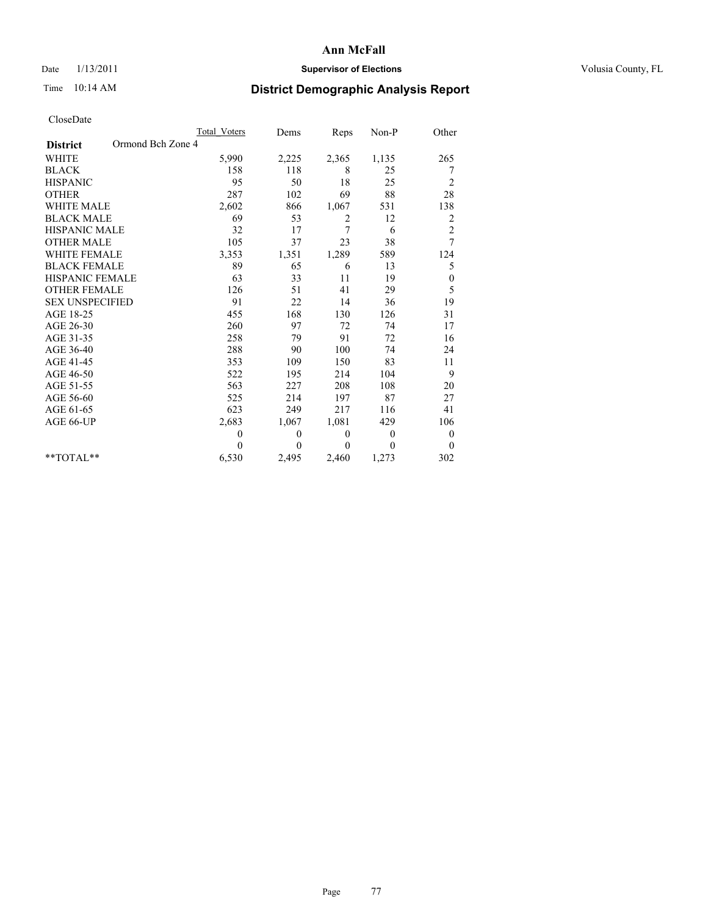## Date  $1/13/2011$  **Supervisor of Elections** Volusia County, FL

## Time 10:14 AM **District Demographic Analysis Report**

|                                      | <b>Total Voters</b> | Dems         | Reps         | Non-P          | Other                   |
|--------------------------------------|---------------------|--------------|--------------|----------------|-------------------------|
| Ormond Bch Zone 4<br><b>District</b> |                     |              |              |                |                         |
| <b>WHITE</b>                         | 5,990               | 2,225        | 2,365        | 1,135          | 265                     |
| <b>BLACK</b>                         | 158                 | 118          | 8            | 25             | 7                       |
| <b>HISPANIC</b>                      | 95                  | 50           | 18           | 25             | $\overline{c}$          |
| <b>OTHER</b>                         | 287                 | 102          | 69           | 88             | 28                      |
| <b>WHITE MALE</b>                    | 2,602               | 866          | 1,067        | 531            | 138                     |
| <b>BLACK MALE</b>                    | 69                  | 53           | 2            | 12             | $\overline{\mathbf{c}}$ |
| <b>HISPANIC MALE</b>                 | 32                  | 17           | 7            | 6              | $\overline{c}$          |
| <b>OTHER MALE</b>                    | 105                 | 37           | 23           | 38             | 7                       |
| <b>WHITE FEMALE</b>                  | 3,353               | 1,351        | 1,289        | 589            | 124                     |
| <b>BLACK FEMALE</b>                  | 89                  | 65           | 6            | 13             | 5                       |
| HISPANIC FEMALE                      | 63                  | 33           | 11           | 19             | $\boldsymbol{0}$        |
| <b>OTHER FEMALE</b>                  | 126                 | 51           | 41           | 29             | 5                       |
| <b>SEX UNSPECIFIED</b>               | 91                  | 22           | 14           | 36             | 19                      |
| AGE 18-25                            | 455                 | 168          | 130          | 126            | 31                      |
| AGE 26-30                            | 260                 | 97           | 72           | 74             | 17                      |
| AGE 31-35                            | 258                 | 79           | 91           | 72             | 16                      |
| AGE 36-40                            | 288                 | 90           | 100          | 74             | 24                      |
| AGE 41-45                            | 353                 | 109          | 150          | 83             | 11                      |
| AGE 46-50                            | 522                 | 195          | 214          | 104            | 9                       |
| AGE 51-55                            | 563                 | 227          | 208          | 108            | 20                      |
| AGE 56-60                            | 525                 | 214          | 197          | 87             | 27                      |
| AGE 61-65                            | 623                 | 249          | 217          | 116            | 41                      |
| AGE 66-UP                            | 2,683               | 1,067        | 1,081        | 429            | 106                     |
|                                      | $\theta$            | $\mathbf{0}$ | $\mathbf{0}$ | $\overline{0}$ | $\boldsymbol{0}$        |
|                                      | $\theta$            | $\theta$     | $\theta$     | $\theta$       | $\theta$                |
| $*$ TOTAL $*$                        | 6,530               | 2,495        | 2,460        | 1,273          | 302                     |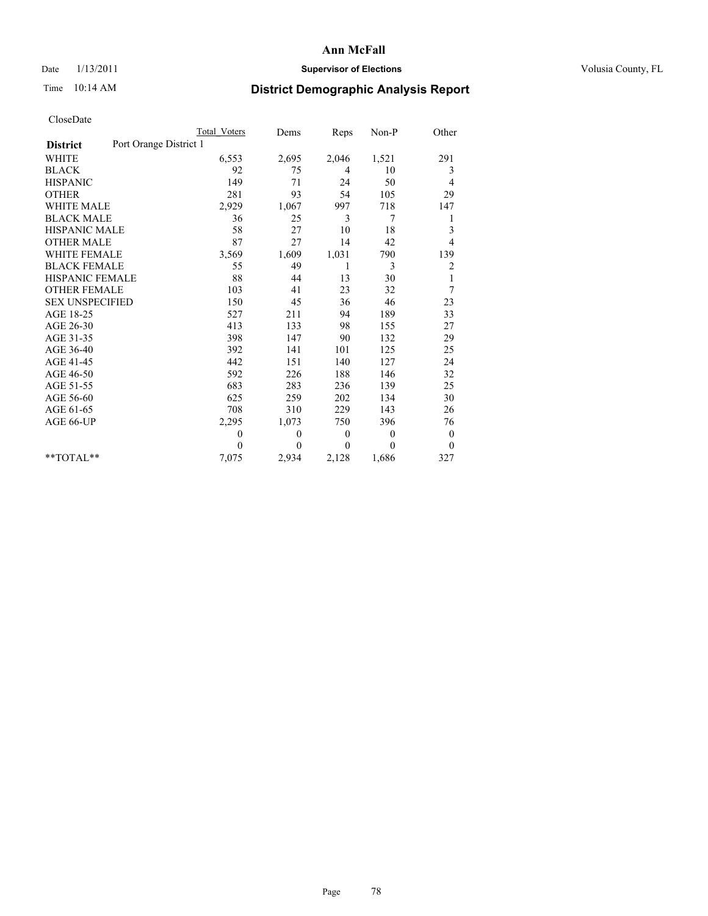## Date  $1/13/2011$  **Supervisor of Elections** Volusia County, FL

# Time 10:14 AM **District Demographic Analysis Report**

|                                           | Total Voters | Dems     | Reps         | Non-P        | Other          |
|-------------------------------------------|--------------|----------|--------------|--------------|----------------|
| Port Orange District 1<br><b>District</b> |              |          |              |              |                |
| <b>WHITE</b>                              | 6,553        | 2,695    | 2,046        | 1,521        | 291            |
| <b>BLACK</b>                              | 92           | 75       | 4            | 10           | 3              |
| <b>HISPANIC</b>                           | 149          | 71       | 24           | 50           | 4              |
| <b>OTHER</b>                              | 281          | 93       | 54           | 105          | 29             |
| <b>WHITE MALE</b>                         | 2,929        | 1,067    | 997          | 718          | 147            |
| <b>BLACK MALE</b>                         | 36           | 25       | 3            | 7            | 1              |
| <b>HISPANIC MALE</b>                      | 58           | 27       | 10           | 18           | 3              |
| <b>OTHER MALE</b>                         | 87           | 27       | 14           | 42           | $\overline{4}$ |
| <b>WHITE FEMALE</b>                       | 3,569        | 1,609    | 1,031        | 790          | 139            |
| <b>BLACK FEMALE</b>                       | 55           | 49       | 1            | 3            | $\overline{c}$ |
| HISPANIC FEMALE                           | 88           | 44       | 13           | 30           | 1              |
| <b>OTHER FEMALE</b>                       | 103          | 41       | 23           | 32           | 7              |
| <b>SEX UNSPECIFIED</b>                    | 150          | 45       | 36           | 46           | 23             |
| AGE 18-25                                 | 527          | 211      | 94           | 189          | 33             |
| AGE 26-30                                 | 413          | 133      | 98           | 155          | 27             |
| AGE 31-35                                 | 398          | 147      | 90           | 132          | 29             |
| AGE 36-40                                 | 392          | 141      | 101          | 125          | 25             |
| AGE 41-45                                 | 442          | 151      | 140          | 127          | 24             |
| AGE 46-50                                 | 592          | 226      | 188          | 146          | 32             |
| AGE 51-55                                 | 683          | 283      | 236          | 139          | 25             |
| AGE 56-60                                 | 625          | 259      | 202          | 134          | 30             |
| AGE 61-65                                 | 708          | 310      | 229          | 143          | 26             |
| AGE 66-UP                                 | 2,295        | 1,073    | 750          | 396          | 76             |
|                                           | $\theta$     | $\theta$ | $\mathbf{0}$ | $\mathbf{0}$ | $\mathbf{0}$   |
|                                           | $\theta$     | $\theta$ | $\Omega$     | $\theta$     | $\mathbf{0}$   |
| $*$ $TOTAI.**$                            | 7,075        | 2,934    | 2,128        | 1,686        | 327            |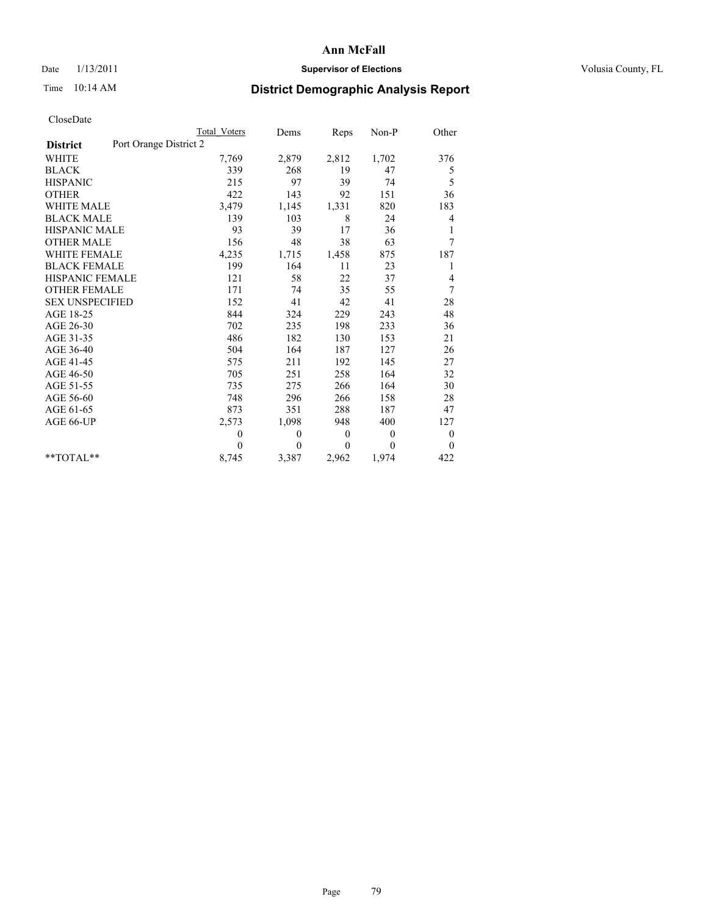## Date  $1/13/2011$  **Supervisor of Elections** Volusia County, FL

# Time 10:14 AM **District Demographic Analysis Report**

|                                           | Total Voters | Dems     | Reps           | $Non-P$      | Other          |
|-------------------------------------------|--------------|----------|----------------|--------------|----------------|
| Port Orange District 2<br><b>District</b> |              |          |                |              |                |
| <b>WHITE</b>                              | 7,769        | 2,879    | 2,812          | 1,702        | 376            |
| <b>BLACK</b>                              | 339          | 268      | 19             | 47           | 5              |
| <b>HISPANIC</b>                           | 215          | 97       | 39             | 74           | 5              |
| <b>OTHER</b>                              | 422          | 143      | 92             | 151          | 36             |
| <b>WHITE MALE</b>                         | 3,479        | 1,145    | 1,331          | 820          | 183            |
| <b>BLACK MALE</b>                         | 139          | 103      | 8              | 24           | 4              |
| <b>HISPANIC MALE</b>                      | 93           | 39       | 17             | 36           |                |
| <b>OTHER MALE</b>                         | 156          | 48       | 38             | 63           | 7              |
| <b>WHITE FEMALE</b>                       | 4,235        | 1,715    | 1,458          | 875          | 187            |
| <b>BLACK FEMALE</b>                       | 199          | 164      | 11             | 23           |                |
| HISPANIC FEMALE                           | 121          | 58       | 22             | 37           | 4              |
| <b>OTHER FEMALE</b>                       | 171          | 74       | 35             | 55           | 7              |
| <b>SEX UNSPECIFIED</b>                    | 152          | 41       | 42             | 41           | 28             |
| AGE 18-25                                 | 844          | 324      | 229            | 243          | 48             |
| AGE 26-30                                 | 702          | 235      | 198            | 233          | 36             |
| AGE 31-35                                 | 486          | 182      | 130            | 153          | 21             |
| AGE 36-40                                 | 504          | 164      | 187            | 127          | 26             |
| AGE 41-45                                 | 575          | 211      | 192            | 145          | 27             |
| AGE 46-50                                 | 705          | 251      | 258            | 164          | 32             |
| AGE 51-55                                 | 735          | 275      | 266            | 164          | 30             |
| AGE 56-60                                 | 748          | 296      | 266            | 158          | 28             |
| AGE 61-65                                 | 873          | 351      | 288            | 187          | 47             |
| AGE 66-UP                                 | 2,573        | 1,098    | 948            | 400          | 127            |
|                                           | $\theta$     | $\theta$ | $\overline{0}$ | $\theta$     | $\overline{0}$ |
|                                           | $\Omega$     | $\theta$ | $\mathbf{0}$   | $\mathbf{0}$ | $\overline{0}$ |
| $*$ $TOTAI.**$                            | 8,745        | 3,387    | 2,962          | 1,974        | 422            |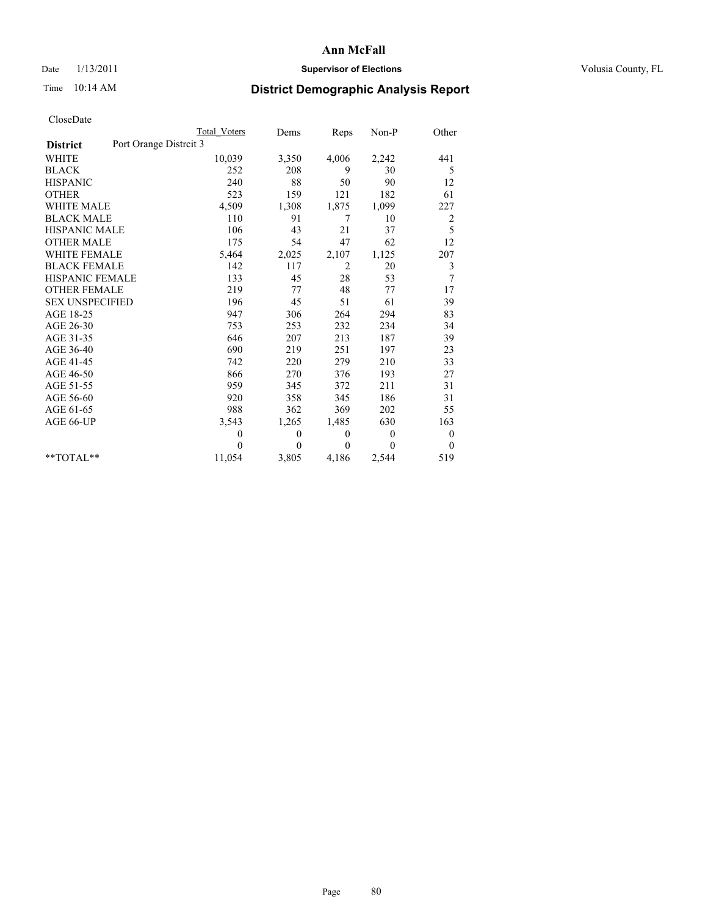### Date  $1/13/2011$  **Supervisor of Elections Supervisor of Elections** Volusia County, FL

## Time 10:14 AM **District Demographic Analysis Report**

|                                          | Total Voters | Dems     | Reps             | Non-P          | Other            |  |
|------------------------------------------|--------------|----------|------------------|----------------|------------------|--|
| Port Orange Distrit 3<br><b>District</b> |              |          |                  |                |                  |  |
| <b>WHITE</b>                             | 10,039       | 3,350    | 4,006            | 2,242          | 441              |  |
| <b>BLACK</b>                             | 252          | 208      | 9                | 30             | 5                |  |
| <b>HISPANIC</b>                          | 240          | 88       | 50               | 90             | 12               |  |
| <b>OTHER</b>                             | 523          | 159      | 121              | 182            | 61               |  |
| WHITE MALE                               | 4,509        | 1,308    | 1,875            | 1,099          | 227              |  |
| <b>BLACK MALE</b>                        | 110          | 91       | 7                | 10             | 2                |  |
| <b>HISPANIC MALE</b>                     | 106          | 43       | 21               | 37             | 5                |  |
| <b>OTHER MALE</b>                        | 175          | 54       | 47               | 62             | 12               |  |
| <b>WHITE FEMALE</b>                      | 5,464        | 2,025    | 2,107            | 1,125          | 207              |  |
| <b>BLACK FEMALE</b>                      | 142          | 117      | 2                | 20             | 3                |  |
| <b>HISPANIC FEMALE</b>                   | 133          | 45       | 28               | 53             | 7                |  |
| <b>OTHER FEMALE</b>                      | 219          | 77       | 48               | 77             | 17               |  |
| <b>SEX UNSPECIFIED</b>                   | 196          | 45       | 51               | 61             | 39               |  |
| AGE 18-25                                | 947          | 306      | 264              | 294            | 83               |  |
| AGE 26-30                                | 753          | 253      | 232              | 234            | 34               |  |
| AGE 31-35                                | 646          | 207      | 213              | 187            | 39               |  |
| AGE 36-40                                | 690          | 219      | 251              | 197            | 23               |  |
| AGE 41-45                                | 742          | 220      | 279              | 210            | 33               |  |
| AGE 46-50                                | 866          | 270      | 376              | 193            | 27               |  |
| AGE 51-55                                | 959          | 345      | 372              | 211            | 31               |  |
| AGE 56-60                                | 920          | 358      | 345              | 186            | 31               |  |
| AGE 61-65                                | 988          | 362      | 369              | 202            | 55               |  |
| AGE 66-UP                                | 3,543        | 1,265    | 1,485            | 630            | 163              |  |
|                                          | $\theta$     | $\theta$ | $\boldsymbol{0}$ | $\overline{0}$ | $\boldsymbol{0}$ |  |
|                                          | $\theta$     | $\theta$ | $\Omega$         | $\theta$       | $\mathbf{0}$     |  |
| $*$ TOTAL $*$                            | 11,054       | 3,805    | 4,186            | 2,544          | 519              |  |